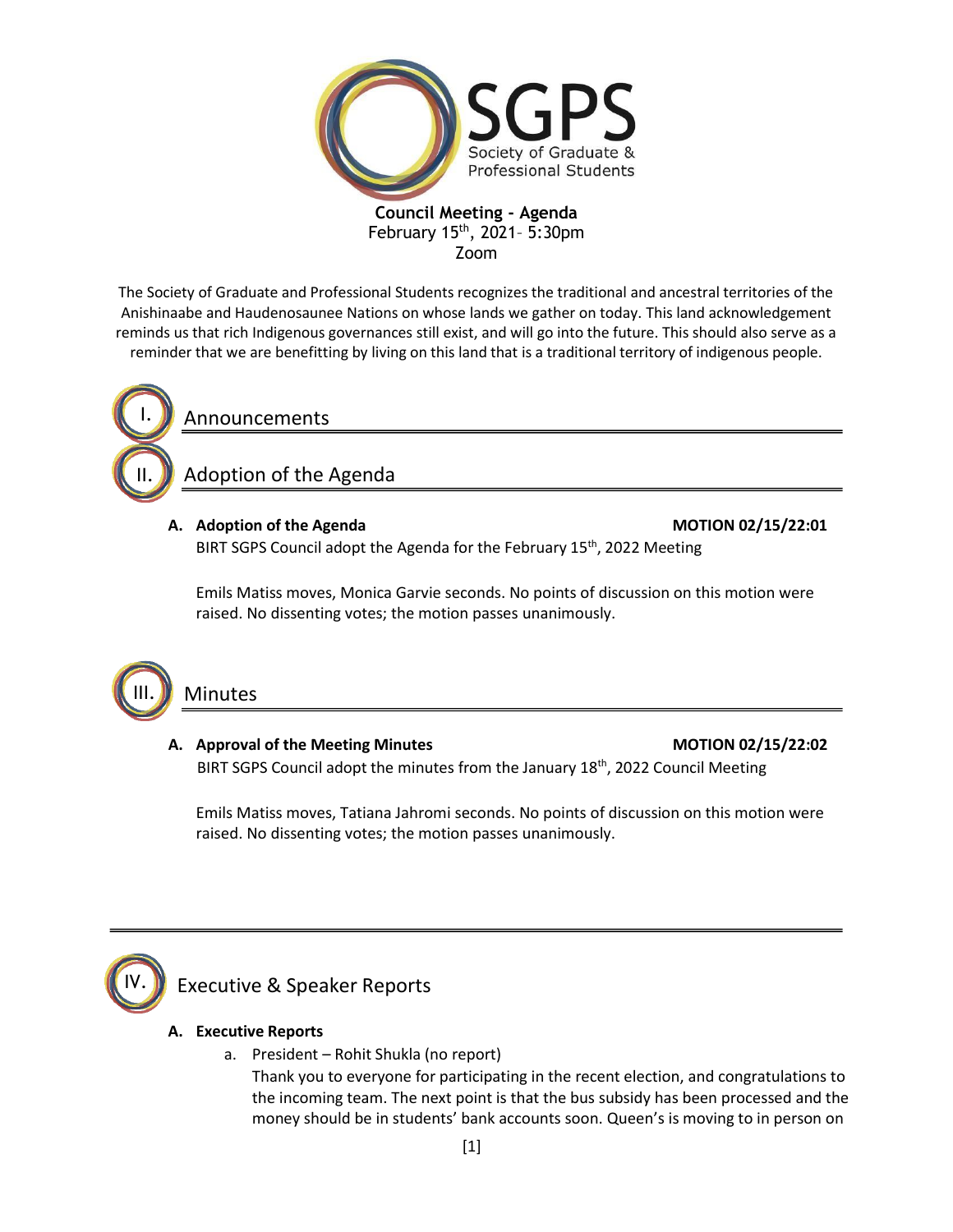

The Society of Graduate and Professional Students recognizes the traditional and ancestral territories of the Anishinaabe and Haudenosaunee Nations on whose lands we gather on today. This land acknowledgement reminds us that rich Indigenous governances still exist, and will go into the future. This should also serve as a reminder that we are benefitting by living on this land that is a traditional territory of indigenous people.



Announcements

Adoption of the Agenda

#### **A. Adoption of the Agenda MOTION 02/15/22:01**

BIRT SGPS Council adopt the Agenda for the February 15<sup>th</sup>, 2022 Meeting

Emils Matiss moves, Monica Garvie seconds. No points of discussion on this motion were raised. No dissenting votes; the motion passes unanimously.



# Minutes

# **A. Approval of the Meeting Minutes MOTION 02/15/22:02**

BIRT SGPS Council adopt the minutes from the January 18<sup>th</sup>, 2022 Council Meeting

Emils Matiss moves, Tatiana Jahromi seconds. No points of discussion on this motion were raised. No dissenting votes; the motion passes unanimously.



# Executive & Speaker Reports

# **A. Executive Reports**

a. President – Rohit Shukla (no report)

Thank you to everyone for participating in the recent election, and congratulations to the incoming team. The next point is that the bus subsidy has been processed and the money should be in students' bank accounts soon. Queen's is moving to in person on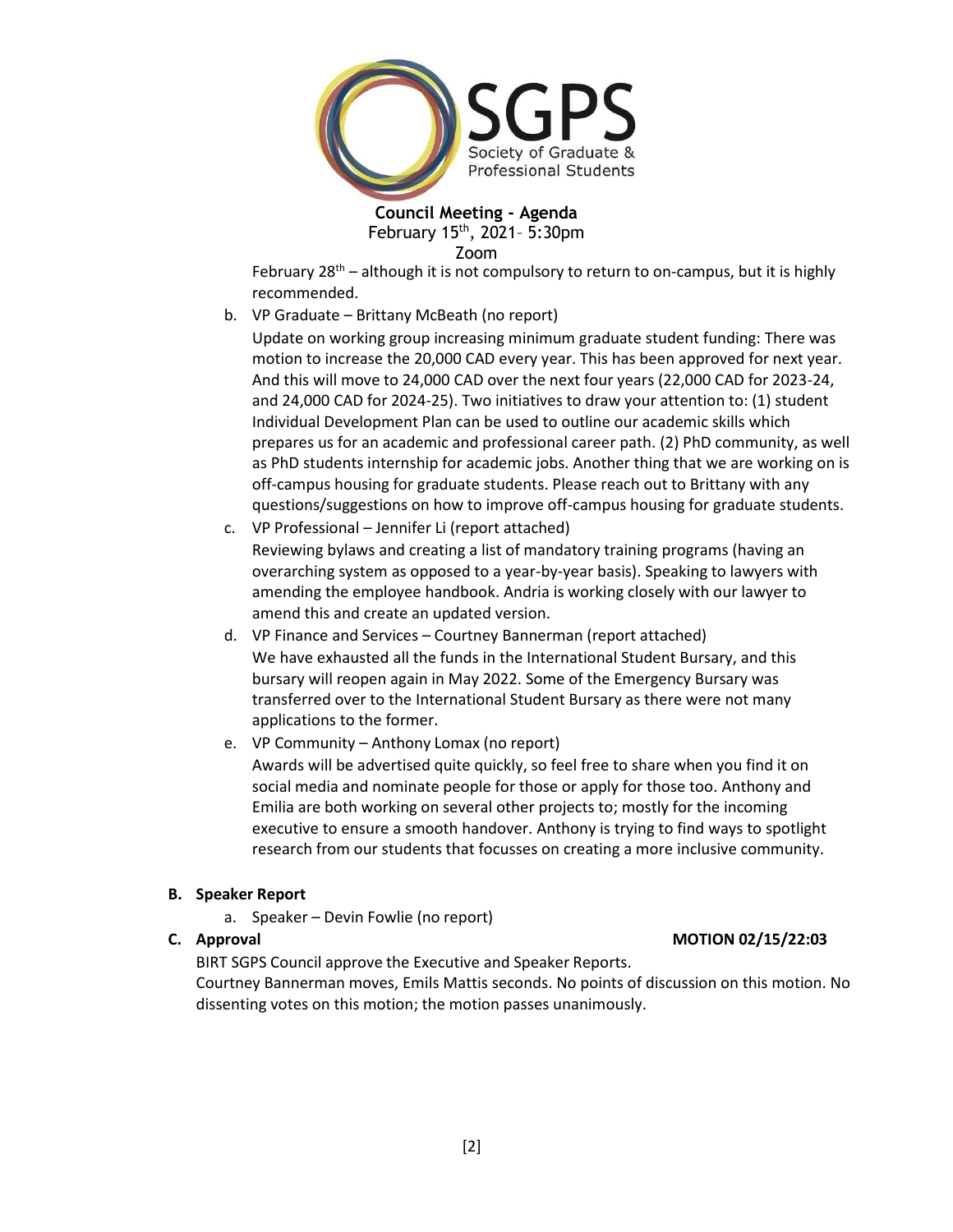

February  $28<sup>th</sup>$  – although it is not compulsory to return to on-campus, but it is highly recommended.

b. VP Graduate – Brittany McBeath (no report)

Update on working group increasing minimum graduate student funding: There was motion to increase the 20,000 CAD every year. This has been approved for next year. And this will move to 24,000 CAD over the next four years (22,000 CAD for 2023-24, and 24,000 CAD for 2024-25). Two initiatives to draw your attention to: (1) student Individual Development Plan can be used to outline our academic skills which prepares us for an academic and professional career path. (2) PhD community, as well as PhD students internship for academic jobs. Another thing that we are working on is off-campus housing for graduate students. Please reach out to Brittany with any questions/suggestions on how to improve off-campus housing for graduate students.

- c. VP Professional Jennifer Li (report attached) Reviewing bylaws and creating a list of mandatory training programs (having an overarching system as opposed to a year-by-year basis). Speaking to lawyers with amending the employee handbook. Andria is working closely with our lawyer to amend this and create an updated version.
- d. VP Finance and Services Courtney Bannerman (report attached) We have exhausted all the funds in the International Student Bursary, and this bursary will reopen again in May 2022. Some of the Emergency Bursary was transferred over to the International Student Bursary as there were not many applications to the former.
- e. VP Community Anthony Lomax (no report) Awards will be advertised quite quickly, so feel free to share when you find it on social media and nominate people for those or apply for those too. Anthony and Emilia are both working on several other projects to; mostly for the incoming executive to ensure a smooth handover. Anthony is trying to find ways to spotlight research from our students that focusses on creating a more inclusive community.

#### **B. Speaker Report**

a. Speaker – Devin Fowlie (no report)

**C. Approval MOTION 02/15/22:03**

BIRT SGPS Council approve the Executive and Speaker Reports. Courtney Bannerman moves, Emils Mattis seconds. No points of discussion on this motion. No dissenting votes on this motion; the motion passes unanimously.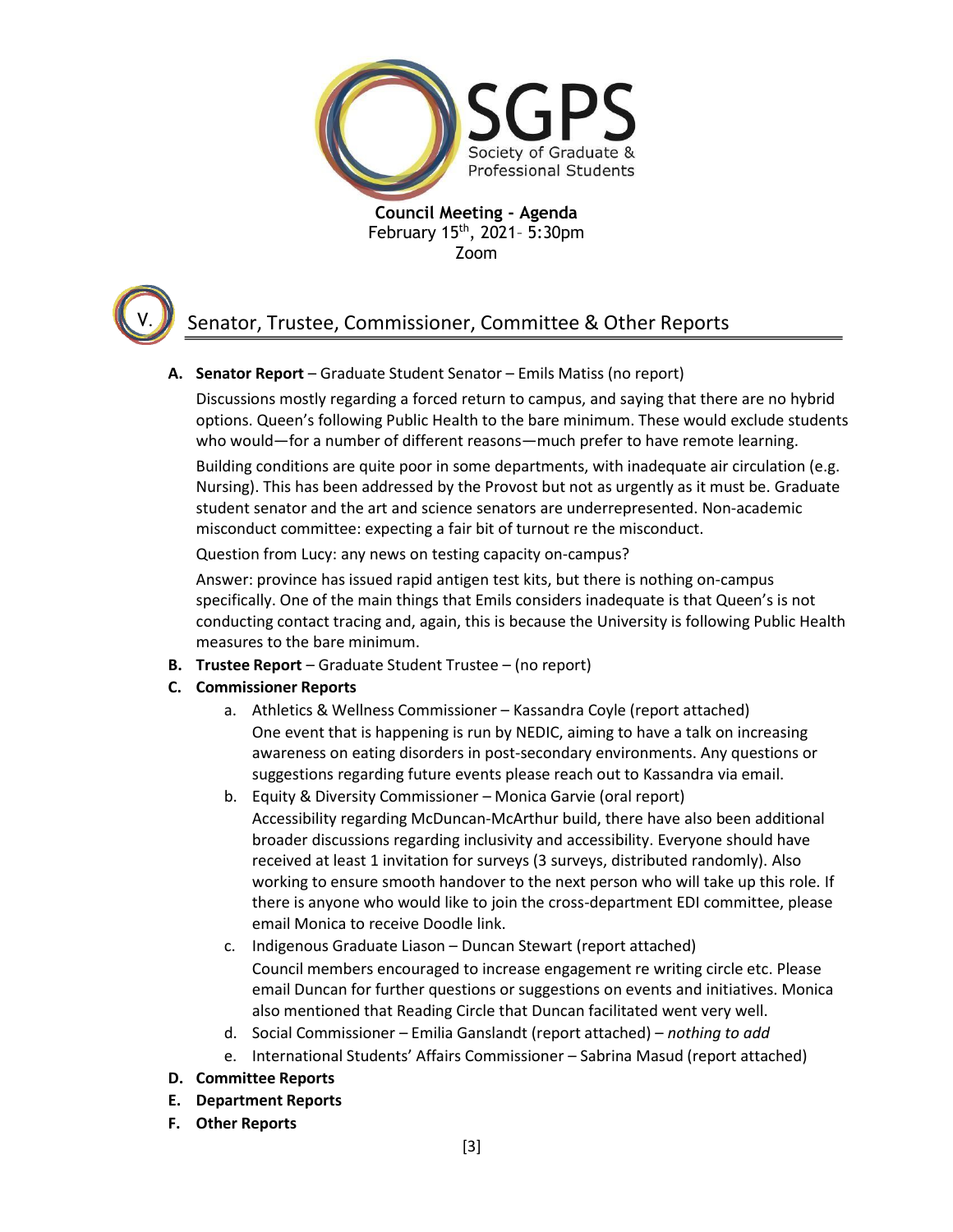



# Senator, Trustee, Commissioner, Committee & Other Reports

## **A. Senator Report** – Graduate Student Senator – Emils Matiss (no report)

Discussions mostly regarding a forced return to campus, and saying that there are no hybrid options. Queen's following Public Health to the bare minimum. These would exclude students who would—for a number of different reasons—much prefer to have remote learning.

Building conditions are quite poor in some departments, with inadequate air circulation (e.g. Nursing). This has been addressed by the Provost but not as urgently as it must be. Graduate student senator and the art and science senators are underrepresented. Non-academic misconduct committee: expecting a fair bit of turnout re the misconduct.

Question from Lucy: any news on testing capacity on-campus?

Answer: province has issued rapid antigen test kits, but there is nothing on-campus specifically. One of the main things that Emils considers inadequate is that Queen's is not conducting contact tracing and, again, this is because the University is following Public Health measures to the bare minimum.

- **B. Trustee Report**  Graduate Student Trustee (no report)
- **C. Commissioner Reports**
	- a. Athletics & Wellness Commissioner Kassandra Coyle (report attached) One event that is happening is run by NEDIC, aiming to have a talk on increasing awareness on eating disorders in post-secondary environments. Any questions or suggestions regarding future events please reach out to Kassandra via email.
	- b. Equity & Diversity Commissioner Monica Garvie (oral report) Accessibility regarding McDuncan-McArthur build, there have also been additional broader discussions regarding inclusivity and accessibility. Everyone should have received at least 1 invitation for surveys (3 surveys, distributed randomly). Also working to ensure smooth handover to the next person who will take up this role. If there is anyone who would like to join the cross-department EDI committee, please email Monica to receive Doodle link.
	- c. Indigenous Graduate Liason Duncan Stewart (report attached) Council members encouraged to increase engagement re writing circle etc. Please email Duncan for further questions or suggestions on events and initiatives. Monica also mentioned that Reading Circle that Duncan facilitated went very well.
	- d. Social Commissioner Emilia Ganslandt (report attached) *nothing to add*
	- e. International Students' Affairs Commissioner Sabrina Masud (report attached)
- **D. Committee Reports**
- **E. Department Reports**
- **F. Other Reports**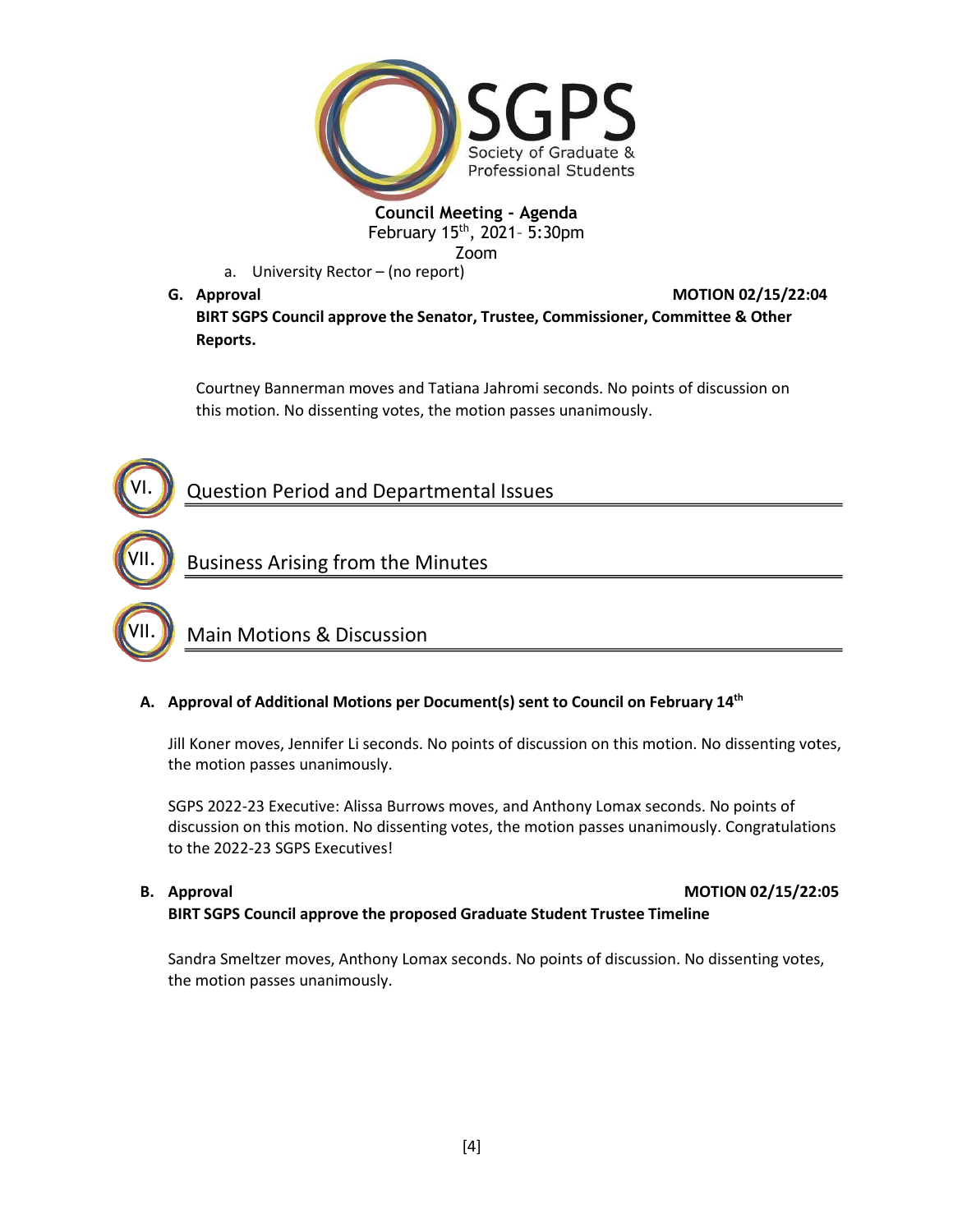

a. University Rector – (no report)

**G. Approval MOTION 02/15/22:04**

**BIRT SGPS Council approve the Senator, Trustee, Commissioner, Committee & Other Reports.**

Courtney Bannerman moves and Tatiana Jahromi seconds. No points of discussion on this motion. No dissenting votes, the motion passes unanimously.

# Question Period and Departmental Issues

# Business Arising from the Minutes

Main Motions & Discussion

#### **A. Approval of Additional Motions per Document(s) sent to Council on February 14th**

Jill Koner moves, Jennifer Li seconds. No points of discussion on this motion. No dissenting votes, the motion passes unanimously.

SGPS 2022-23 Executive: Alissa Burrows moves, and Anthony Lomax seconds. No points of discussion on this motion. No dissenting votes, the motion passes unanimously. Congratulations to the 2022-23 SGPS Executives!

VII.

VI.

VII.

#### **B. Approval MOTION 02/15/22:05**

# **BIRT SGPS Council approve the proposed Graduate Student Trustee Timeline**

Sandra Smeltzer moves, Anthony Lomax seconds. No points of discussion. No dissenting votes, the motion passes unanimously.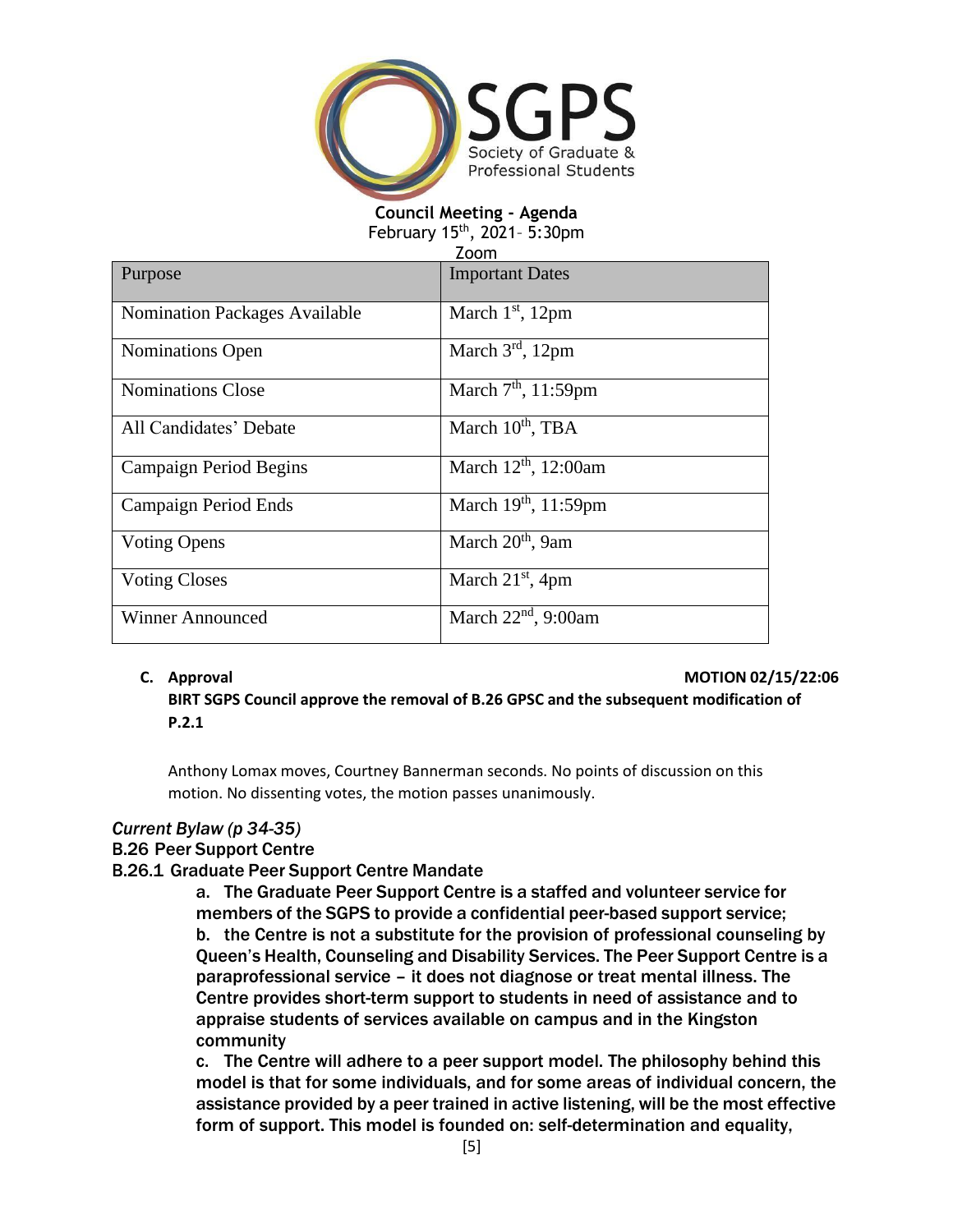

| Zoom                                 |                              |  |
|--------------------------------------|------------------------------|--|
| Purpose                              | <b>Important Dates</b>       |  |
| <b>Nomination Packages Available</b> | March $1st$ , 12pm           |  |
| <b>Nominations Open</b>              | March $3rd$ , 12pm           |  |
| <b>Nominations Close</b>             | March $7th$ , 11:59pm        |  |
| All Candidates' Debate               | March 10 <sup>th</sup> , TBA |  |
| Campaign Period Begins               | March $12th$ , 12:00am       |  |
| Campaign Period Ends                 | March $19th$ , 11:59pm       |  |
| <b>Voting Opens</b>                  | March $20th$ , 9am           |  |
| <b>Voting Closes</b>                 | March $21st$ , 4pm           |  |
| <b>Winner Announced</b>              | March $22nd$ , 9:00am        |  |

**C. Approval MOTION 02/15/22:06**

**BIRT SGPS Council approve the removal of B.26 GPSC and the subsequent modification of P.2.1**

Anthony Lomax moves, Courtney Bannerman seconds. No points of discussion on this motion. No dissenting votes, the motion passes unanimously.

#### *Current Bylaw (p 34-35)*

#### B.26 Peer Support Centre

#### B.26.1 Graduate Peer Support Centre Mandate

a. The Graduate Peer Support Centre is a staffed and volunteer service for members of the SGPS to provide a confidential peer-based support service;

b. the Centre is not a substitute for the provision of professional counseling by Queen's Health, Counseling and Disability Services. The Peer Support Centre is a paraprofessional service – it does not diagnose or treat mental illness. The Centre provides short-term support to students in need of assistance and to appraise students of services available on campus and in the Kingston community

c. The Centre will adhere to a peer support model. The philosophy behind this model is that for some individuals, and for some areas of individual concern, the assistance provided by a peer trained in active listening, will be the most effective form of support. This model is founded on: self-determination and equality,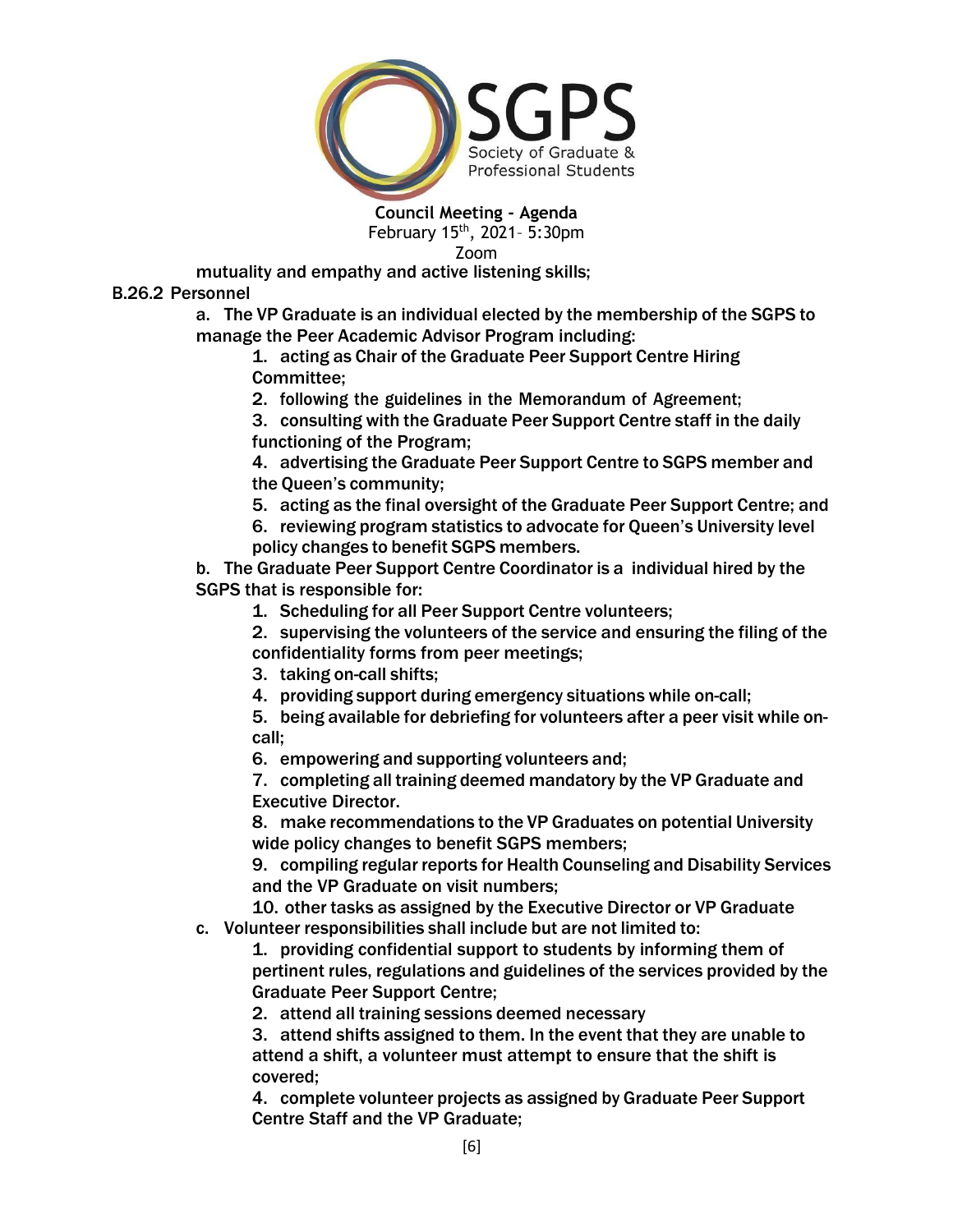

mutuality and empathy and active listening skills;

# B.26.2 Personnel

a. The VP Graduate is an individual elected by the membership of the SGPS to manage the Peer Academic Advisor Program including:

1. acting as Chair of the Graduate Peer Support Centre Hiring Committee;

2. following the guidelines in the Memorandum of Agreement;

3. consulting with the Graduate Peer Support Centre staff in the daily functioning of the Program;

4. advertising the Graduate Peer Support Centre to SGPS member and the Queen's community;

5. acting as the final oversight of the Graduate Peer Support Centre; and

6. reviewing program statistics to advocate for Queen's University level policy changes to benefit SGPS members.

b. The Graduate Peer Support Centre Coordinator is a individual hired by the SGPS that is responsible for:

1. Scheduling for all Peer Support Centre volunteers;

2. supervising the volunteers of the service and ensuring the filing of the confidentiality forms from peer meetings;

- 3. taking on-call shifts;
- 4. providing support during emergency situations while on-call;
- 5. being available for debriefing for volunteers after a peer visit while oncall;

6. empowering and supporting volunteers and;

7. completing all training deemed mandatory by the VP Graduate and Executive Director.

8. make recommendations to the VP Graduates on potential University wide policy changes to benefit SGPS members;

9. compiling regular reports for Health Counseling and Disability Services and the VP Graduate on visit numbers;

10. other tasks as assigned by the Executive Director or VP Graduate c. Volunteer responsibilities shall include but are not limited to:

1. providing confidential support to students by informing them of pertinent rules, regulations and guidelines of the services provided by the Graduate Peer Support Centre;

2. attend all training sessions deemed necessary

3. attend shifts assigned to them. In the event that they are unable to attend a shift, a volunteer must attempt to ensure that the shift is covered;

4. complete volunteer projects as assigned by Graduate Peer Support Centre Staff and the VP Graduate;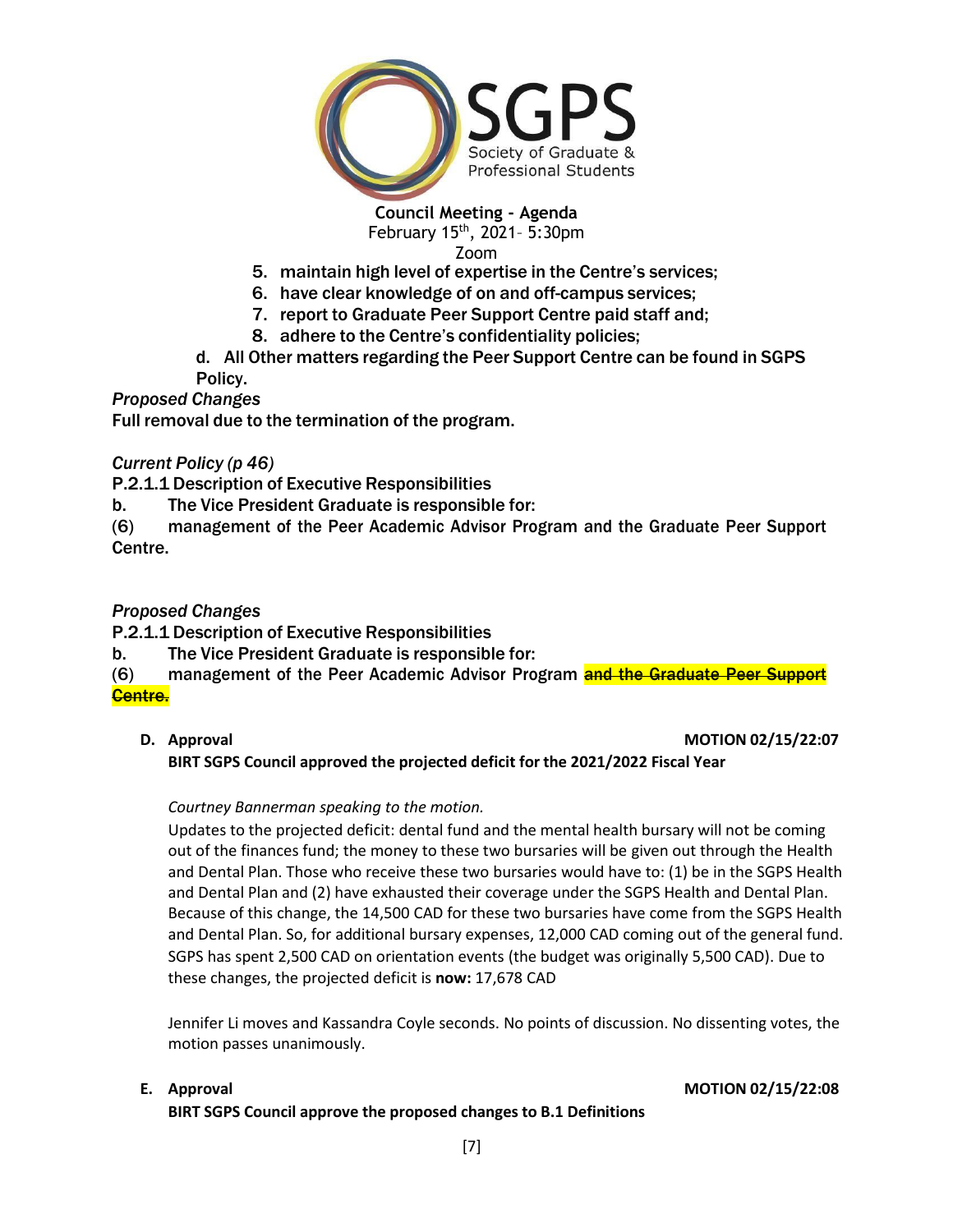

Zoom

- 5. maintain high level of expertise in the Centre's services;
- 6. have clear knowledge of on and off-campus services;
- 7. report to Graduate Peer Support Centre paid staff and;
- 8. adhere to the Centre's confidentiality policies;
- d. All Other matters regarding the Peer Support Centre can be found in SGPS
- Policy.

*Proposed Changes*

Full removal due to the termination of the program.

#### *Current Policy (p 46)*

P.2.1.1 Description of Executive Responsibilities

b. The Vice President Graduate is responsible for:

(6) management of the Peer Academic Advisor Program and the Graduate Peer Support Centre.

### *Proposed Changes*

P.2.1.1 Description of Executive Responsibilities

b. The Vice President Graduate is responsible for:

(6) management of the Peer Academic Advisor Program and the Graduate Peer Support Centre.

#### **D. Approval MOTION 02/15/22:07**

**BIRT SGPS Council approved the projected deficit for the 2021/2022 Fiscal Year**

#### *Courtney Bannerman speaking to the motion.*

Updates to the projected deficit: dental fund and the mental health bursary will not be coming out of the finances fund; the money to these two bursaries will be given out through the Health and Dental Plan. Those who receive these two bursaries would have to: (1) be in the SGPS Health and Dental Plan and (2) have exhausted their coverage under the SGPS Health and Dental Plan. Because of this change, the 14,500 CAD for these two bursaries have come from the SGPS Health and Dental Plan. So, for additional bursary expenses, 12,000 CAD coming out of the general fund. SGPS has spent 2,500 CAD on orientation events (the budget was originally 5,500 CAD). Due to these changes, the projected deficit is **now:** 17,678 CAD

Jennifer Li moves and Kassandra Coyle seconds. No points of discussion. No dissenting votes, the motion passes unanimously.

**BIRT SGPS Council approve the proposed changes to B.1 Definitions**

#### **E. Approval MOTION 02/15/22:08**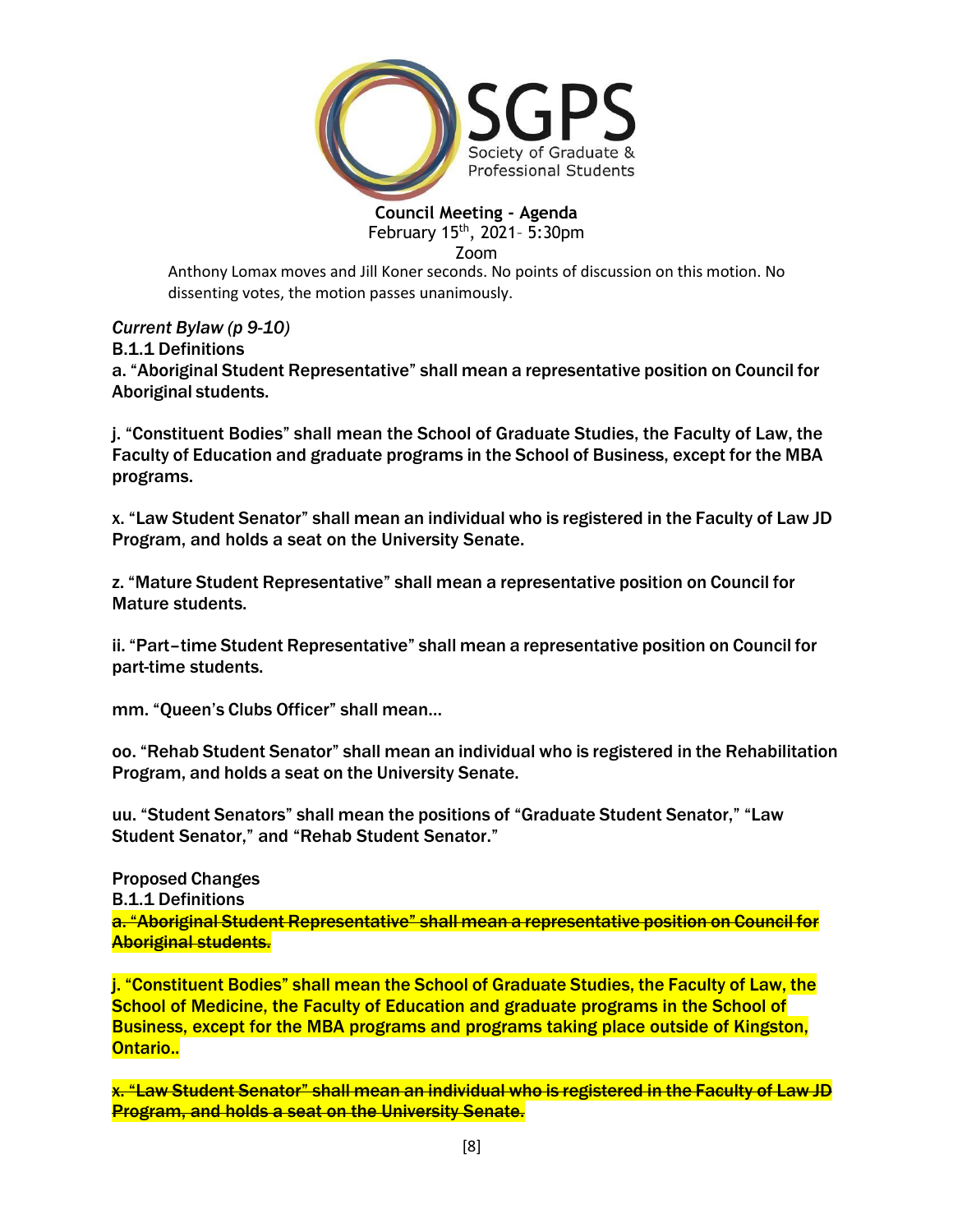

Anthony Lomax moves and Jill Koner seconds. No points of discussion on this motion. No dissenting votes, the motion passes unanimously.

*Current Bylaw (p 9-10)* B.1.1 Definitions a. "Aboriginal Student Representative" shall mean a representative position on Council for Aboriginal students.

j. "Constituent Bodies" shall mean the School of Graduate Studies, the Faculty of Law, the Faculty of Education and graduate programs in the School of Business, except for the MBA programs.

x. "Law Student Senator" shall mean an individual who is registered in the Faculty of Law JD Program, and holds a seat on the University Senate.

z. "Mature Student Representative" shall mean a representative position on Council for Mature students.

ii. "Part–time Student Representative" shall mean a representative position on Council for part-time students.

mm. "Queen's Clubs Officer" shall mean…

oo. "Rehab Student Senator" shall mean an individual who is registered in the Rehabilitation Program, and holds a seat on the University Senate.

uu. "Student Senators" shall mean the positions of "Graduate Student Senator," "Law Student Senator," and "Rehab Student Senator."

Proposed Changes B.1.1 Definitions a. "Aboriginal Student Representative" shall mean a representative position on Council for Aboriginal students.

j. "Constituent Bodies" shall mean the School of Graduate Studies, the Faculty of Law, the School of Medicine, the Faculty of Education and graduate programs in the School of Business, except for the MBA programs and programs taking place outside of Kingston, **Ontario..** 

x. "Law Student Senator" shall mean an individual who is registered in the Faculty of Law JD Program, and holds a seat on the University Senate.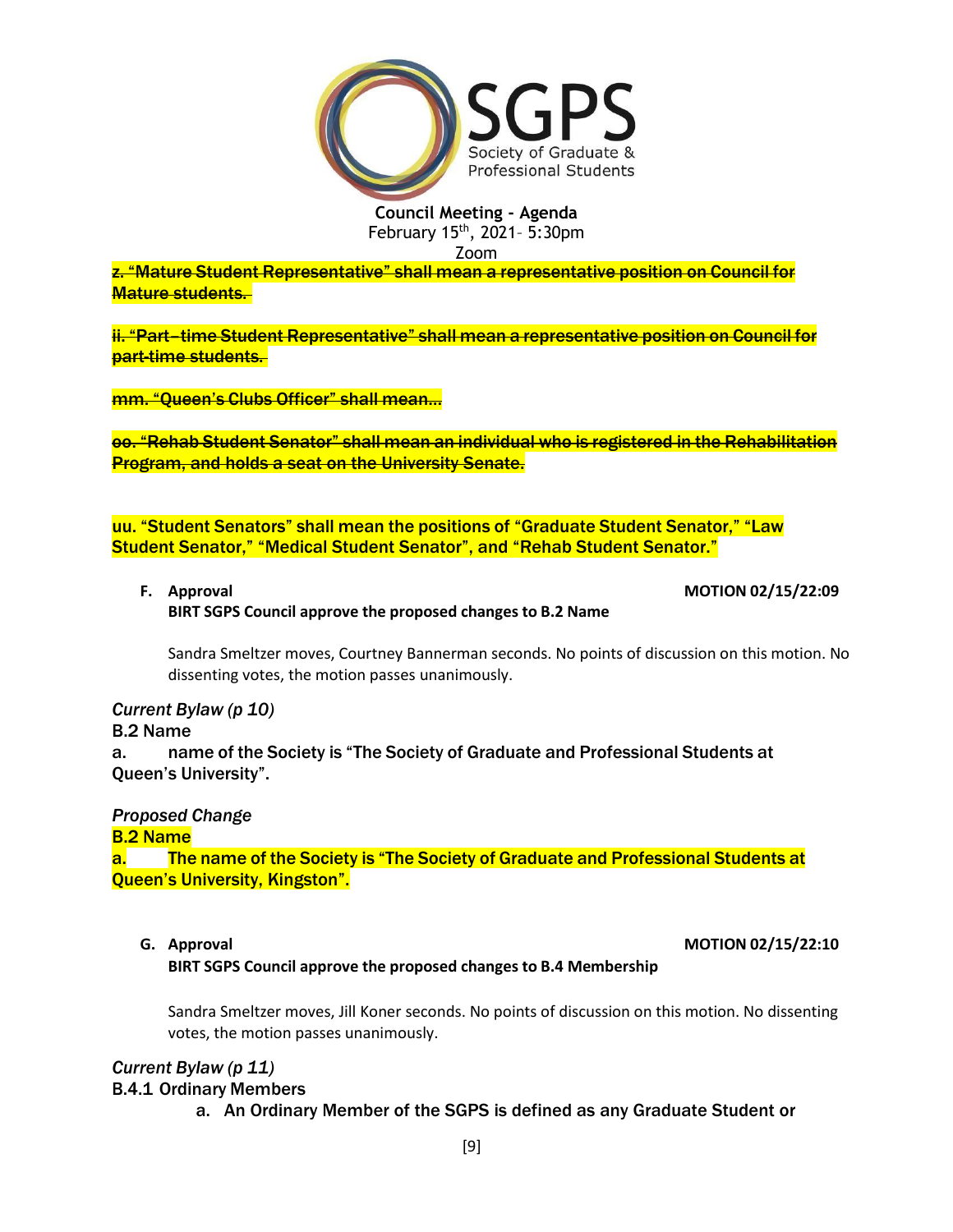

z. "Mature Student Representative" shall mean a representative position on Council for **Mature students.** 

ii. "Part-time Student Representative" shall mean a representative position on Council for part-time students.

mm. "Queen's Clubs Officer" shall mean…

oo. "Rehab Student Senator" shall mean an individual who is registered in the Rehabilitation Program, and holds a seat on the University Senate.

uu. "Student Senators" shall mean the positions of "Graduate Student Senator," "Law Student Senator," "Medical Student Senator", and "Rehab Student Senator."

**F. Approval MOTION 02/15/22:09**

**BIRT SGPS Council approve the proposed changes to B.2 Name**

Sandra Smeltzer moves, Courtney Bannerman seconds. No points of discussion on this motion. No dissenting votes, the motion passes unanimously.

#### *Current Bylaw (p 10)*

B.2 Name

a. name of the Society is "The Society of Graduate and Professional Students at Queen's University".

#### *Proposed Change*

B.2 Name

a. The name of the Society is "The Society of Graduate and Professional Students at Queen's University, Kingston".

#### **G. Approval MOTION 02/15/22:10**

**BIRT SGPS Council approve the proposed changes to B.4 Membership**

Sandra Smeltzer moves, Jill Koner seconds. No points of discussion on this motion. No dissenting votes, the motion passes unanimously.

# *Current Bylaw (p 11)*

#### B.4.1 Ordinary Members

a. An Ordinary Member of the SGPS is defined as any Graduate Student or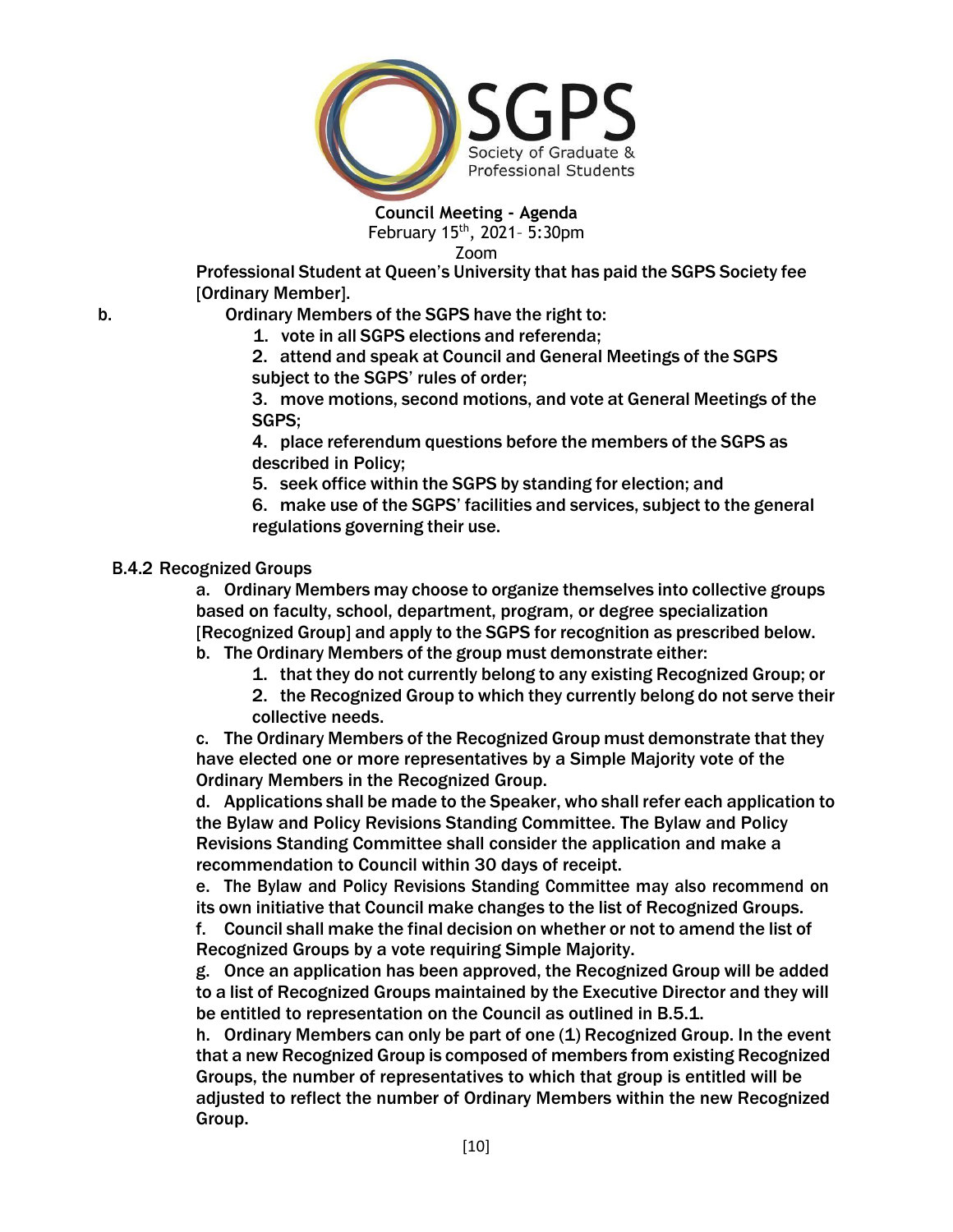

Professional Student at Queen's University that has paid the SGPS Society fee [Ordinary Member].

b. Ordinary Members of the SGPS have the right to:

1. vote in all SGPS elections and referenda;

2. attend and speak at Council and General Meetings of the SGPS subject to the SGPS' rules of order;

3. move motions, second motions, and vote at General Meetings of the SGPS;

4. place referendum questions before the members of the SGPS as described in Policy;

5. seek office within the SGPS by standing for election; and

6. make use of the SGPS' facilities and services, subject to the general regulations governing their use.

## B.4.2 Recognized Groups

a. Ordinary Members may choose to organize themselves into collective groups based on faculty, school, department, program, or degree specialization [Recognized Group] and apply to the SGPS for recognition as prescribed below.

b. The Ordinary Members of the group must demonstrate either:

- 1. that they do not currently belong to any existing Recognized Group; or
- 2. the Recognized Group to which they currently belong do not serve their collective needs.

c. The Ordinary Members of the Recognized Group must demonstrate that they have elected one or more representatives by a Simple Majority vote of the Ordinary Members in the Recognized Group.

d. Applications shall be made to the Speaker, who shall refer each application to the Bylaw and Policy Revisions Standing Committee. The Bylaw and Policy Revisions Standing Committee shall consider the application and make a recommendation to Council within 30 days of receipt.

e. The Bylaw and Policy Revisions Standing Committee may also recommend on its own initiative that Council make changes to the list of Recognized Groups.

f. Council shall make the final decision on whether or not to amend the list of Recognized Groups by a vote requiring Simple Majority.

g. Once an application has been approved, the Recognized Group will be added to a list of Recognized Groups maintained by the Executive Director and they will be entitled to representation on the Council as outlined in B.5.1.

h. Ordinary Members can only be part of one (1) Recognized Group. In the event that a new Recognized Group is composed of members from existing Recognized Groups, the number of representatives to which that group is entitled will be adjusted to reflect the number of Ordinary Members within the new Recognized Group.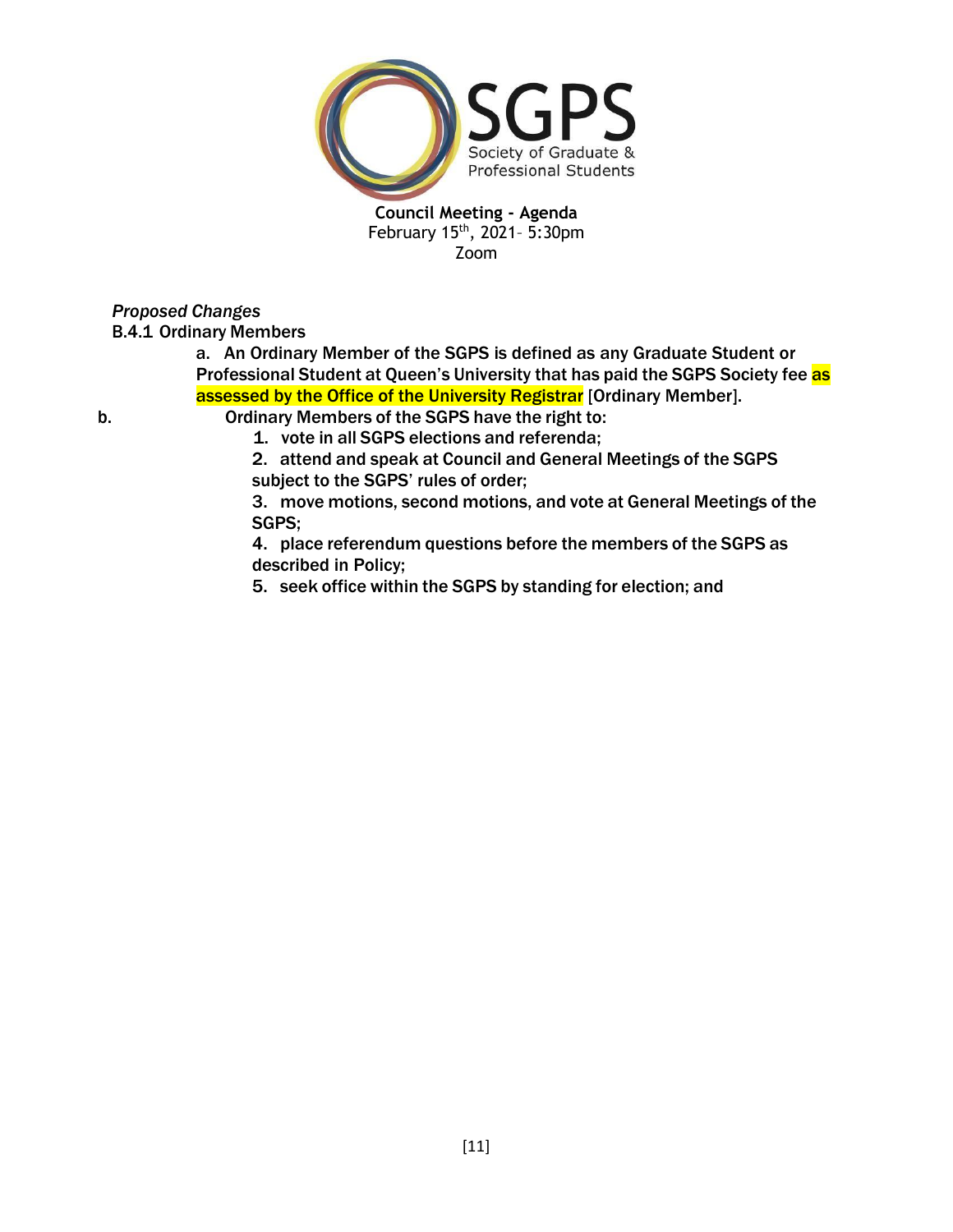

## *Proposed Changes*

B.4.1 Ordinary Members

a. An Ordinary Member of the SGPS is defined as any Graduate Student or Professional Student at Queen's University that has paid the SGPS Society fee as assessed by the Office of the University Registrar [Ordinary Member].

b. Ordinary Members of the SGPS have the right to: 1. vote in all SGPS elections and referenda;

2. attend and speak at Council and General Meetings of the SGPS subject to the SGPS' rules of order;

3. move motions, second motions, and vote at General Meetings of the SGPS;

4. place referendum questions before the members of the SGPS as described in Policy;

5. seek office within the SGPS by standing for election; and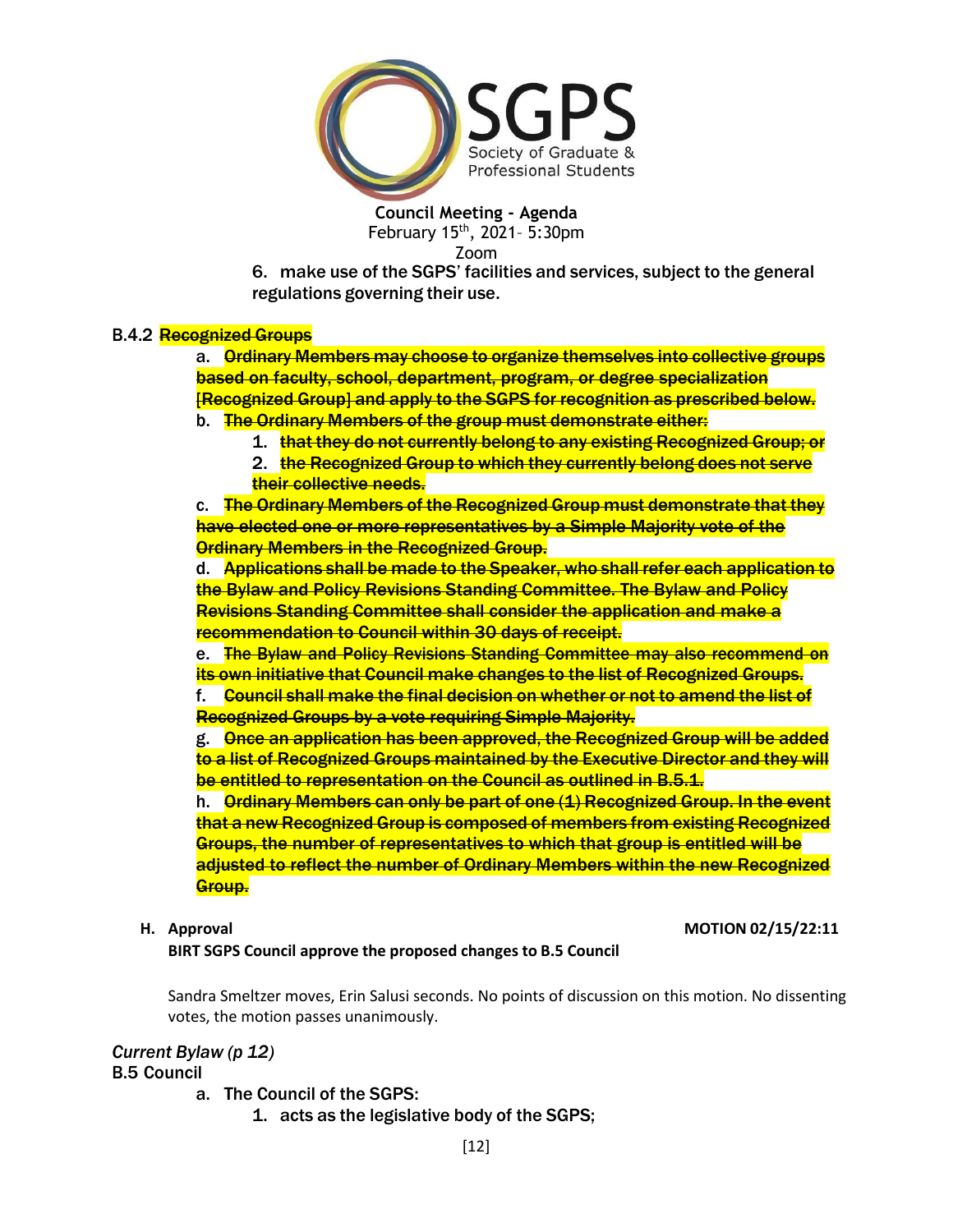

6. make use of the SGPS' facilities and services, subject to the general regulations governing their use.

#### B.4.2 Recognized Groups

a. Ordinary Members may choose to organize themselves into collective groups based on faculty, school, department, program, or degree specialization [Recognized Group] and apply to the SGPS for recognition as prescribed below.

- b. The Ordinary Members of the group must demonstrate either:
	- 1. that they do not currently belong to any existing Recognized Group; or
	- 2. the Recognized Group to which they currently belong does not serve their collective needs.

c. The Ordinary Members of the Recognized Group must demonstrate that they have elected one or more representatives by a Simple Majority vote of the **Ordinary Members in the Recognized Group.** 

d. Applications shall be made to the Speaker, who shall refer each application to the Bylaw and Policy Revisions Standing Committee. The Bylaw and Policy Revisions Standing Committee shall consider the application and make a recommendation to Council within 30 days of receipt.

e. The Bylaw and Policy Revisions Standing Committee may also recommend on its own initiative that Council make changes to the list of Recognized Groups.

f. Council shall make the final decision on whether or not to amend the list of Recognized Groups by a vote requiring Simple Majority.

g. Once an application has been approved, the Recognized Group will be added to a list of Recognized Groups maintained by the Executive Director and they will be entitled to representation on the Council as outlined in B.5.1.

h. Ordinary Members can only be part of one (1) Recognized Group. In the event that a new Recognized Group is composed of members from existing Recognized Groups, the number of representatives to which that group is entitled will be adjusted to reflect the number of Ordinary Members within the new Recognized Group.

#### **H. Approval MOTION 02/15/22:11**

**BIRT SGPS Council approve the proposed changes to B.5 Council**

Sandra Smeltzer moves, Erin Salusi seconds. No points of discussion on this motion. No dissenting votes, the motion passes unanimously.

#### *Current Bylaw (p 12)*

B.5 Council

- a. The Council of the SGPS:
	- 1. acts as the legislative body of the SGPS;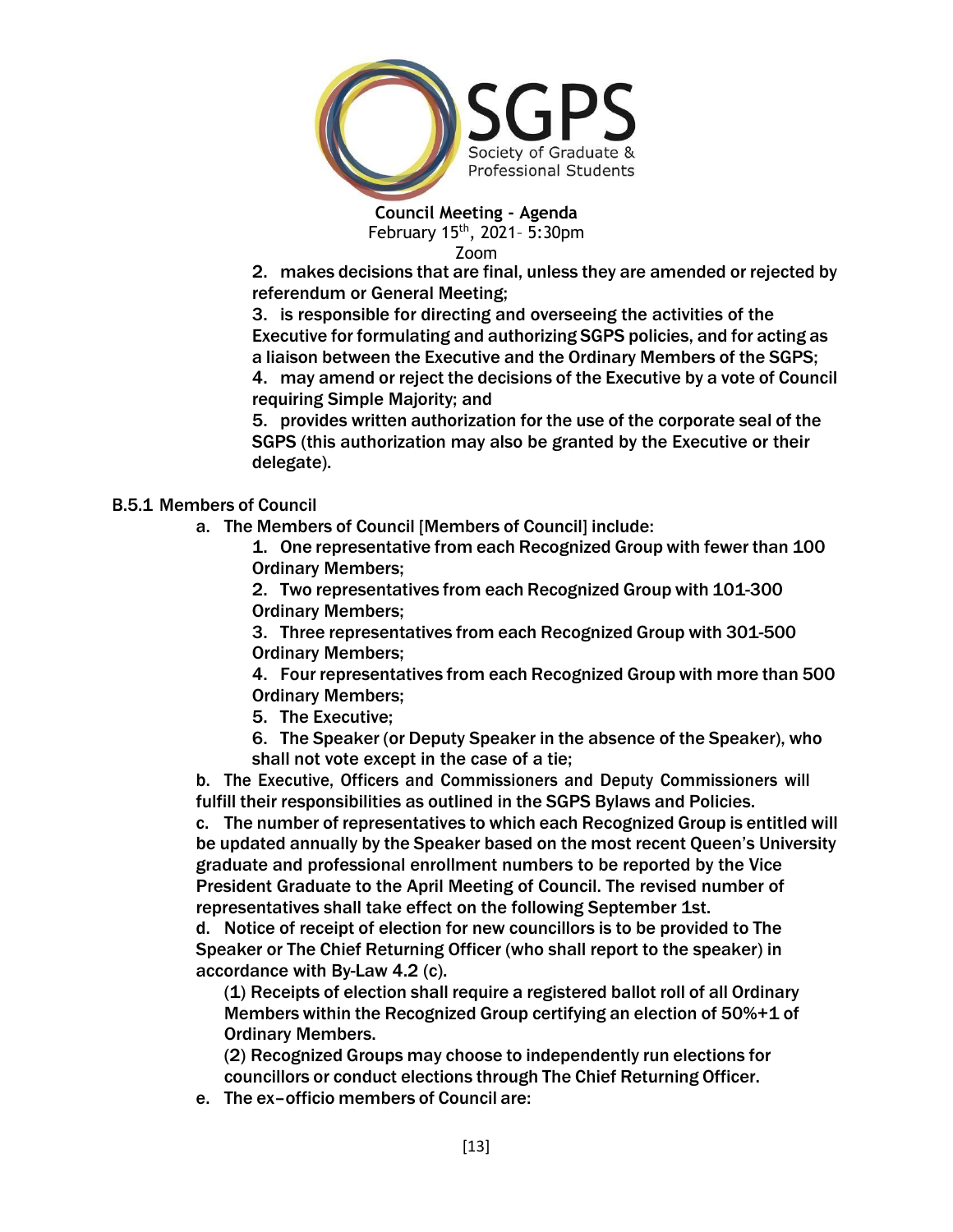

2. makes decisions that are final, unless they are amended or rejected by referendum or General Meeting;

3. is responsible for directing and overseeing the activities of the Executive for formulating and authorizing SGPS policies, and for acting as a liaison between the Executive and the Ordinary Members of the SGPS; 4. may amend or reject the decisions of the Executive by a vote of Council requiring Simple Majority; and

5. provides written authorization for the use of the corporate seal of the SGPS (this authorization may also be granted by the Executive or their delegate).

# B.5.1 Members of Council

a. The Members of Council [Members of Council] include:

1. One representative from each Recognized Group with fewer than 100 Ordinary Members;

2. Two representatives from each Recognized Group with 101-300 Ordinary Members;

3. Three representatives from each Recognized Group with 301-500 Ordinary Members;

4. Four representatives from each Recognized Group with more than 500 Ordinary Members;

5. The Executive;

6. The Speaker (or Deputy Speaker in the absence of the Speaker), who shall not vote except in the case of a tie;

b. The Executive, Officers and Commissioners and Deputy Commissioners will fulfill their responsibilities as outlined in the SGPS Bylaws and Policies.

c. The number of representatives to which each Recognized Group is entitled will be updated annually by the Speaker based on the most recent Queen's University graduate and professional enrollment numbers to be reported by the Vice President Graduate to the April Meeting of Council. The revised number of representatives shall take effect on the following September 1st.

d. Notice of receipt of election for new councillors is to be provided to The Speaker or The Chief Returning Officer (who shall report to the speaker) in accordance with By-Law 4.2 (c).

(1) Receipts of election shall require a registered ballot roll of all Ordinary Members within the Recognized Group certifying an election of 50%+1 of Ordinary Members.

(2) Recognized Groups may choose to independently run elections for councillors or conduct elections through The Chief Returning Officer.

e. The ex–officio members of Council are: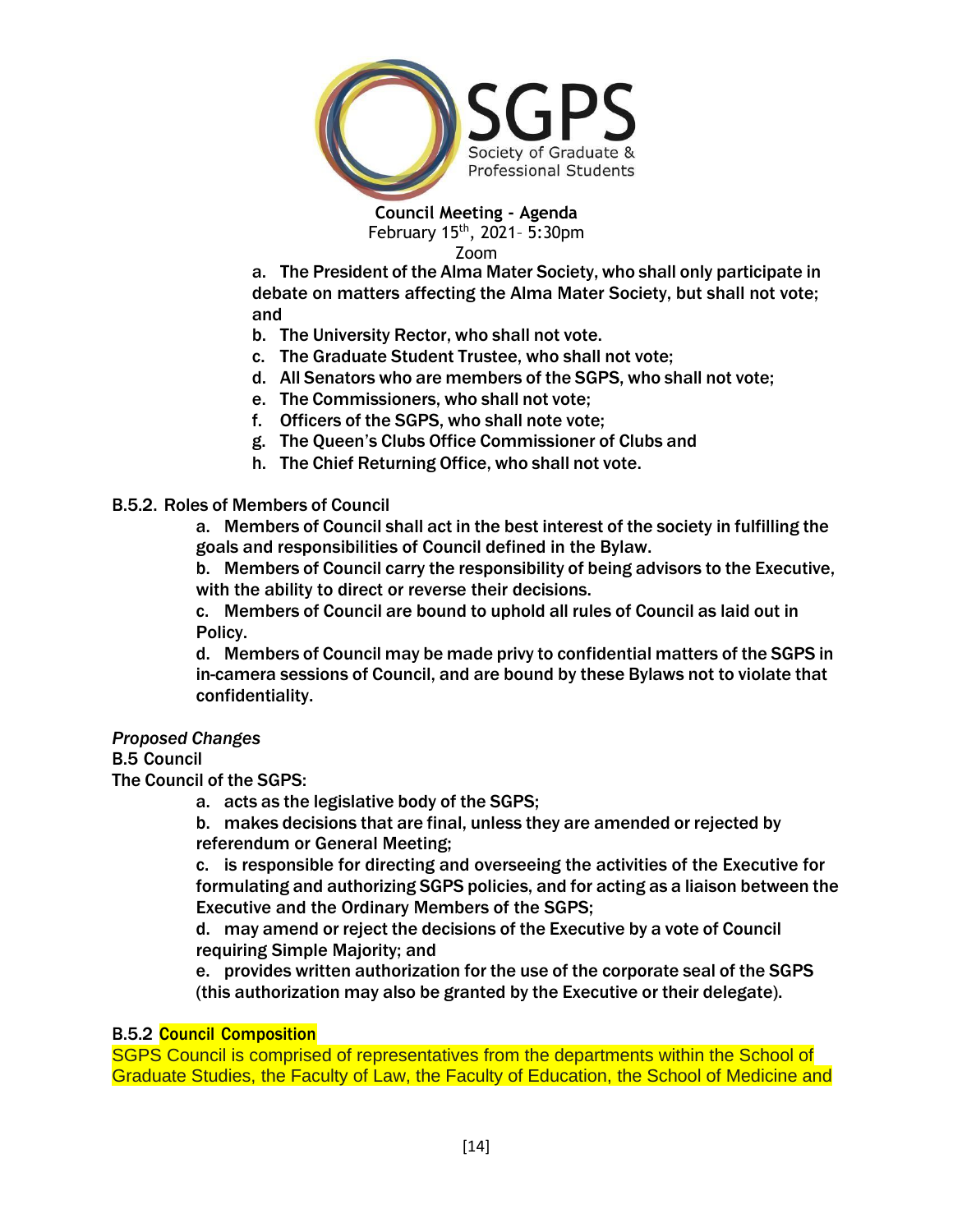

a. The President of the Alma Mater Society, who shall only participate in debate on matters affecting the Alma Mater Society, but shall not vote; and

- b. The University Rector, who shall not vote.
- c. The Graduate Student Trustee, who shall not vote;
- d. All Senators who are members of the SGPS, who shall not vote;
- e. The Commissioners, who shall not vote;
- f. Officers of the SGPS, who shall note vote;
- g. The Queen's Clubs Office Commissioner of Clubs and
- h. The Chief Returning Office, who shall not vote.

#### B.5.2. Roles of Members of Council

a. Members of Council shall act in the best interest of the society in fulfilling the goals and responsibilities of Council defined in the Bylaw.

b. Members of Council carry the responsibility of being advisors to the Executive, with the ability to direct or reverse their decisions.

c. Members of Council are bound to uphold all rules of Council as laid out in Policy.

d. Members of Council may be made privy to confidential matters of the SGPS in in-camera sessions of Council, and are bound by these Bylaws not to violate that confidentiality.

*Proposed Changes*

#### B.5 Council

The Council of the SGPS:

a. acts as the legislative body of the SGPS;

b. makes decisions that are final, unless they are amended or rejected by referendum or General Meeting;

c. is responsible for directing and overseeing the activities of the Executive for formulating and authorizing SGPS policies, and for acting as a liaison between the Executive and the Ordinary Members of the SGPS;

d. may amend or reject the decisions of the Executive by a vote of Council requiring Simple Majority; and

e. provides written authorization for the use of the corporate seal of the SGPS (this authorization may also be granted by the Executive or their delegate).

#### B.5.2 Council Composition

SGPS Council is comprised of representatives from the departments within the School of Graduate Studies, the Faculty of Law, the Faculty of Education, the School of Medicine and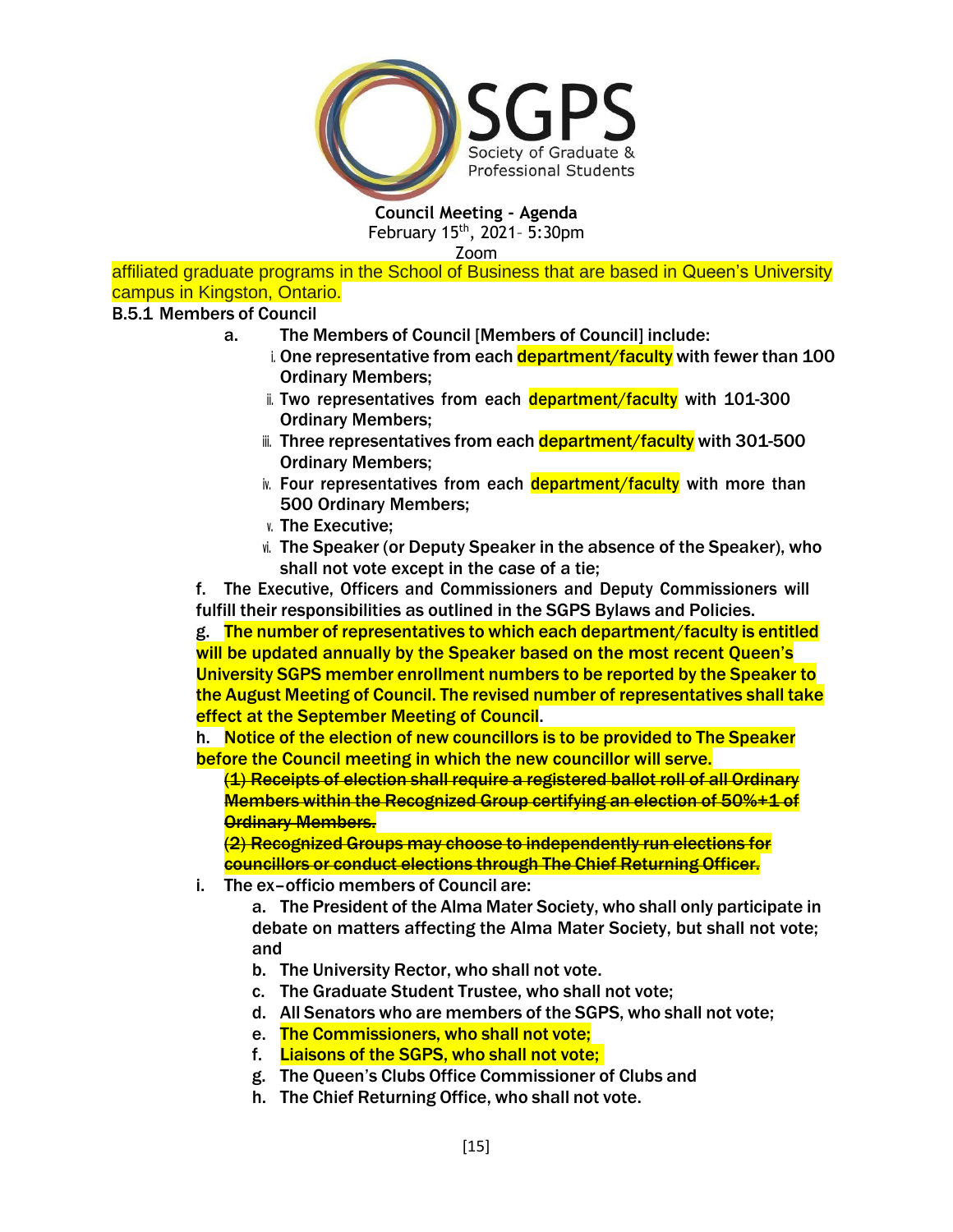

Zoom

affiliated graduate programs in the School of Business that are based in Queen's University campus in Kingston, Ontario.

## B.5.1 Members of Council

- a. The Members of Council [Members of Council] include:
	- i. One representative from each **department/faculty** with fewer than 100 Ordinary Members;
	- ii. Two representatives from each **department/faculty** with 101-300 Ordinary Members;
	- iii. Three representatives from each **department/faculty** with 301-500 Ordinary Members;
	- iv. Four representatives from each **department/faculty** with more than 500 Ordinary Members;
	- v. The Executive;
	- vi. The Speaker (or Deputy Speaker in the absence of the Speaker), who shall not vote except in the case of a tie;

f. The Executive, Officers and Commissioners and Deputy Commissioners will fulfill their responsibilities as outlined in the SGPS Bylaws and Policies.

g. The number of representatives to which each department/faculty is entitled will be updated annually by the Speaker based on the most recent Queen's University SGPS member enrollment numbers to be reported by the Speaker to the August Meeting of Council. The revised number of representatives shall take effect at the September Meeting of Council.

h. Notice of the election of new councillors is to be provided to The Speaker before the Council meeting in which the new councillor will serve.

(1) Receipts of election shall require a registered ballot roll of all Ordinary Members within the Recognized Group certifying an election of 50%+1 of **Ordinary Members.** 

(2) Recognized Groups may choose to independently run elections for councillors or conduct elections through The Chief Returning Officer.

i. The ex–officio members of Council are:

a. The President of the Alma Mater Society, who shall only participate in debate on matters affecting the Alma Mater Society, but shall not vote; and

- b. The University Rector, who shall not vote.
- c. The Graduate Student Trustee, who shall not vote;
- d. All Senators who are members of the SGPS, who shall not vote;
- e. The Commissioners, who shall not vote;
- f. Liaisons of the SGPS, who shall not vote;
- g. The Queen's Clubs Office Commissioner of Clubs and
- h. The Chief Returning Office, who shall not vote.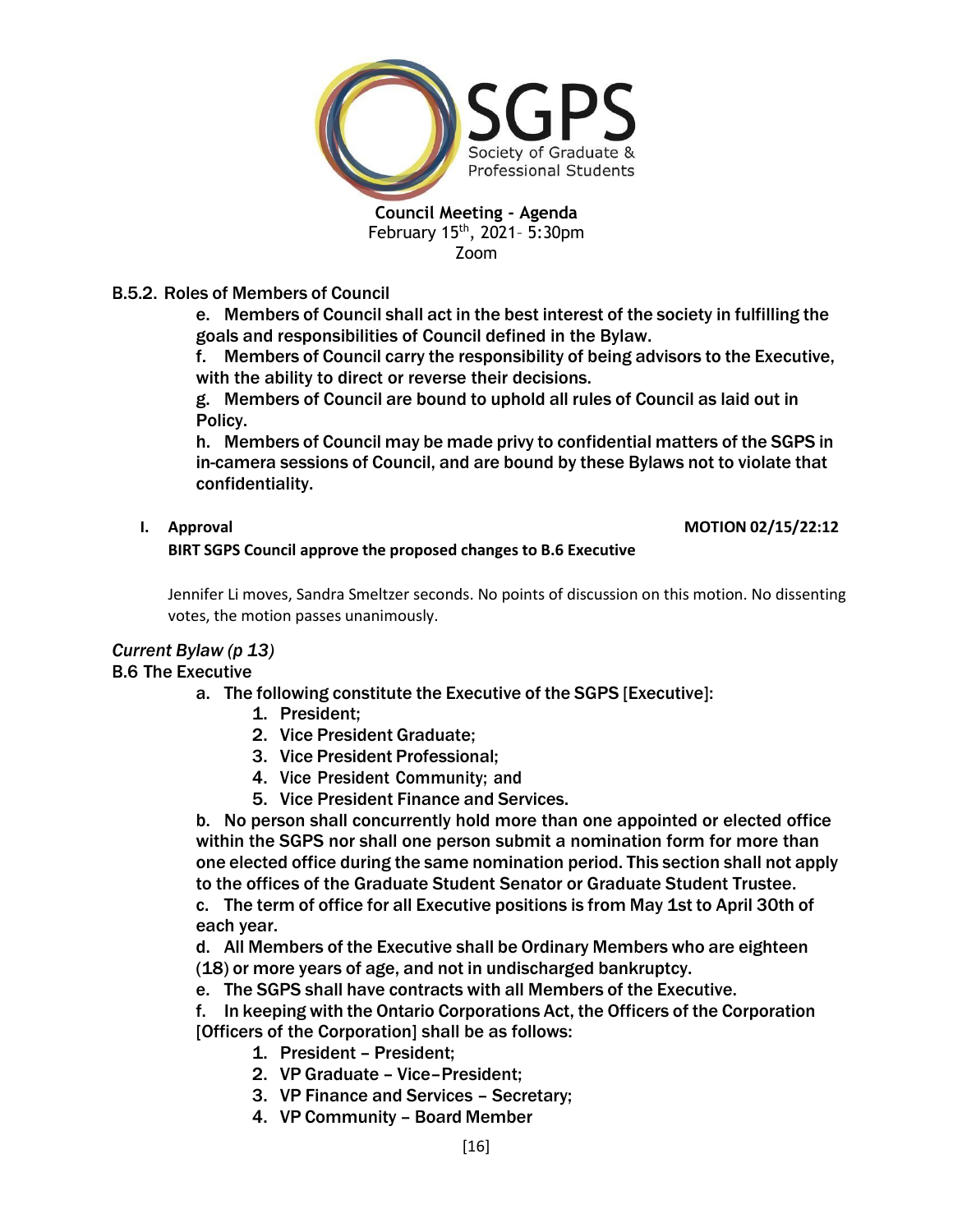

## B.5.2. Roles of Members of Council

e. Members of Council shall act in the best interest of the society in fulfilling the goals and responsibilities of Council defined in the Bylaw.

f. Members of Council carry the responsibility of being advisors to the Executive, with the ability to direct or reverse their decisions.

g. Members of Council are bound to uphold all rules of Council as laid out in Policy.

h. Members of Council may be made privy to confidential matters of the SGPS in in-camera sessions of Council, and are bound by these Bylaws not to violate that confidentiality.

#### **I. Approval MOTION 02/15/22:12**

**BIRT SGPS Council approve the proposed changes to B.6 Executive**

Jennifer Li moves, Sandra Smeltzer seconds. No points of discussion on this motion. No dissenting votes, the motion passes unanimously.

# *Current Bylaw (p 13)*

#### B.6 The Executive

- a. The following constitute the Executive of the SGPS [Executive]:
	- 1. President;
	- 2. Vice President Graduate;
	- 3. Vice President Professional;
	- 4. Vice President Community; and
	- 5. Vice President Finance and Services.

b. No person shall concurrently hold more than one appointed or elected office within the SGPS nor shall one person submit a nomination form for more than one elected office during the same nomination period. This section shall not apply to the offices of the Graduate Student Senator or Graduate Student Trustee.

c. The term of office for all Executive positions is from May 1st to April 30th of each year.

d. All Members of the Executive shall be Ordinary Members who are eighteen (18) or more years of age, and not in undischarged bankruptcy.

e. The SGPS shall have contracts with all Members of the Executive.

f. In keeping with the Ontario Corporations Act, the Officers of the Corporation [Officers of the Corporation] shall be as follows:

- 1. President President;
- 2. VP Graduate Vice–President;
- 3. VP Finance and Services Secretary;
- 4. VP Community Board Member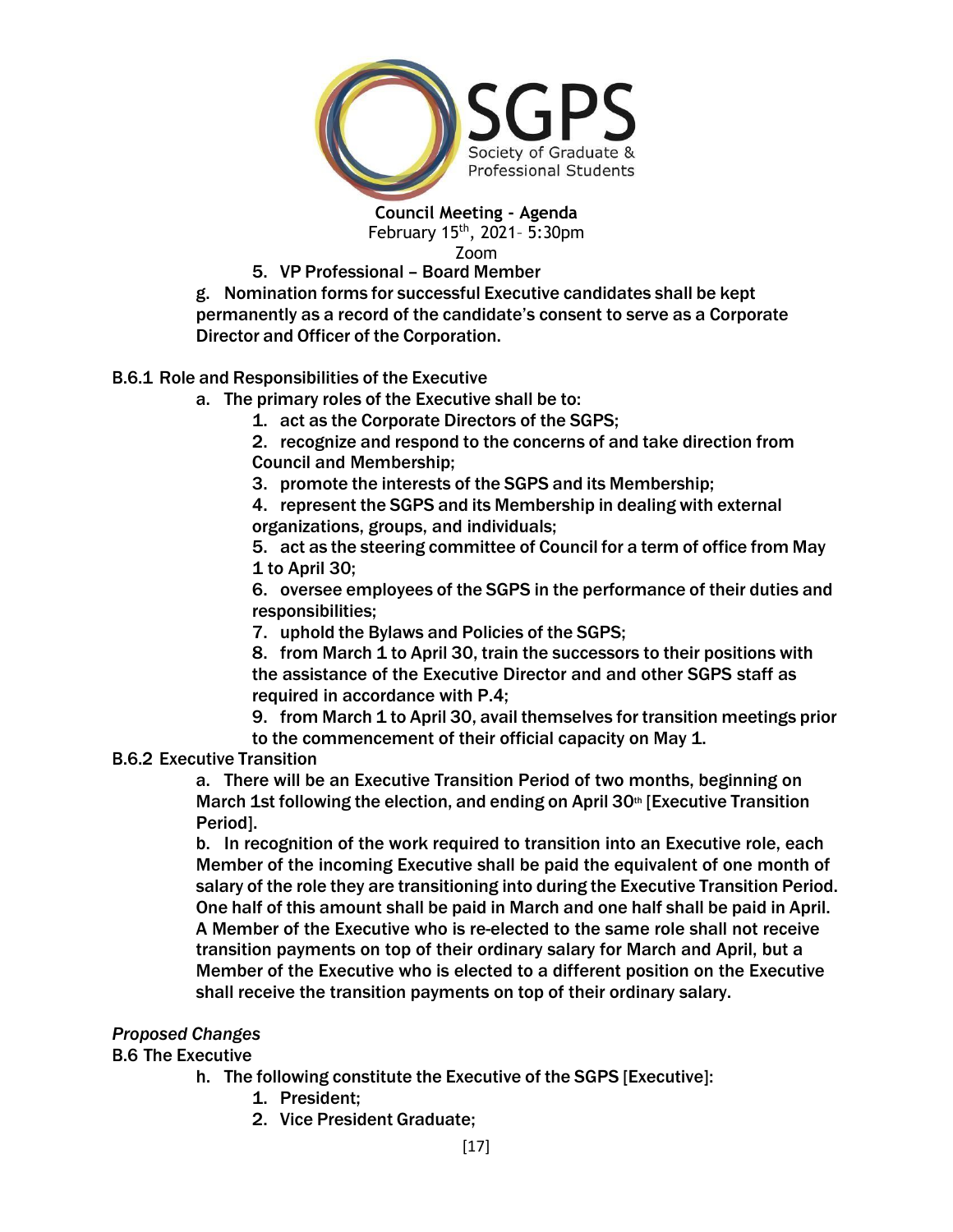

## 5. VP Professional – Board Member

g. Nomination forms for successful Executive candidates shall be kept permanently as a record of the candidate's consent to serve as a Corporate Director and Officer of the Corporation.

# B.6.1 Role and Responsibilities of the Executive

a. The primary roles of the Executive shall be to:

1. act as the Corporate Directors of the SGPS;

2. recognize and respond to the concerns of and take direction from Council and Membership;

3. promote the interests of the SGPS and its Membership;

4. represent the SGPS and its Membership in dealing with external organizations, groups, and individuals;

5. act as the steering committee of Council for a term of office from May 1 to April 30;

6. oversee employees of the SGPS in the performance of their duties and responsibilities;

7. uphold the Bylaws and Policies of the SGPS;

8. from March 1 to April 30, train the successors to their positions with the assistance of the Executive Director and and other SGPS staff as required in accordance with P.4;

9. from March 1 to April 30, avail themselves for transition meetings prior

to the commencement of their official capacity on May 1.

#### B.6.2 Executive Transition

a. There will be an Executive Transition Period of two months, beginning on March 1st following the election, and ending on April 30th [Executive Transition] Period].

b. In recognition of the work required to transition into an Executive role, each Member of the incoming Executive shall be paid the equivalent of one month of salary of the role they are transitioning into during the Executive Transition Period. One half of this amount shall be paid in March and one half shall be paid in April. A Member of the Executive who is re-elected to the same role shall not receive transition payments on top of their ordinary salary for March and April, but a Member of the Executive who is elected to a different position on the Executive shall receive the transition payments on top of their ordinary salary.

# *Proposed Changes*

# B.6 The Executive

- h. The following constitute the Executive of the SGPS [Executive]:
	- 1. President;
	- 2. Vice President Graduate;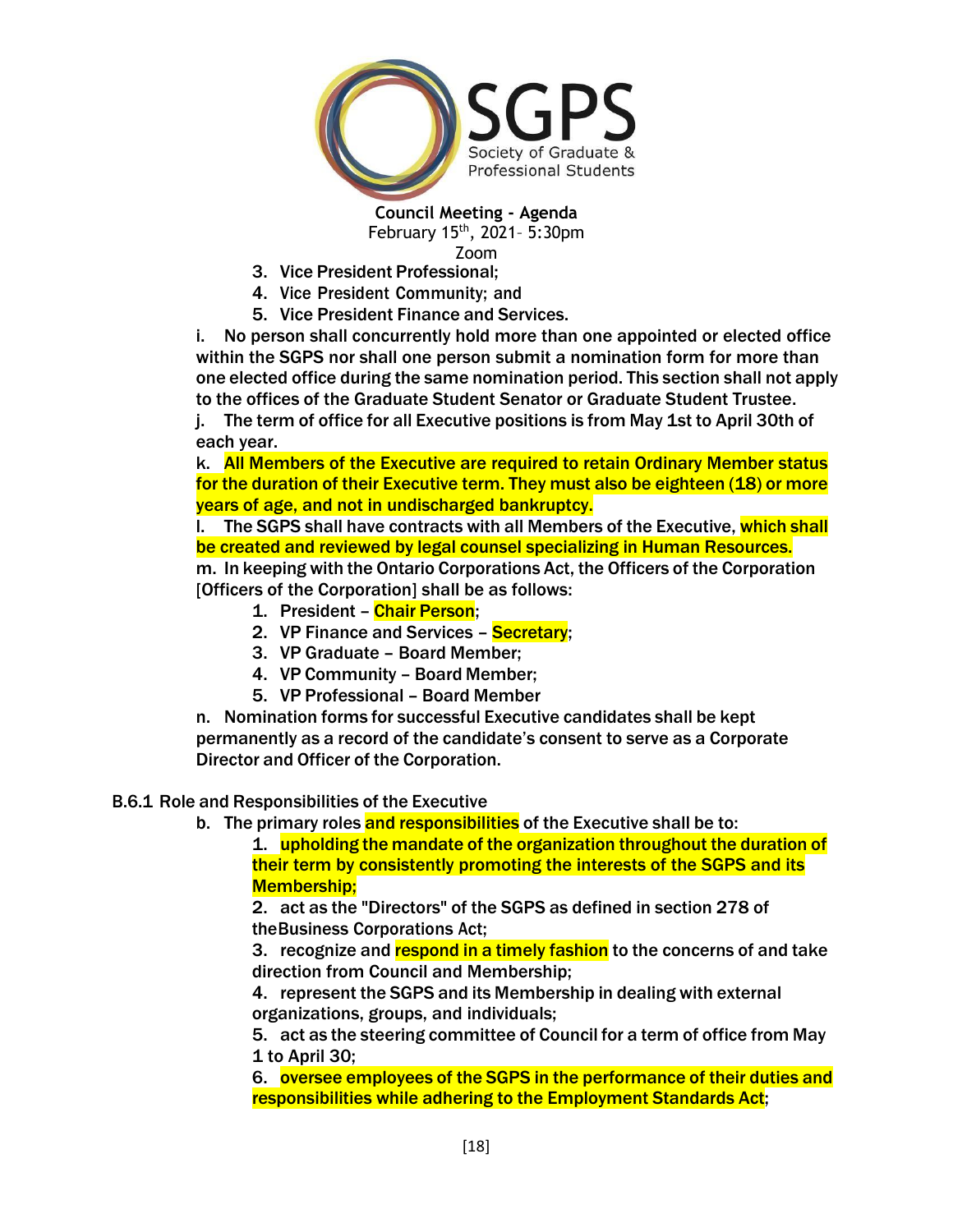

- 3. Vice President Professional;
- 4. Vice President Community; and
- 5. Vice President Finance and Services.

i. No person shall concurrently hold more than one appointed or elected office within the SGPS nor shall one person submit a nomination form for more than one elected office during the same nomination period. This section shall not apply to the offices of the Graduate Student Senator or Graduate Student Trustee.

j. The term of office for all Executive positions is from May 1st to April 30th of each year.

k. All Members of the Executive are required to retain Ordinary Member status for the duration of their Executive term. They must also be eighteen (18) or more years of age, and not in undischarged bankruptcy.

l. The SGPS shall have contracts with all Members of the Executive, which shall be created and reviewed by legal counsel specializing in Human Resources.

m. In keeping with the Ontario Corporations Act, the Officers of the Corporation [Officers of the Corporation] shall be as follows:

- 1. President Chair Person;
- 2. VP Finance and Services Secretary;
- 3. VP Graduate Board Member;
- 4. VP Community Board Member;
- 5. VP Professional Board Member

n. Nomination forms for successful Executive candidates shall be kept permanently as a record of the candidate's consent to serve as a Corporate Director and Officer of the Corporation.

#### B.6.1 Role and Responsibilities of the Executive

b. The primary roles and responsibilities of the Executive shall be to:

1. upholding the mandate of the organization throughout the duration of their term by consistently promoting the interests of the SGPS and its Membership;

2. act as the "Directors" of the SGPS as defined in section 278 of theBusiness Corporations Act;

3. recognize and respond in a timely fashion to the concerns of and take direction from Council and Membership;

4. represent the SGPS and its Membership in dealing with external organizations, groups, and individuals;

5. act as the steering committee of Council for a term of office from May 1 to April 30;

6. oversee employees of the SGPS in the performance of their duties and responsibilities while adhering to the Employment Standards Act;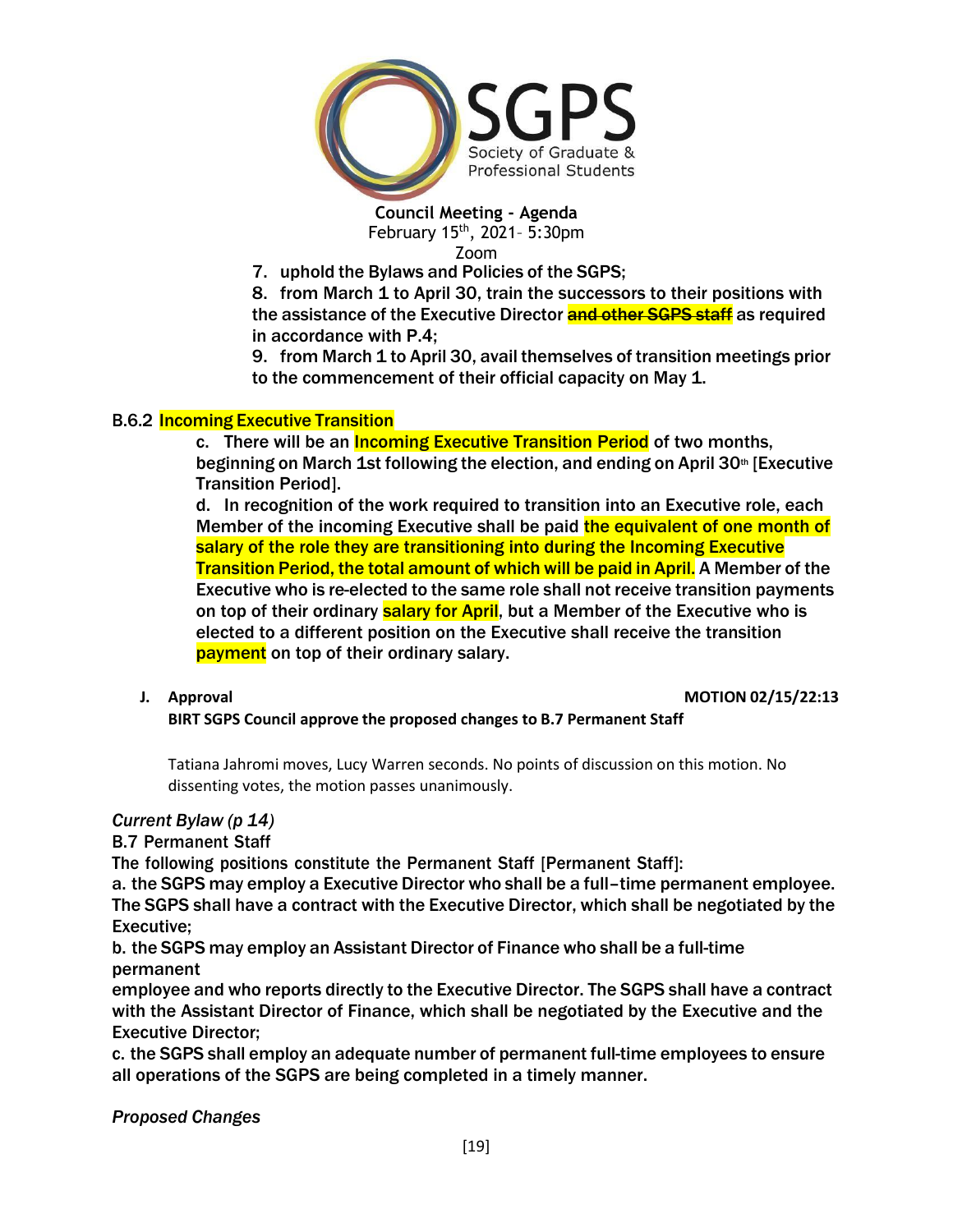

7. uphold the Bylaws and Policies of the SGPS;

8. from March 1 to April 30, train the successors to their positions with the assistance of the Executive Director **and other SGPS staff** as required in accordance with P.4;

9. from March 1 to April 30, avail themselves of transition meetings prior to the commencement of their official capacity on May 1.

#### B.6.2 Incoming Executive Transition

c. There will be an **Incoming Executive Transition Period** of two months, beginning on March 1st following the election, and ending on April 30th [Executive Transition Period].

d. In recognition of the work required to transition into an Executive role, each Member of the incoming Executive shall be paid the equivalent of one month of salary of the role they are transitioning into during the Incoming Executive Transition Period, the total amount of which will be paid in April. A Member of the Executive who is re-elected to the same role shall not receive transition payments on top of their ordinary salary for April, but a Member of the Executive who is elected to a different position on the Executive shall receive the transition payment on top of their ordinary salary.

#### **J. Approval MOTION 02/15/22:13**

**BIRT SGPS Council approve the proposed changes to B.7 Permanent Staff**

Tatiana Jahromi moves, Lucy Warren seconds. No points of discussion on this motion. No dissenting votes, the motion passes unanimously.

#### *Current Bylaw (p 14)*

B.7 Permanent Staff

The following positions constitute the Permanent Staff [Permanent Staff]:

a. the SGPS may employ a Executive Director who shall be a full–time permanent employee. The SGPS shall have a contract with the Executive Director, which shall be negotiated by the Executive;

b. the SGPS may employ an Assistant Director of Finance who shall be a full-time permanent

employee and who reports directly to the Executive Director. The SGPS shall have a contract with the Assistant Director of Finance, which shall be negotiated by the Executive and the Executive Director;

c. the SGPS shall employ an adequate number of permanent full-time employees to ensure all operations of the SGPS are being completed in a timely manner.

*Proposed Changes*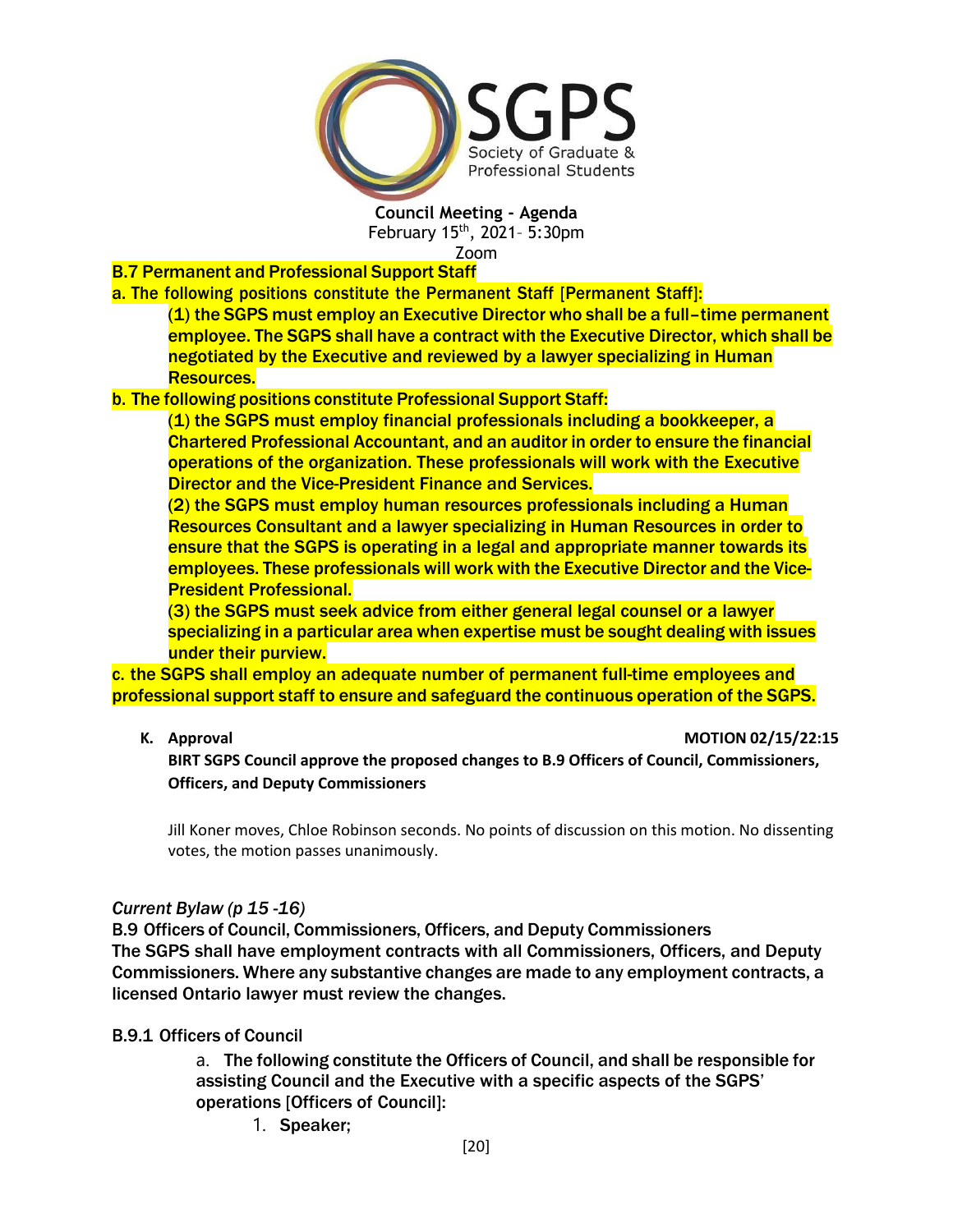

## B.7 Permanent and Professional Support Staff

a. The following positions constitute the Permanent Staff [Permanent Staff]:

(1) the SGPS must employ an Executive Director who shall be a full–time permanent employee. The SGPS shall have a contract with the Executive Director, which shall be negotiated by the Executive and reviewed by a lawyer specializing in Human Resources.

#### b. The following positions constitute Professional Support Staff:

(1) the SGPS must employ financial professionals including a bookkeeper, a Chartered Professional Accountant, and an auditor in order to ensure the financial operations of the organization. These professionals will work with the Executive Director and the Vice-President Finance and Services.

(2) the SGPS must employ human resources professionals including a Human Resources Consultant and a lawyer specializing in Human Resources in order to ensure that the SGPS is operating in a legal and appropriate manner towards its employees. These professionals will work with the Executive Director and the Vice-President Professional.

(3) the SGPS must seek advice from either general legal counsel or a lawyer specializing in a particular area when expertise must be sought dealing with issues under their purview.

c. the SGPS shall employ an adequate number of permanent full-time employees and professional support staff to ensure and safeguard the continuous operation of the SGPS.

#### **K. Approval MOTION 02/15/22:15**

**BIRT SGPS Council approve the proposed changes to B.9 Officers of Council, Commissioners, Officers, and Deputy Commissioners**

Jill Koner moves, Chloe Robinson seconds. No points of discussion on this motion. No dissenting votes, the motion passes unanimously.

#### *Current Bylaw (p 15 -16)*

B.9 Officers of Council, Commissioners, Officers, and Deputy Commissioners The SGPS shall have employment contracts with all Commissioners, Officers, and Deputy Commissioners. Where any substantive changes are made to any employment contracts, a licensed Ontario lawyer must review the changes.

#### B.9.1 Officers of Council

a. The following constitute the Officers of Council, and shall be responsible for assisting Council and the Executive with a specific aspects of the SGPS' operations [Officers of Council]:

1. Speaker;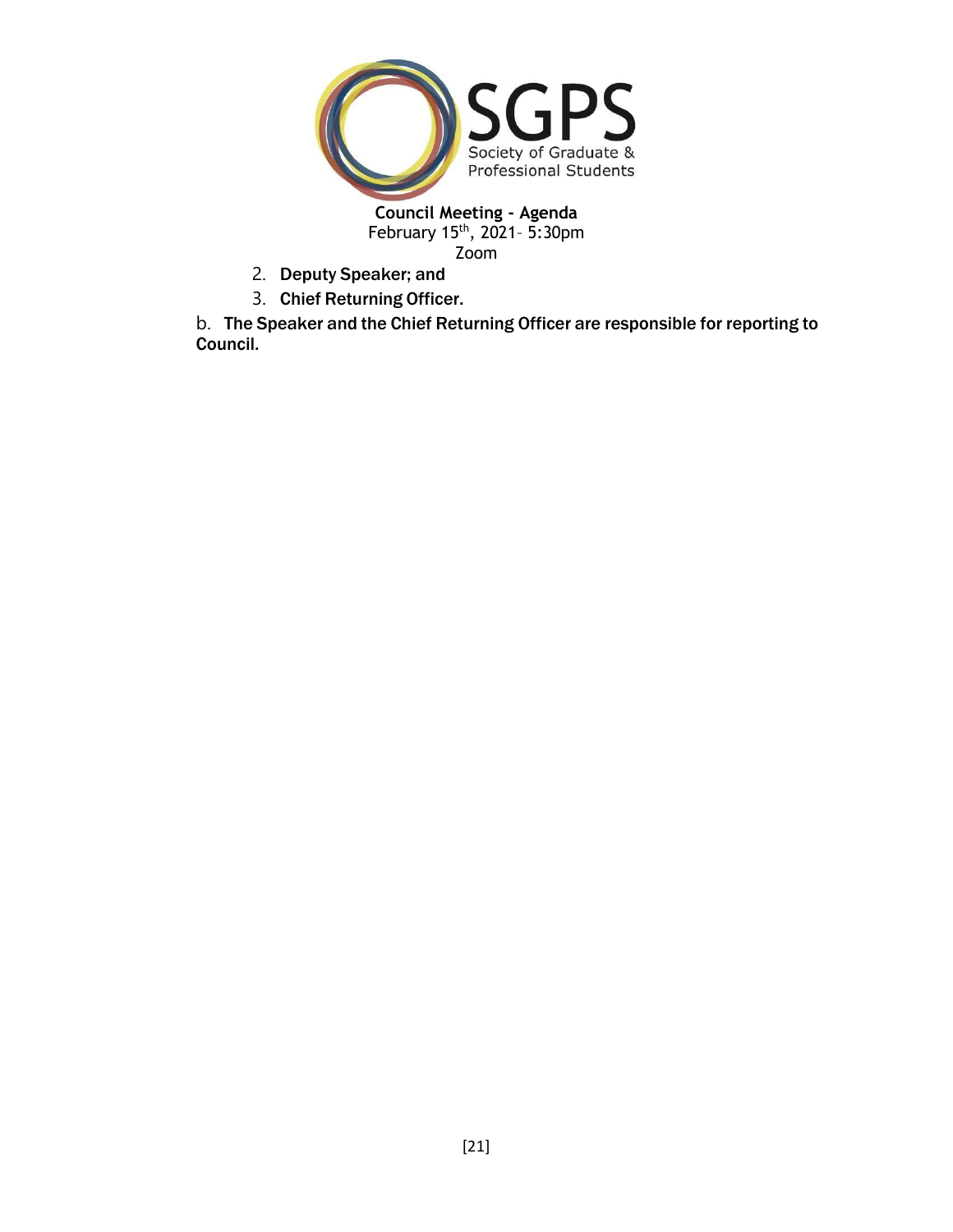

- 2. Deputy Speaker; and
- 3. Chief Returning Officer.

b. The Speaker and the Chief Returning Officer are responsible for reporting to Council.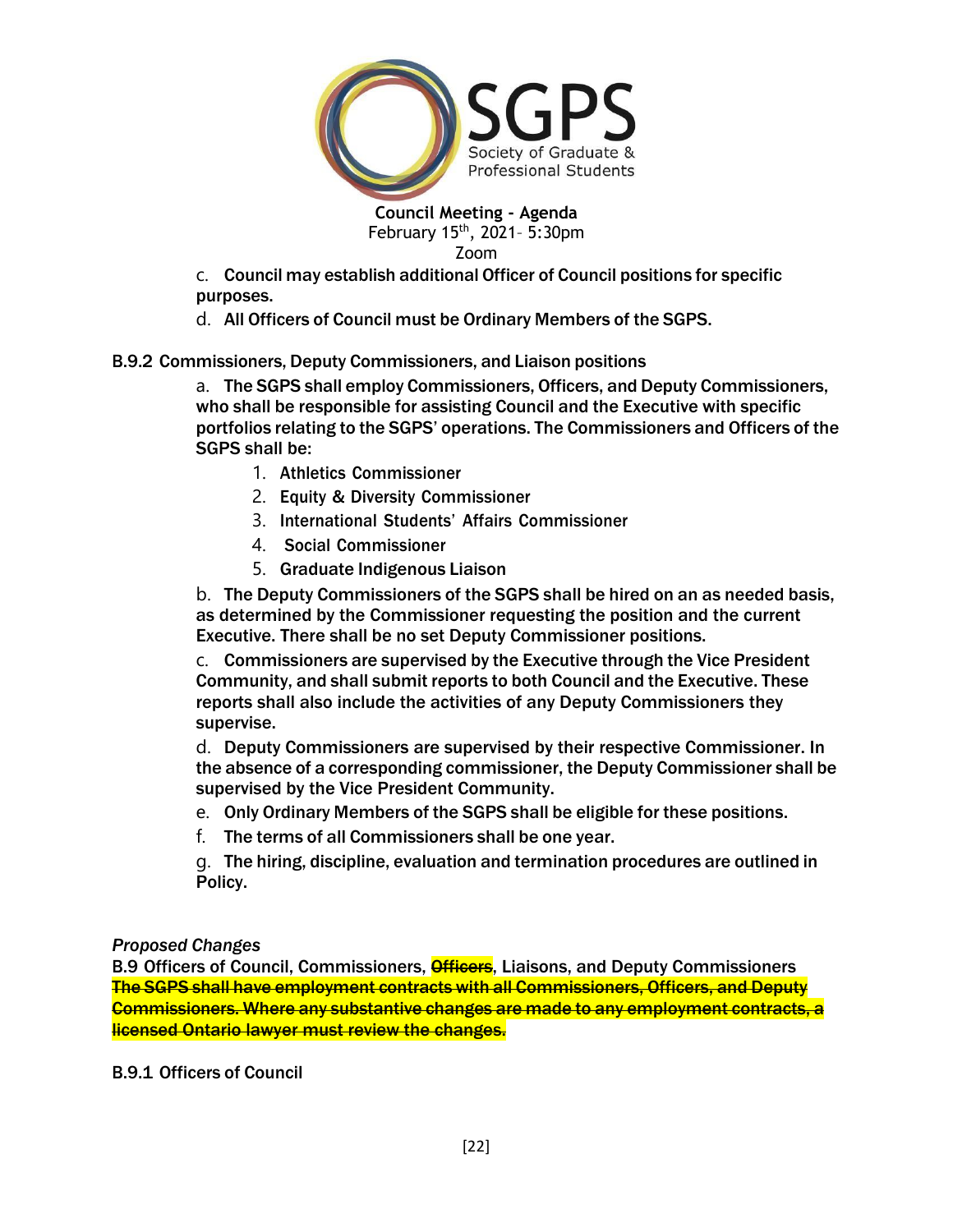

c. Council may establish additional Officer of Council positions for specific purposes.

d. All Officers of Council must be Ordinary Members of the SGPS.

B.9.2 Commissioners, Deputy Commissioners, and Liaison positions

a. The SGPS shall employ Commissioners, Officers, and Deputy Commissioners, who shall be responsible for assisting Council and the Executive with specific portfolios relating to the SGPS' operations. The Commissioners and Officers of the SGPS shall be:

- 1. Athletics Commissioner
- 2. Equity & Diversity Commissioner
- 3. International Students' Affairs Commissioner
- 4. Social Commissioner
- 5. Graduate Indigenous Liaison

b. The Deputy Commissioners of the SGPS shall be hired on an as needed basis, as determined by the Commissioner requesting the position and the current Executive. There shall be no set Deputy Commissioner positions.

c. Commissioners are supervised by the Executive through the Vice President Community, and shall submit reports to both Council and the Executive. These reports shall also include the activities of any Deputy Commissioners they supervise.

d. Deputy Commissioners are supervised by their respective Commissioner. In the absence of a corresponding commissioner, the Deputy Commissioner shall be supervised by the Vice President Community.

- e. Only Ordinary Members of the SGPS shall be eligible for these positions.
- f. The terms of all Commissioners shall be one year.

g. The hiring, discipline, evaluation and termination procedures are outlined in Policy.

# *Proposed Changes*

B.9 Officers of Council, Commissioners, **Officers**, Liaisons, and Deputy Commissioners The SGPS shall have employment contracts with all Commissioners, Officers, and Deputy Commissioners. Where any substantive changes are made to any employment contracts, a licensed Ontario lawyer must review the changes.

B.9.1 Officers of Council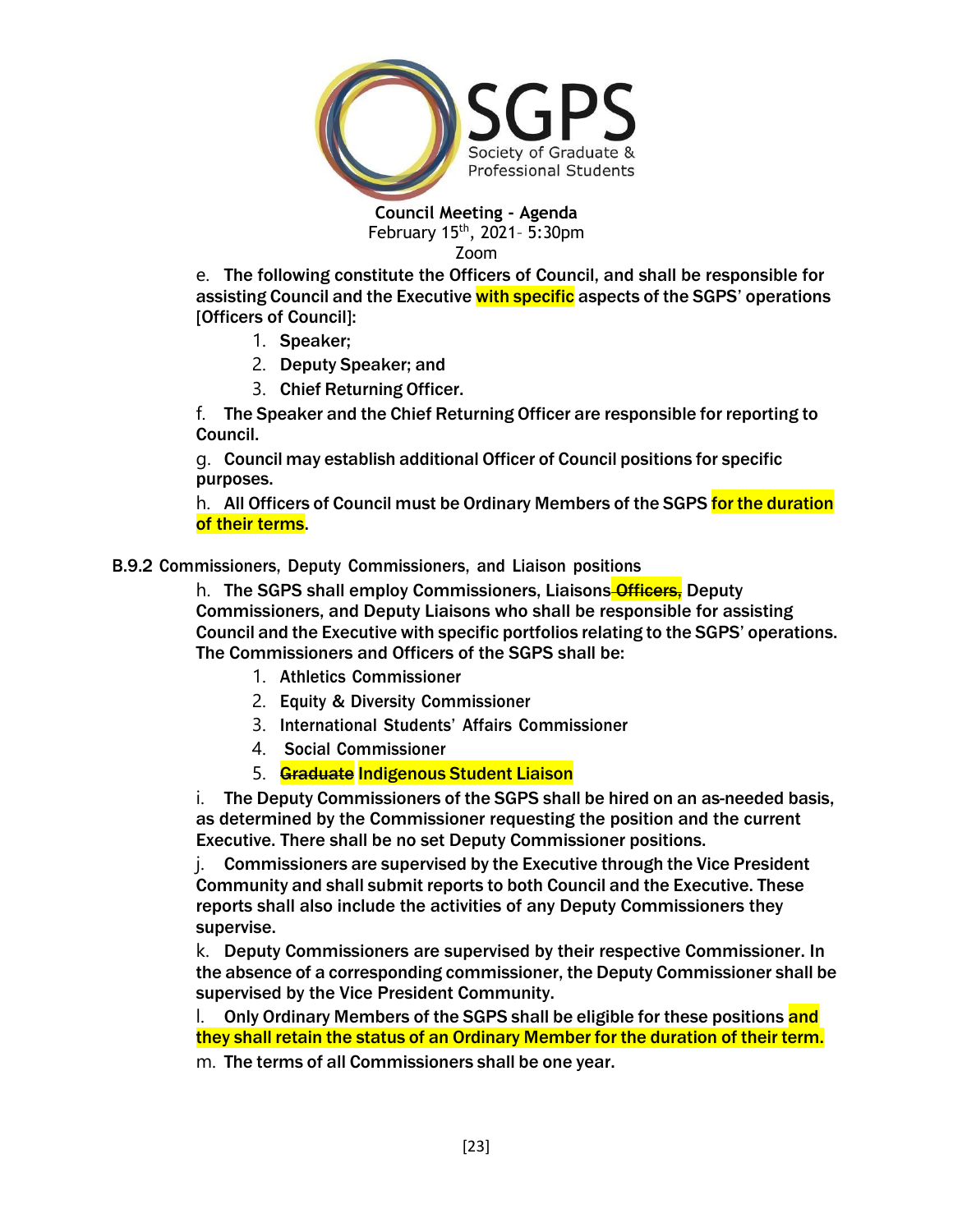

e. The following constitute the Officers of Council, and shall be responsible for assisting Council and the Executive with specific aspects of the SGPS' operations [Officers of Council]:

- 1. Speaker;
- 2. Deputy Speaker; and
- 3. Chief Returning Officer.

f. The Speaker and the Chief Returning Officer are responsible for reporting to Council.

g. Council may establish additional Officer of Council positions for specific purposes.

h. All Officers of Council must be Ordinary Members of the SGPS for the duration of their terms.

# B.9.2 Commissioners, Deputy Commissioners, and Liaison positions

h. The SGPS shall employ Commissioners, Liaisons Officers, Deputy Commissioners, and Deputy Liaisons who shall be responsible for assisting Council and the Executive with specific portfolios relating to the SGPS' operations. The Commissioners and Officers of the SGPS shall be:

- 1. Athletics Commissioner
- 2. Equity & Diversity Commissioner
- 3. International Students' Affairs Commissioner
- 4. Social Commissioner
- 5. Graduate Indigenous Student Liaison

i. The Deputy Commissioners of the SGPS shall be hired on an as-needed basis, as determined by the Commissioner requesting the position and the current Executive. There shall be no set Deputy Commissioner positions.

j. Commissioners are supervised by the Executive through the Vice President Community and shall submit reports to both Council and the Executive. These reports shall also include the activities of any Deputy Commissioners they supervise.

k. Deputy Commissioners are supervised by their respective Commissioner. In the absence of a corresponding commissioner, the Deputy Commissioner shall be supervised by the Vice President Community.

l. Only Ordinary Members of the SGPS shall be eligible for these positions and they shall retain the status of an Ordinary Member for the duration of their term.

m. The terms of all Commissioners shall be one year.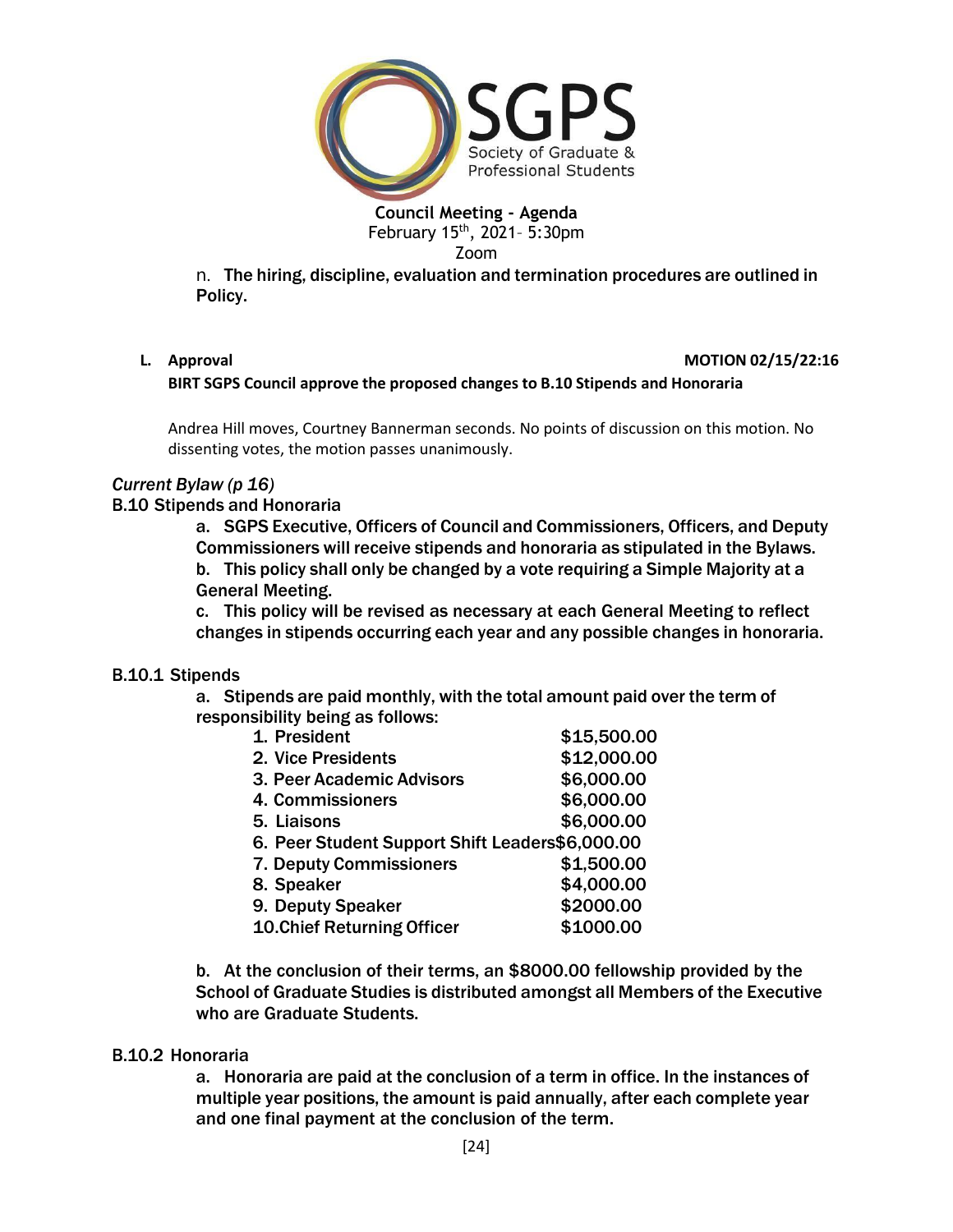

n. The hiring, discipline, evaluation and termination procedures are outlined in Policy.

#### **L. Approval MOTION 02/15/22:16**

## **BIRT SGPS Council approve the proposed changes to B.10 Stipends and Honoraria**

Andrea Hill moves, Courtney Bannerman seconds. No points of discussion on this motion. No dissenting votes, the motion passes unanimously.

#### *Current Bylaw (p 16)*

## B.10 Stipends and Honoraria

a. SGPS Executive, Officers of Council and Commissioners, Officers, and Deputy Commissioners will receive stipends and honoraria as stipulated in the Bylaws. b. This policy shall only be changed by a vote requiring a Simple Majority at a General Meeting.

c. This policy will be revised as necessary at each General Meeting to reflect changes in stipends occurring each year and any possible changes in honoraria.

#### B.10.1 Stipends

a. Stipends are paid monthly, with the total amount paid over the term of responsibility being as follows:

| 1. President                                    | \$15,500.00 |  |
|-------------------------------------------------|-------------|--|
| 2. Vice Presidents                              | \$12,000.00 |  |
| 3. Peer Academic Advisors                       | \$6,000.00  |  |
| 4. Commissioners                                | \$6,000.00  |  |
| 5. Liaisons                                     | \$6,000.00  |  |
| 6. Peer Student Support Shift Leaders\$6,000.00 |             |  |
| 7. Deputy Commissioners                         | \$1,500.00  |  |
| 8. Speaker                                      | \$4,000.00  |  |
| 9. Deputy Speaker                               | \$2000.00   |  |
| <b>10.Chief Returning Officer</b>               | \$1000.00   |  |
|                                                 |             |  |

b. At the conclusion of their terms, an \$8000.00 fellowship provided by the School of Graduate Studies is distributed amongst all Members of the Executive who are Graduate Students.

#### B.10.2 Honoraria

a. Honoraria are paid at the conclusion of a term in office. In the instances of multiple year positions, the amount is paid annually, after each complete year and one final payment at the conclusion of the term.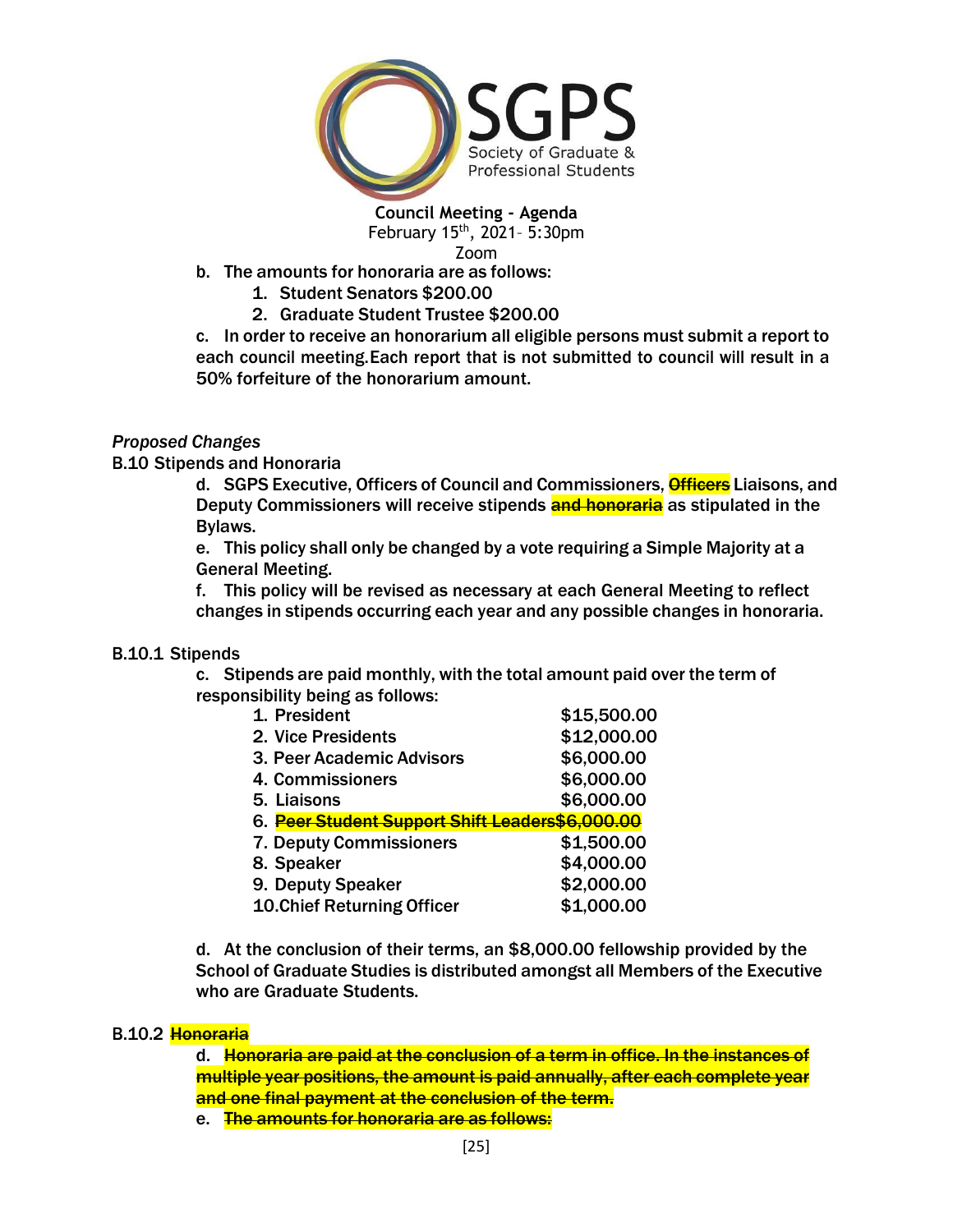

- b. The amounts for honoraria are as follows:
	- 1. Student Senators \$200.00
	- 2. Graduate Student Trustee \$200.00

c. In order to receive an honorarium all eligible persons must submit a report to each council meeting.Each report that is not submitted to council will result in a 50% forfeiture of the honorarium amount.

## *Proposed Changes*

B.10 Stipends and Honoraria

d. SGPS Executive, Officers of Council and Commissioners, **Officers** Liaisons, and Deputy Commissioners will receive stipends and honoraria as stipulated in the Bylaws.

e. This policy shall only be changed by a vote requiring a Simple Majority at a General Meeting.

f. This policy will be revised as necessary at each General Meeting to reflect changes in stipends occurring each year and any possible changes in honoraria.

#### B.10.1 Stipends

c. Stipends are paid monthly, with the total amount paid over the term of responsibility being as follows:

| 1. President                                    | \$15,500.00 |
|-------------------------------------------------|-------------|
| 2. Vice Presidents                              | \$12,000.00 |
| 3. Peer Academic Advisors                       | \$6,000.00  |
| 4. Commissioners                                | \$6,000.00  |
| 5. Liaisons                                     | \$6,000.00  |
| 6. Peer Student Support Shift Leaders\$6,000.00 |             |
| 7. Deputy Commissioners                         | \$1,500.00  |
| 8. Speaker                                      | \$4,000.00  |
| 9. Deputy Speaker                               | \$2,000.00  |
| <b>10.Chief Returning Officer</b>               | \$1,000.00  |
|                                                 |             |

d. At the conclusion of their terms, an \$8,000.00 fellowship provided by the School of Graduate Studies is distributed amongst all Members of the Executive who are Graduate Students.

#### B.10.2 Honoraria

d. Honoraria are paid at the conclusion of a term in office. In the instances of multiple year positions, the amount is paid annually, after each complete year and one final payment at the conclusion of the term.

e. The amounts for honoraria are as follows: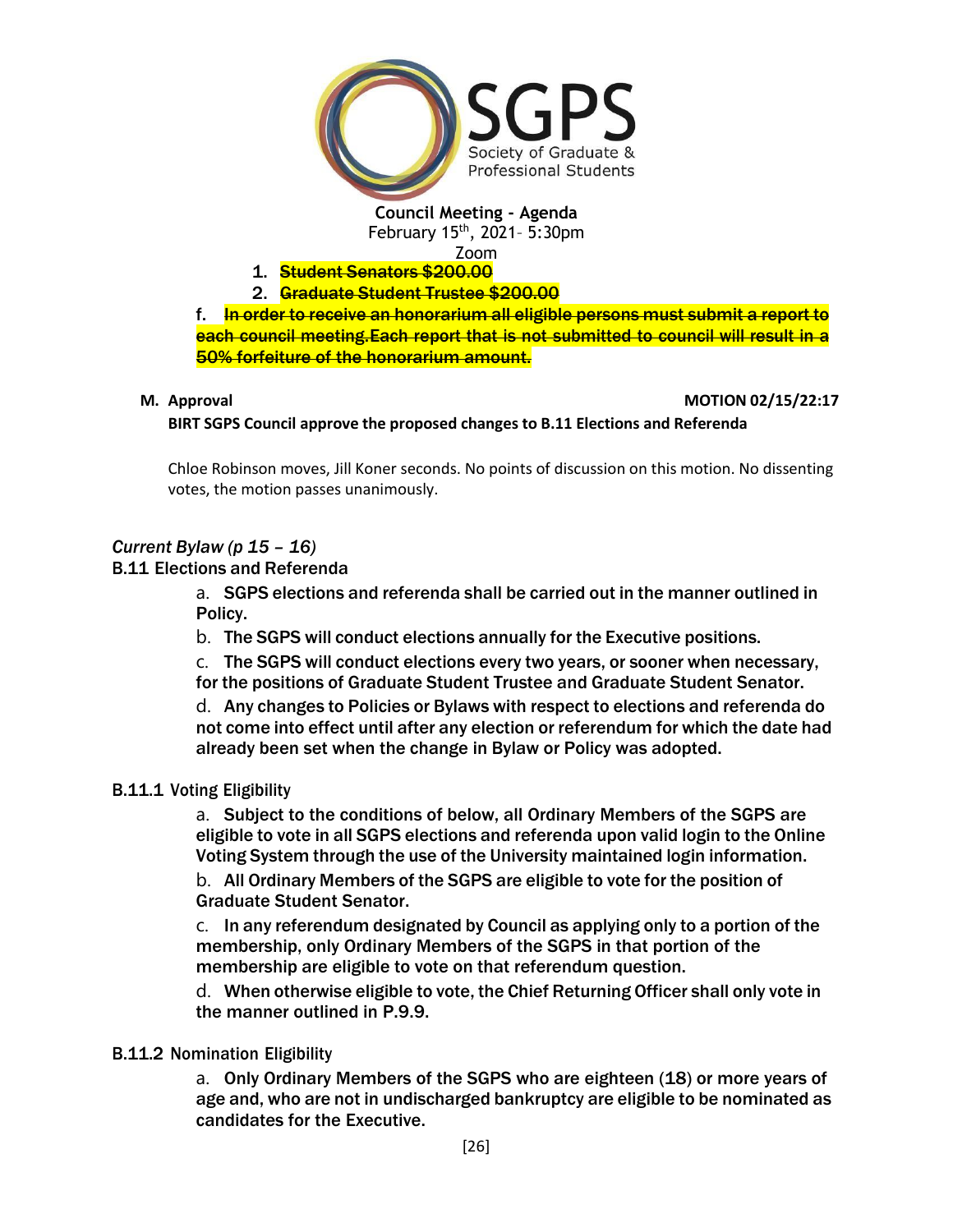

- 1. Student Senators \$200.00
- 2. Graduate Student Trustee \$200.00

f. In order to receive an honorarium all eligible persons must submit a report to each council meeting. Each report that is not submitted to council will result in a 50% forfeiture of the honorarium amount.

#### **M. Approval MOTION 02/15/22:17**

**BIRT SGPS Council approve the proposed changes to B.11 Elections and Referenda**

Chloe Robinson moves, Jill Koner seconds. No points of discussion on this motion. No dissenting votes, the motion passes unanimously.

## *Current Bylaw (p 15 – 16)*

#### B.11 Elections and Referenda

a. SGPS elections and referenda shall be carried out in the manner outlined in Policy.

b. The SGPS will conduct elections annually for the Executive positions.

c. The SGPS will conduct elections every two years, or sooner when necessary, for the positions of Graduate Student Trustee and Graduate Student Senator.

d. Any changes to Policies or Bylaws with respect to elections and referenda do not come into effect until after any election or referendum for which the date had already been set when the change in Bylaw or Policy was adopted.

#### B.11.1 Voting Eligibility

a. Subject to the conditions of below, all Ordinary Members of the SGPS are eligible to vote in all SGPS elections and referenda upon valid login to the Online Voting System through the use of the University maintained login information.

b. All Ordinary Members of the SGPS are eligible to vote for the position of Graduate Student Senator.

c. In any referendum designated by Council as applying only to a portion of the membership, only Ordinary Members of the SGPS in that portion of the membership are eligible to vote on that referendum question.

d. When otherwise eligible to vote, the Chief Returning Officer shall only vote in the manner outlined in P.9.9.

#### B.11.2 Nomination Eligibility

a. Only Ordinary Members of the SGPS who are eighteen (18) or more years of age and, who are not in undischarged bankruptcy are eligible to be nominated as candidates for the Executive.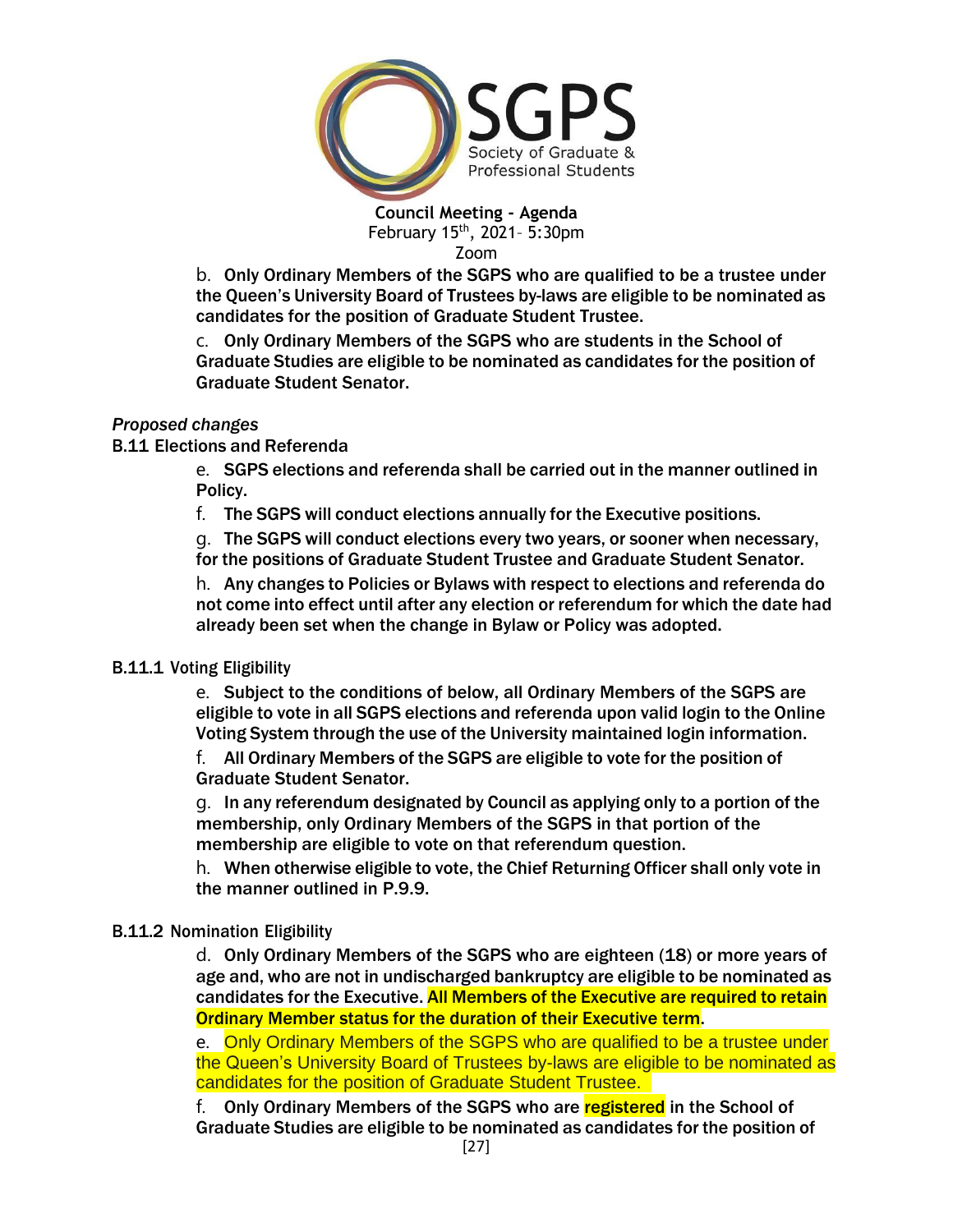

b. Only Ordinary Members of the SGPS who are qualified to be a trustee under the Queen's University Board of Trustees by-laws are eligible to be nominated as candidates for the position of Graduate Student Trustee.

c. Only Ordinary Members of the SGPS who are students in the School of Graduate Studies are eligible to be nominated as candidates for the position of Graduate Student Senator.

#### *Proposed changes*

B.11 Elections and Referenda

e. SGPS elections and referenda shall be carried out in the manner outlined in Policy.

f. The SGPS will conduct elections annually for the Executive positions.

g. The SGPS will conduct elections every two years, or sooner when necessary, for the positions of Graduate Student Trustee and Graduate Student Senator.

h. Any changes to Policies or Bylaws with respect to elections and referenda do not come into effect until after any election or referendum for which the date had already been set when the change in Bylaw or Policy was adopted.

#### B.11.1 Voting Eligibility

e. Subject to the conditions of below, all Ordinary Members of the SGPS are eligible to vote in all SGPS elections and referenda upon valid login to the Online Voting System through the use of the University maintained login information.

f. All Ordinary Members of the SGPS are eligible to vote for the position of Graduate Student Senator.

g. In any referendum designated by Council as applying only to a portion of the membership, only Ordinary Members of the SGPS in that portion of the membership are eligible to vote on that referendum question.

h. When otherwise eligible to vote, the Chief Returning Officer shall only vote in the manner outlined in P.9.9.

#### B.11.2 Nomination Eligibility

d. Only Ordinary Members of the SGPS who are eighteen (18) or more years of age and, who are not in undischarged bankruptcy are eligible to be nominated as candidates for the Executive. All Members of the Executive are required to retain Ordinary Member status for the duration of their Executive term.

e. Only Ordinary Members of the SGPS who are qualified to be a trustee under the Queen's University Board of Trustees by-laws are eligible to be nominated as candidates for the position of Graduate Student Trustee.

f. Only Ordinary Members of the SGPS who are registered in the School of Graduate Studies are eligible to be nominated as candidates for the position of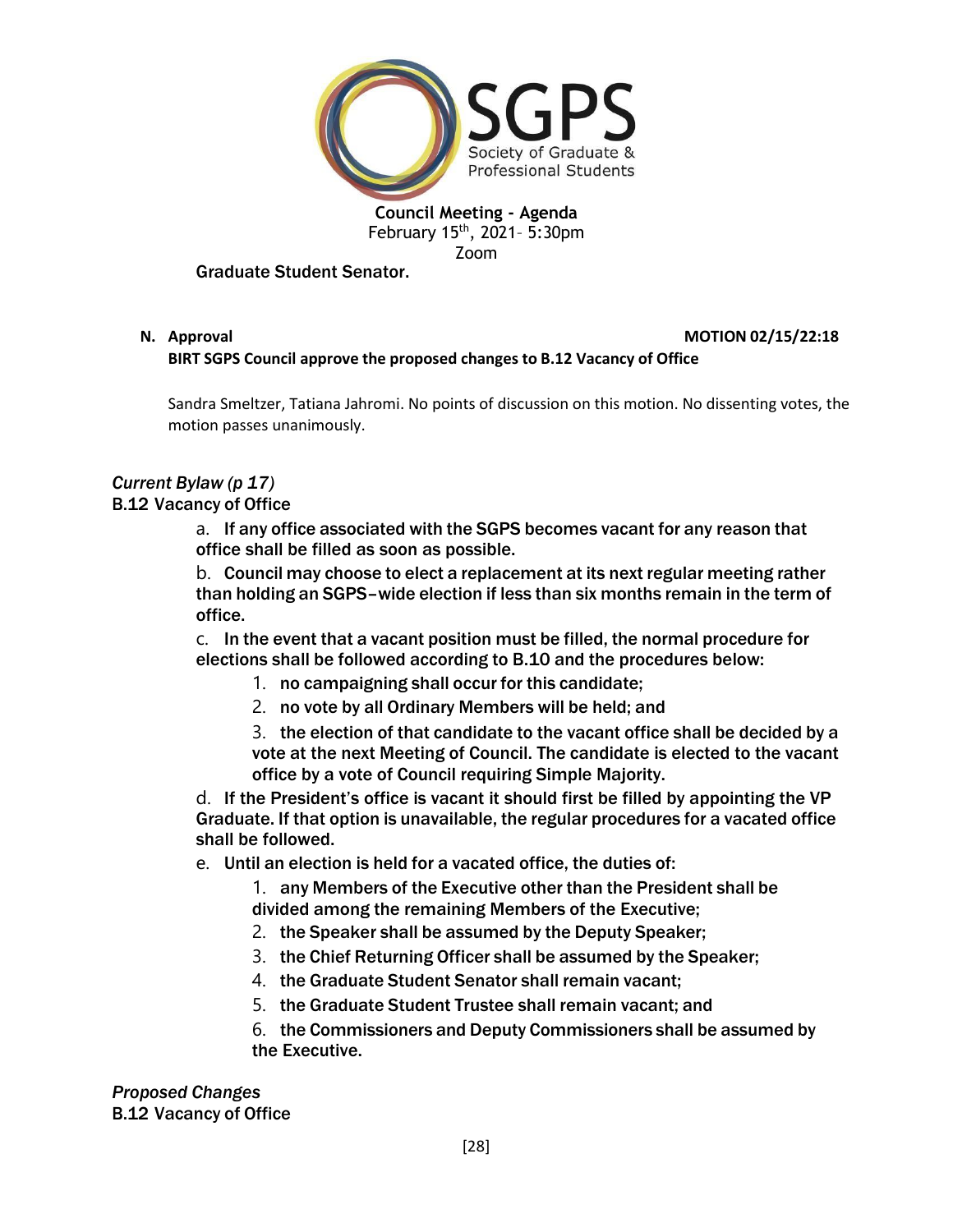

Graduate Student Senator.

#### **N. Approval MOTION 02/15/22:18**

# **BIRT SGPS Council approve the proposed changes to B.12 Vacancy of Office**

Sandra Smeltzer, Tatiana Jahromi. No points of discussion on this motion. No dissenting votes, the motion passes unanimously.

# *Current Bylaw (p 17)*

B.12 Vacancy of Office

a. If any office associated with the SGPS becomes vacant for any reason that office shall be filled as soon as possible.

b. Council may choose to elect a replacement at its next regular meeting rather than holding an SGPS–wide election if less than six months remain in the term of office.

c. In the event that a vacant position must be filled, the normal procedure for elections shall be followed according to B.10 and the procedures below:

- 1. no campaigning shall occur for this candidate;
- 2. no vote by all Ordinary Members will be held; and

3. the election of that candidate to the vacant office shall be decided by a vote at the next Meeting of Council. The candidate is elected to the vacant office by a vote of Council requiring Simple Majority.

d. If the President's office is vacant it should first be filled by appointing the VP Graduate. If that option is unavailable, the regular procedures for a vacated office shall be followed.

e. Until an election is held for a vacated office, the duties of:

1. any Members of the Executive other than the President shall be divided among the remaining Members of the Executive;

- 2. the Speaker shall be assumed by the Deputy Speaker;
- 3. the Chief Returning Officer shall be assumed by the Speaker;
- 4. the Graduate Student Senator shall remain vacant;
- 5. the Graduate Student Trustee shall remain vacant; and
- 6. the Commissioners and Deputy Commissioners shall be assumed by the Executive.

*Proposed Changes* B.12 Vacancy of Office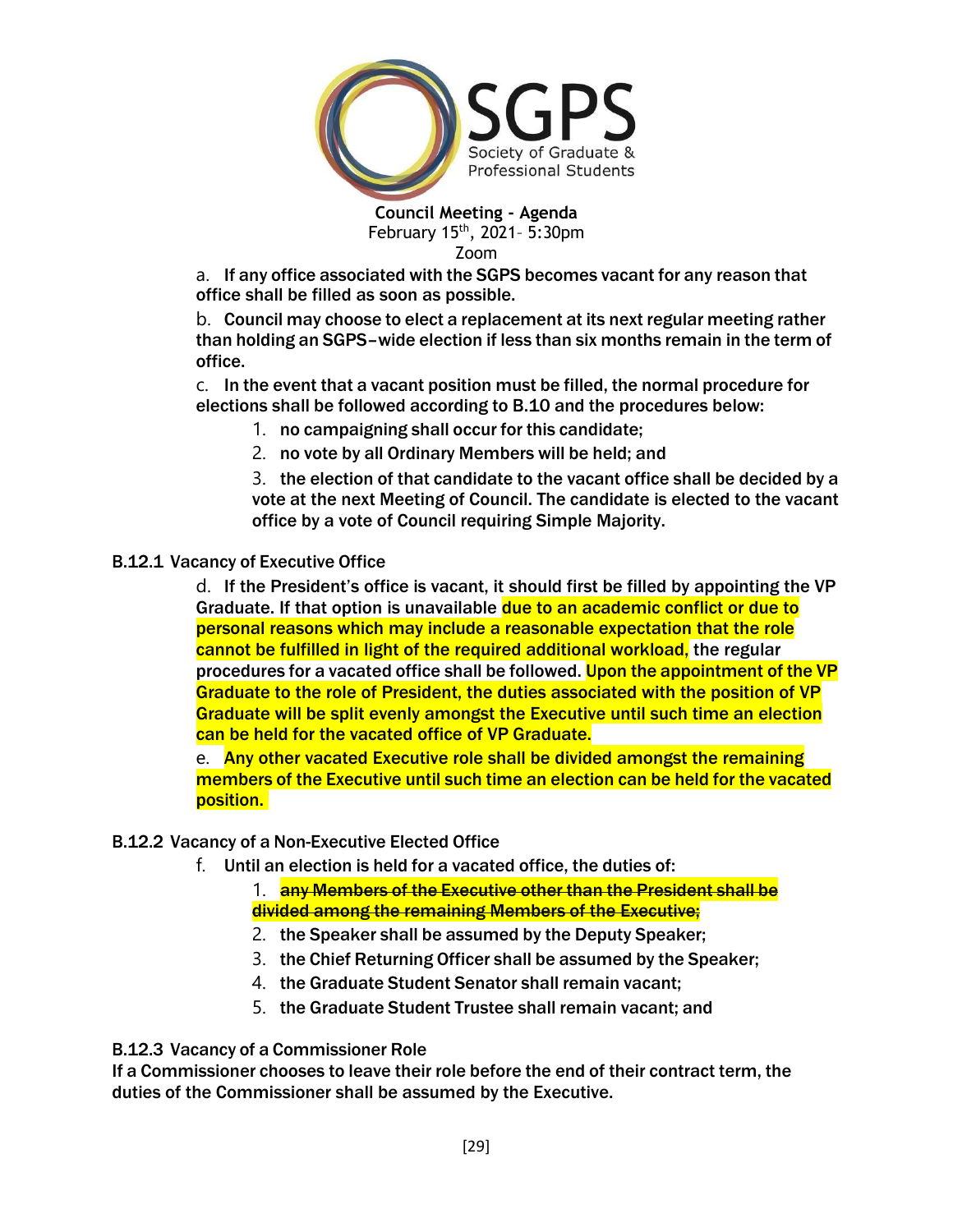

a. If any office associated with the SGPS becomes vacant for any reason that office shall be filled as soon as possible.

b. Council may choose to elect a replacement at its next regular meeting rather than holding an SGPS–wide election if less than six months remain in the term of office.

c. In the event that a vacant position must be filled, the normal procedure for elections shall be followed according to B.10 and the procedures below:

- 1. no campaigning shall occur for this candidate;
- 2. no vote by all Ordinary Members will be held; and

3. the election of that candidate to the vacant office shall be decided by a vote at the next Meeting of Council. The candidate is elected to the vacant office by a vote of Council requiring Simple Majority.

#### B.12.1 Vacancy of Executive Office

d. If the President's office is vacant, it should first be filled by appointing the VP Graduate. If that option is unavailable due to an academic conflict or due to personal reasons which may include a reasonable expectation that the role cannot be fulfilled in light of the required additional workload, the regular procedures for a vacated office shall be followed. Upon the appointment of the VP Graduate to the role of President, the duties associated with the position of VP Graduate will be split evenly amongst the Executive until such time an election can be held for the vacated office of VP Graduate.

e. Any other vacated Executive role shall be divided amongst the remaining members of the Executive until such time an election can be held for the vacated position.

### B.12.2 Vacancy of a Non-Executive Elected Office

- f. Until an election is held for a vacated office, the duties of:
	- 1. **any Members of the Executive other than the President shall be** divided among the remaining Members of the Executive;
	- 2. the Speaker shall be assumed by the Deputy Speaker;
	- 3. the Chief Returning Officer shall be assumed by the Speaker;
	- 4. the Graduate Student Senator shall remain vacant;
	- 5. the Graduate Student Trustee shall remain vacant; and

#### B.12.3 Vacancy of a Commissioner Role

If a Commissioner chooses to leave their role before the end of their contract term, the duties of the Commissioner shall be assumed by the Executive.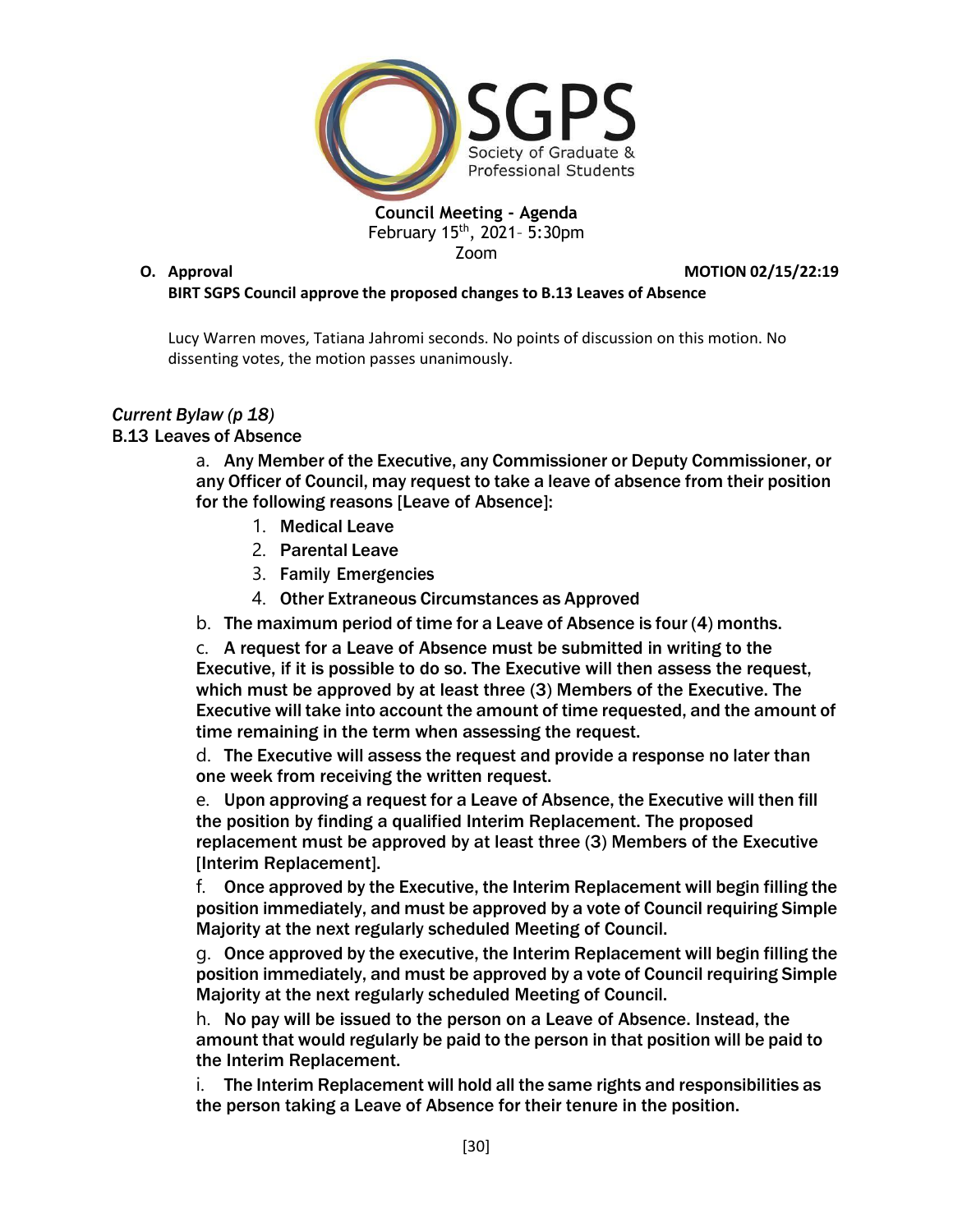

**O. Approval MOTION 02/15/22:19**

#### **BIRT SGPS Council approve the proposed changes to B.13 Leaves of Absence**

Lucy Warren moves, Tatiana Jahromi seconds. No points of discussion on this motion. No dissenting votes, the motion passes unanimously.

## *Current Bylaw (p 18)*

#### B.13 Leaves of Absence

a. Any Member of the Executive, any Commissioner or Deputy Commissioner, or any Officer of Council, may request to take a leave of absence from their position for the following reasons [Leave of Absence]:

- 1. Medical Leave
- 2. Parental Leave
- 3. Family Emergencies
- 4. Other Extraneous Circumstances as Approved
- b. The maximum period of time for a Leave of Absence is four (4) months.

c. A request for a Leave of Absence must be submitted in writing to the Executive, if it is possible to do so. The Executive will then assess the request, which must be approved by at least three (3) Members of the Executive. The Executive will take into account the amount of time requested, and the amount of time remaining in the term when assessing the request.

d. The Executive will assess the request and provide a response no later than one week from receiving the written request.

e. Upon approving a request for a Leave of Absence, the Executive will then fill the position by finding a qualified Interim Replacement. The proposed replacement must be approved by at least three (3) Members of the Executive [Interim Replacement].

f. Once approved by the Executive, the Interim Replacement will begin filling the position immediately, and must be approved by a vote of Council requiring Simple Majority at the next regularly scheduled Meeting of Council.

g. Once approved by the executive, the Interim Replacement will begin filling the position immediately, and must be approved by a vote of Council requiring Simple Majority at the next regularly scheduled Meeting of Council.

h. No pay will be issued to the person on a Leave of Absence. Instead, the amount that would regularly be paid to the person in that position will be paid to the Interim Replacement.

i. The Interim Replacement will hold all the same rights and responsibilities as the person taking a Leave of Absence for their tenure in the position.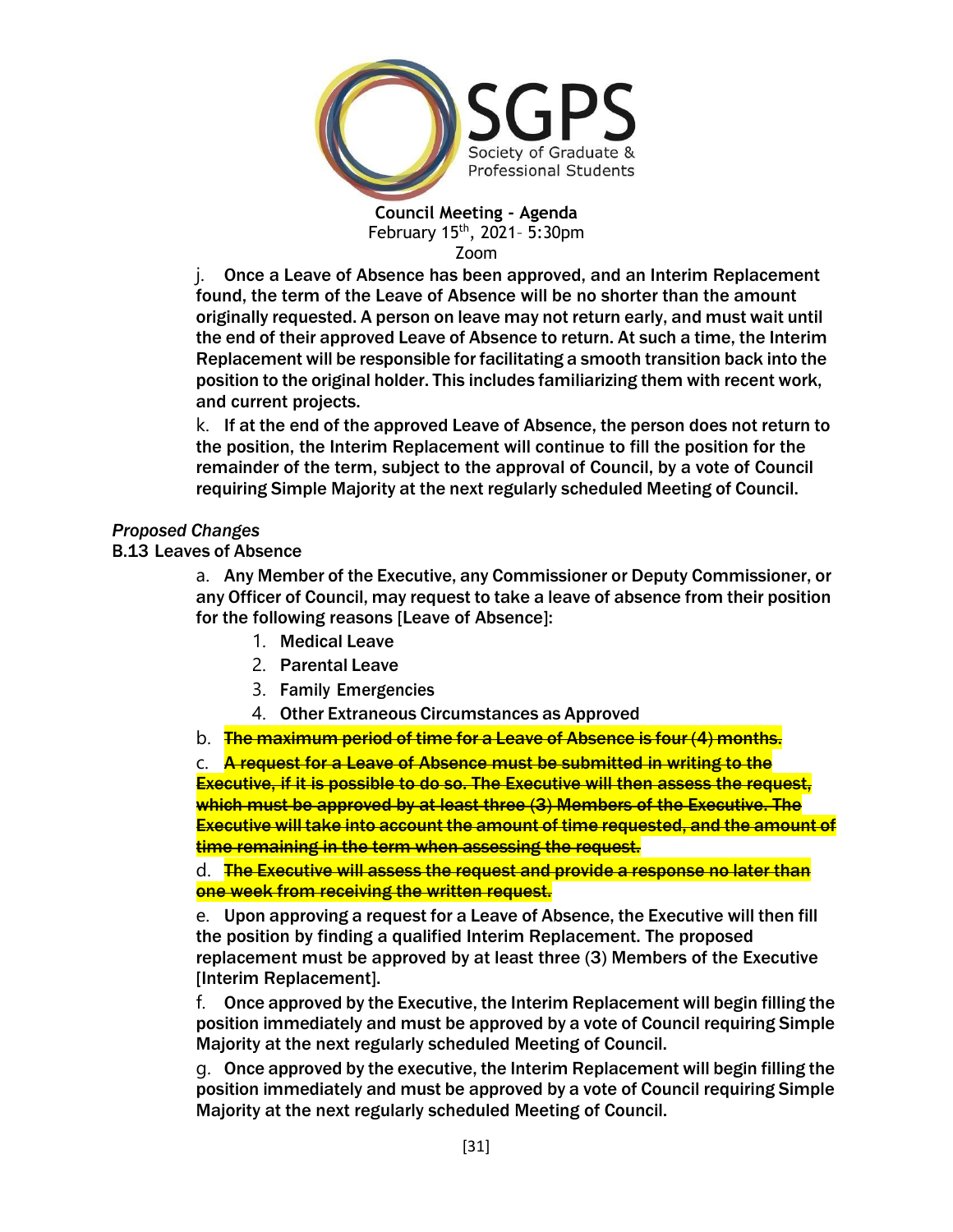

j. Once a Leave of Absence has been approved, and an Interim Replacement found, the term of the Leave of Absence will be no shorter than the amount originally requested. A person on leave may not return early, and must wait until the end of their approved Leave of Absence to return. At such a time, the Interim Replacement will be responsible for facilitating a smooth transition back into the position to the original holder. This includes familiarizing them with recent work, and current projects.

k. If at the end of the approved Leave of Absence, the person does not return to the position, the Interim Replacement will continue to fill the position for the remainder of the term, subject to the approval of Council, by a vote of Council requiring Simple Majority at the next regularly scheduled Meeting of Council.

#### *Proposed Changes*

B.13 Leaves of Absence

a. Any Member of the Executive, any Commissioner or Deputy Commissioner, or any Officer of Council, may request to take a leave of absence from their position for the following reasons [Leave of Absence]:

- 1. Medical Leave
- 2. Parental Leave
- 3. Family Emergencies
- 4. Other Extraneous Circumstances as Approved

b. The maximum period of time for a Leave of Absence is four (4) months.

c. A request for a Leave of Absence must be submitted in writing to the Executive, if it is possible to do so. The Executive will then assess the request, which must be approved by at least three (3) Members of the Executive. The Executive will take into account the amount of time requested, and the amount of time remaining in the term when assessing the request.

d. The Executive will assess the request and provide a response no later than one week from receiving the written request.

e. Upon approving a request for a Leave of Absence, the Executive will then fill the position by finding a qualified Interim Replacement. The proposed replacement must be approved by at least three (3) Members of the Executive [Interim Replacement].

f. Once approved by the Executive, the Interim Replacement will begin filling the position immediately and must be approved by a vote of Council requiring Simple Majority at the next regularly scheduled Meeting of Council.

g. Once approved by the executive, the Interim Replacement will begin filling the position immediately and must be approved by a vote of Council requiring Simple Majority at the next regularly scheduled Meeting of Council.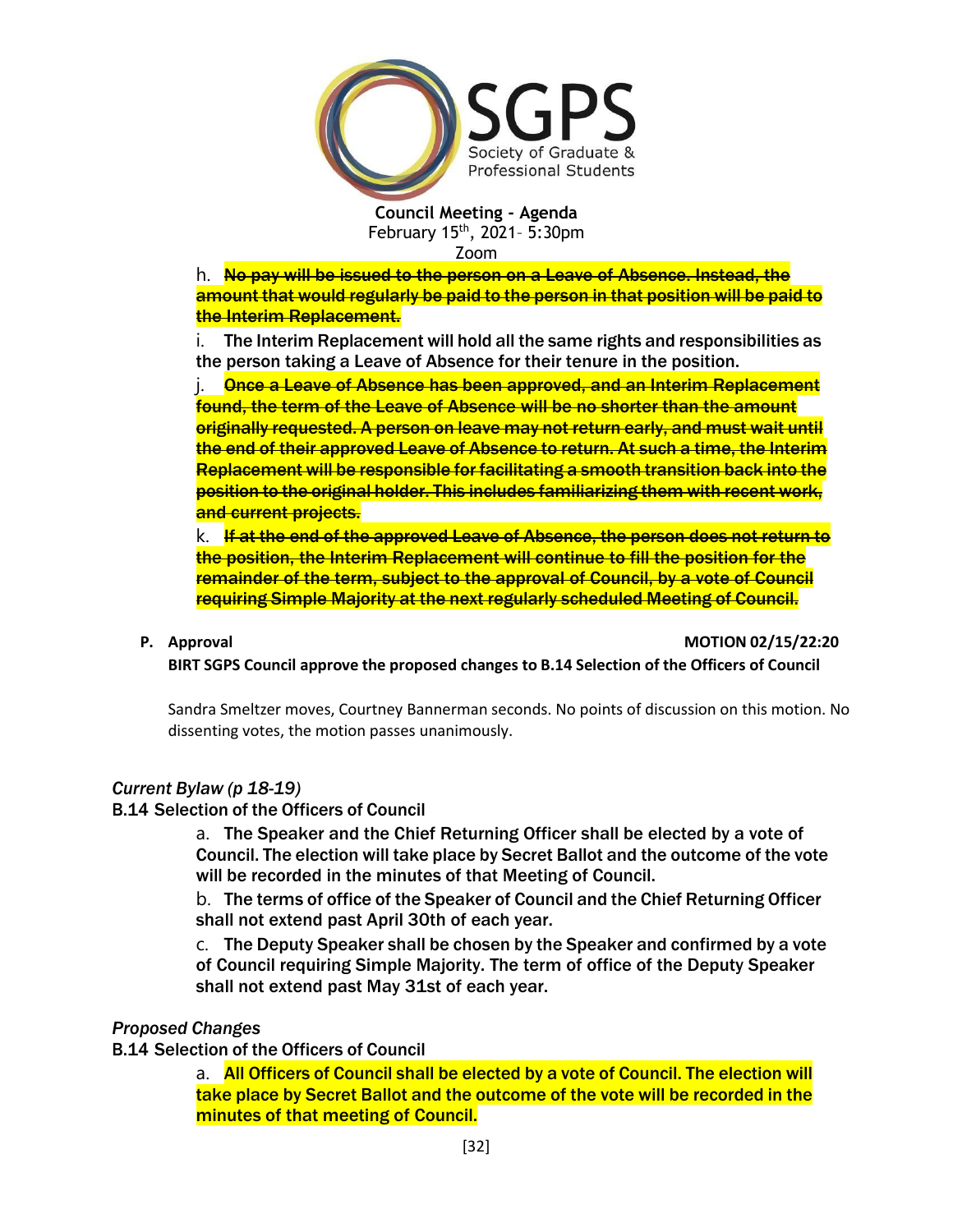

h. No pay will be issued to the person on a Leave of Absence. Instead, the amount that would regularly be paid to the person in that position will be paid to the Interim Replacement.

i. The Interim Replacement will hold all the same rights and responsibilities as the person taking a Leave of Absence for their tenure in the position.

**Once a Leave of Absence has been approved, and an Interim Replacement** found, the term of the Leave of Absence will be no shorter than the amount originally requested. A person on leave may not return early, and must wait until the end of their approved Leave of Absence to return. At such a time, the Interim Replacement will be responsible for facilitating a smooth transition back into the position to the original holder. This includes familiarizing them with recent work, and current projects.

k. If at the end of the approved Leave of Absence, the person does not return to the position, the Interim Replacement will continue to fill the position for the remainder of the term, subject to the approval of Council, by a vote of Council requiring Simple Majority at the next regularly scheduled Meeting of Council.

**P. Approval MOTION 02/15/22:20**

**BIRT SGPS Council approve the proposed changes to B.14 Selection of the Officers of Council**

Sandra Smeltzer moves, Courtney Bannerman seconds. No points of discussion on this motion. No dissenting votes, the motion passes unanimously.

#### *Current Bylaw (p 18-19)*

#### B.14 Selection of the Officers of Council

a. The Speaker and the Chief Returning Officer shall be elected by a vote of Council. The election will take place by Secret Ballot and the outcome of the vote will be recorded in the minutes of that Meeting of Council.

b. The terms of office of the Speaker of Council and the Chief Returning Officer shall not extend past April 30th of each year.

c. The Deputy Speaker shall be chosen by the Speaker and confirmed by a vote of Council requiring Simple Majority. The term of office of the Deputy Speaker shall not extend past May 31st of each year.

## *Proposed Changes*

B.14 Selection of the Officers of Council

a. All Officers of Council shall be elected by a vote of Council. The election will take place by Secret Ballot and the outcome of the vote will be recorded in the minutes of that meeting of Council.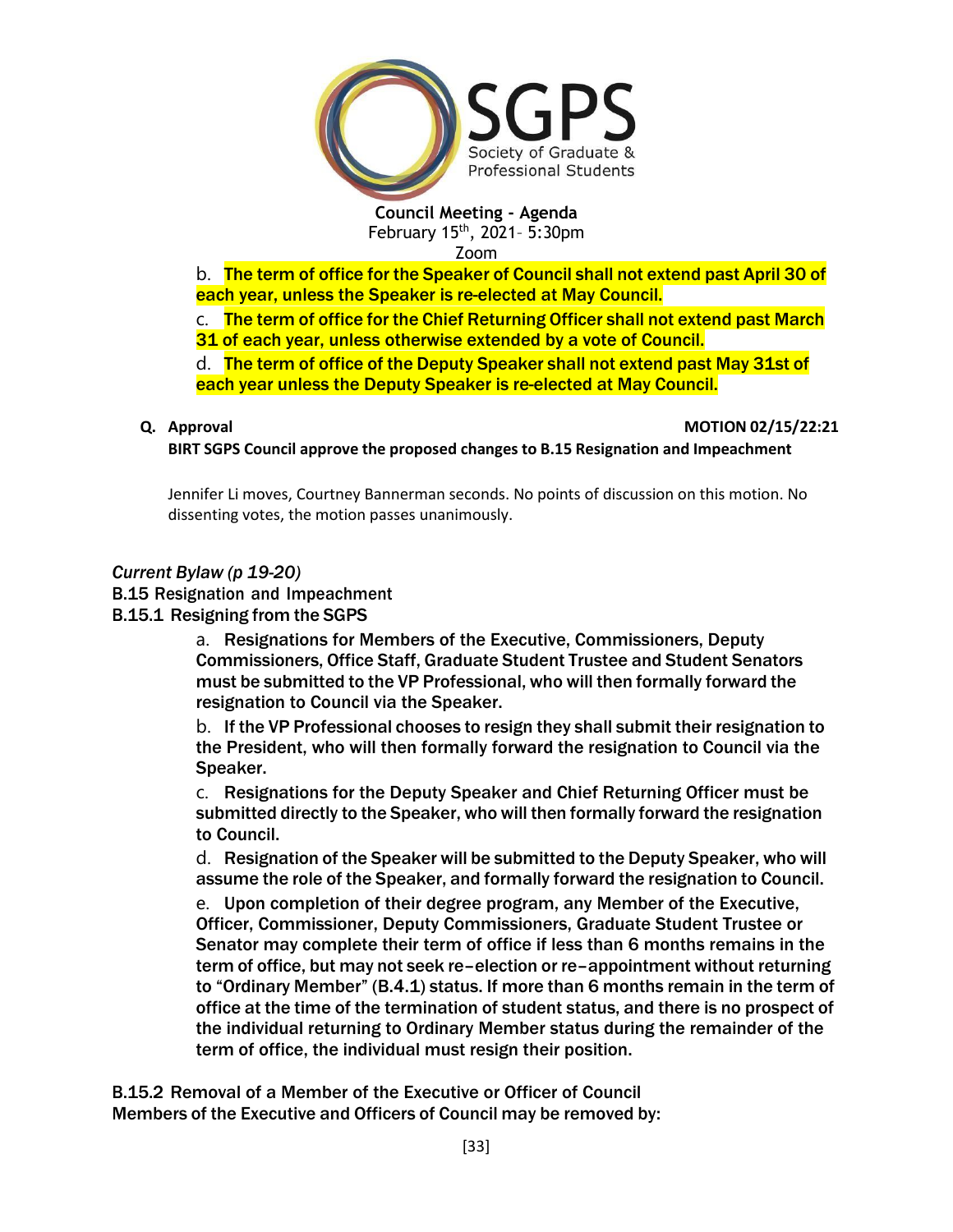

b. The term of office for the Speaker of Council shall not extend past April 30 of each year, unless the Speaker is re-elected at May Council.

c. The term of office for the Chief Returning Officer shall not extend past March 31 of each year, unless otherwise extended by a vote of Council.

d. The term of office of the Deputy Speaker shall not extend past May 31st of each year unless the Deputy Speaker is re-elected at May Council.

#### **Q. Approval MOTION 02/15/22:21**

**BIRT SGPS Council approve the proposed changes to B.15 Resignation and Impeachment**

Jennifer Li moves, Courtney Bannerman seconds. No points of discussion on this motion. No dissenting votes, the motion passes unanimously.

## *Current Bylaw (p 19-20)*

B.15 Resignation and Impeachment

## B.15.1 Resigning from the SGPS

a. Resignations for Members of the Executive, Commissioners, Deputy Commissioners, Office Staff, Graduate Student Trustee and Student Senators must be submitted to the VP Professional, who will then formally forward the resignation to Council via the Speaker.

b. If the VP Professional chooses to resign they shall submit their resignation to the President, who will then formally forward the resignation to Council via the Speaker.

c. Resignations for the Deputy Speaker and Chief Returning Officer must be submitted directly to the Speaker, who will then formally forward the resignation to Council.

d. Resignation of the Speaker will be submitted to the Deputy Speaker, who will assume the role of the Speaker, and formally forward the resignation to Council.

e. Upon completion of their degree program, any Member of the Executive, Officer, Commissioner, Deputy Commissioners, Graduate Student Trustee or Senator may complete their term of office if less than 6 months remains in the term of office, but may not seek re–election or re–appointment without returning to "Ordinary Member" (B.4.1) status. If more than 6 months remain in the term of office at the time of the termination of student status, and there is no prospect of the individual returning to Ordinary Member status during the remainder of the term of office, the individual must resign their position.

B.15.2 Removal of a Member of the Executive or Officer of Council Members of the Executive and Officers of Council may be removed by: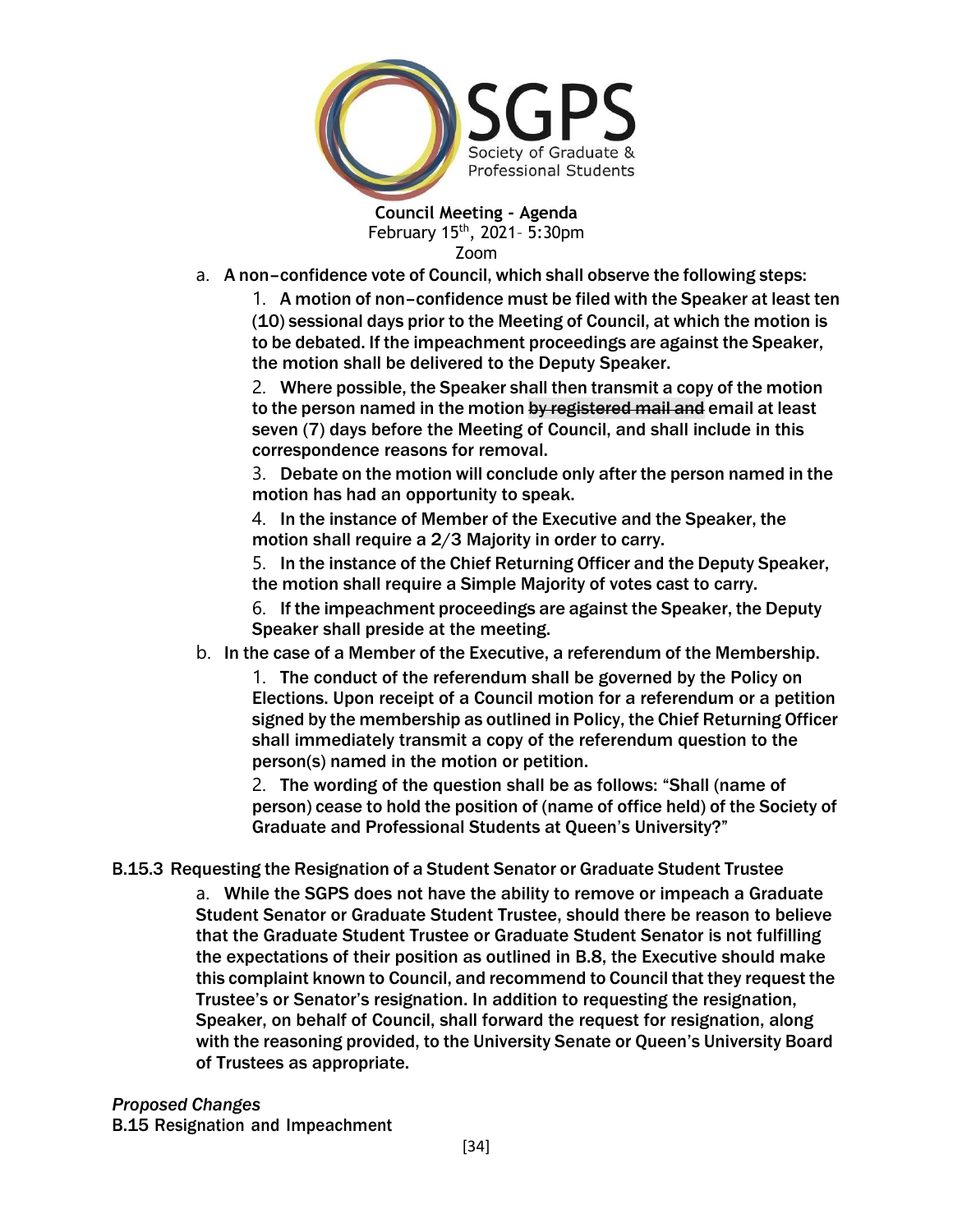

a. A non–confidence vote of Council, which shall observe the following steps:

1. A motion of non–confidence must be filed with the Speaker at least ten (10) sessional days prior to the Meeting of Council, at which the motion is to be debated. If the impeachment proceedings are against the Speaker, the motion shall be delivered to the Deputy Speaker.

2. Where possible, the Speaker shall then transmit a copy of the motion to the person named in the motion by registered mail and email at least seven (7) days before the Meeting of Council, and shall include in this correspondence reasons for removal.

3. Debate on the motion will conclude only after the person named in the motion has had an opportunity to speak.

4. In the instance of Member of the Executive and the Speaker, the motion shall require a 2/3 Majority in order to carry.

5. In the instance of the Chief Returning Officer and the Deputy Speaker, the motion shall require a Simple Majority of votes cast to carry.

6. If the impeachment proceedings are against the Speaker, the Deputy Speaker shall preside at the meeting.

b. In the case of a Member of the Executive, a referendum of the Membership.

1. The conduct of the referendum shall be governed by the Policy on Elections. Upon receipt of a Council motion for a referendum or a petition signed by the membership as outlined in Policy, the Chief Returning Officer shall immediately transmit a copy of the referendum question to the person(s) named in the motion or petition.

2. The wording of the question shall be as follows: "Shall (name of person) cease to hold the position of (name of office held) of the Society of Graduate and Professional Students at Queen's University?"

B.15.3 Requesting the Resignation of a Student Senator or Graduate Student Trustee

a. While the SGPS does not have the ability to remove or impeach a Graduate Student Senator or Graduate Student Trustee, should there be reason to believe that the Graduate Student Trustee or Graduate Student Senator is not fulfilling the expectations of their position as outlined in B.8, the Executive should make this complaint known to Council, and recommend to Council that they request the Trustee's or Senator's resignation. In addition to requesting the resignation, Speaker, on behalf of Council, shall forward the request for resignation, along with the reasoning provided, to the University Senate or Queen's University Board of Trustees as appropriate.

*Proposed Changes* B.15 Resignation and Impeachment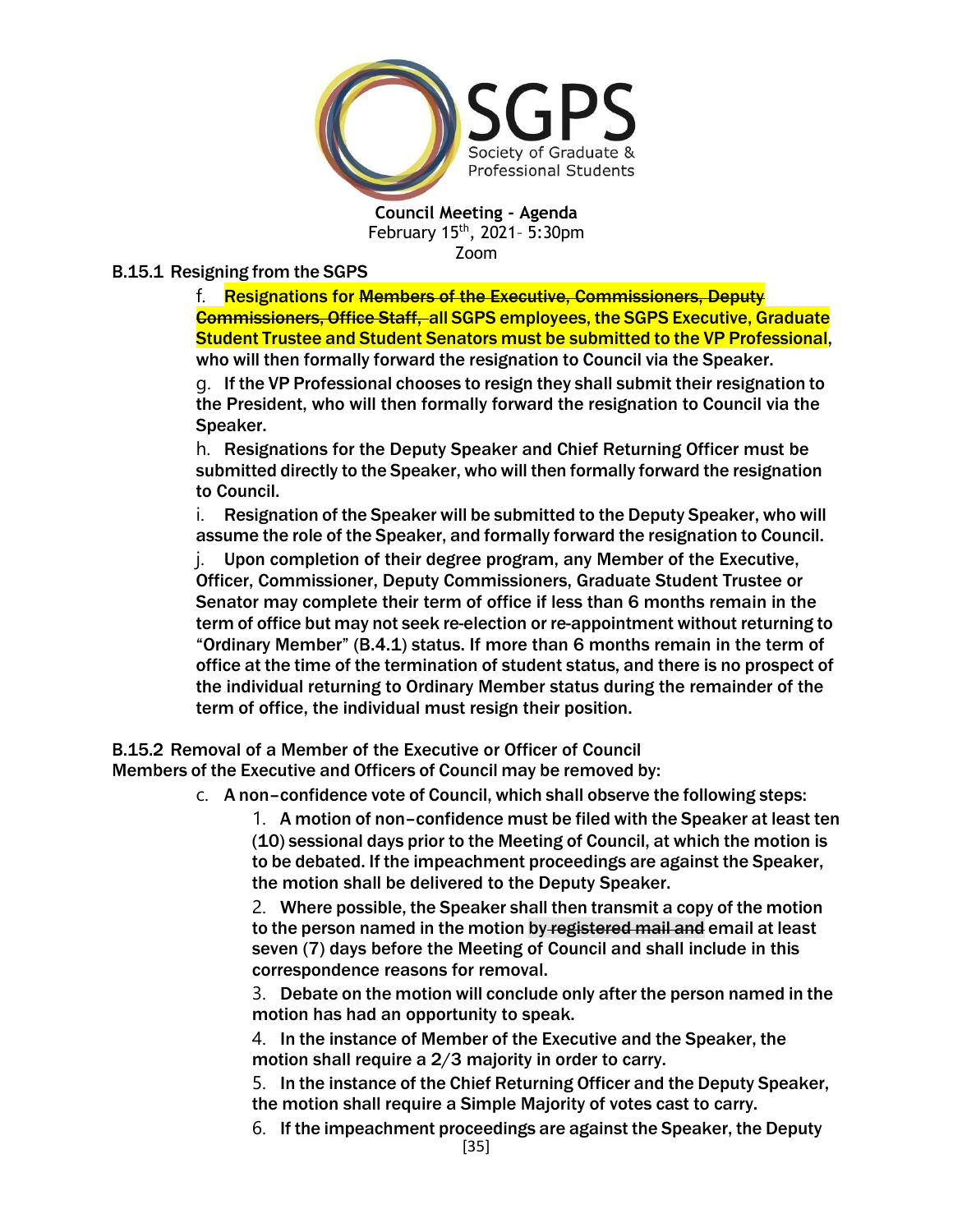

# B.15.1 Resigning from the SGPS

f. Resignations for Members of the Executive, Commissioners, Deputy Commissioners, Office Staff, all SGPS employees, the SGPS Executive, Graduate Student Trustee and Student Senators must be submitted to the VP Professional, who will then formally forward the resignation to Council via the Speaker.

g. If the VP Professional chooses to resign they shall submit their resignation to the President, who will then formally forward the resignation to Council via the Speaker.

h. Resignations for the Deputy Speaker and Chief Returning Officer must be submitted directly to the Speaker, who will then formally forward the resignation to Council.

i. Resignation of the Speaker will be submitted to the Deputy Speaker, who will assume the role of the Speaker, and formally forward the resignation to Council.

j. Upon completion of their degree program, any Member of the Executive, Officer, Commissioner, Deputy Commissioners, Graduate Student Trustee or Senator may complete their term of office if less than 6 months remain in the term of office but may not seek re-election or re-appointment without returning to "Ordinary Member" (B.4.1) status. If more than 6 months remain in the term of office at the time of the termination of student status, and there is no prospect of the individual returning to Ordinary Member status during the remainder of the term of office, the individual must resign their position.

B.15.2 Removal of a Member of the Executive or Officer of Council

Members of the Executive and Officers of Council may be removed by:

c. A non–confidence vote of Council, which shall observe the following steps:

1. A motion of non–confidence must be filed with the Speaker at least ten (10) sessional days prior to the Meeting of Council, at which the motion is to be debated. If the impeachment proceedings are against the Speaker, the motion shall be delivered to the Deputy Speaker.

2. Where possible, the Speaker shall then transmit a copy of the motion to the person named in the motion by registered mail and email at least seven (7) days before the Meeting of Council and shall include in this correspondence reasons for removal.

3. Debate on the motion will conclude only after the person named in the motion has had an opportunity to speak.

4. In the instance of Member of the Executive and the Speaker, the motion shall require a 2/3 majority in order to carry.

5. In the instance of the Chief Returning Officer and the Deputy Speaker, the motion shall require a Simple Majority of votes cast to carry.

6. If the impeachment proceedings are against the Speaker, the Deputy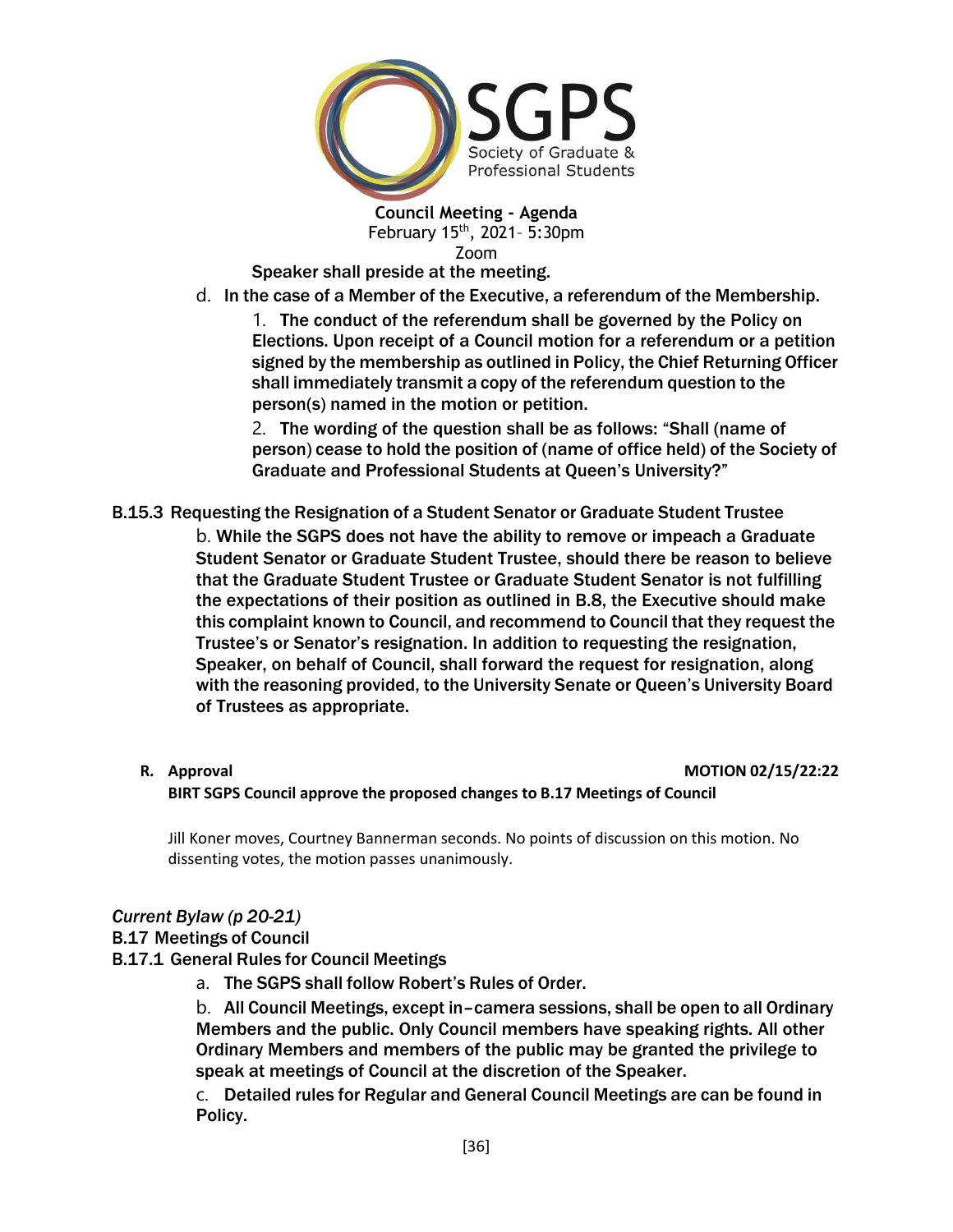

Speaker shall preside at the meeting.

- d. In the case of a Member of the Executive, a referendum of the Membership.
	- 1. The conduct of the referendum shall be governed by the Policy on Elections. Upon receipt of a Council motion for a referendum or a petition signed by the membership as outlined in Policy, the Chief Returning Officer shall immediately transmit a copy of the referendum question to the person(s) named in the motion or petition.

2. The wording of the question shall be as follows: "Shall (name of person) cease to hold the position of (name of office held) of the Society of Graduate and Professional Students at Queen's University?"

- B.15.3 Requesting the Resignation of a Student Senator or Graduate Student Trustee b. While the SGPS does not have the ability to remove or impeach a Graduate Student Senator or Graduate Student Trustee, should there be reason to believe that the Graduate Student Trustee or Graduate Student Senator is not fulfilling the expectations of their position as outlined in B.8, the Executive should make this complaint known to Council, and recommend to Council that they request the Trustee's or Senator's resignation. In addition to requesting the resignation, Speaker, on behalf of Council, shall forward the request for resignation, along with the reasoning provided, to the University Senate or Queen's University Board of Trustees as appropriate.
	-

#### **R. Approval MOTION 02/15/22:22**

#### **BIRT SGPS Council approve the proposed changes to B.17 Meetings of Council**

Jill Koner moves, Courtney Bannerman seconds. No points of discussion on this motion. No dissenting votes, the motion passes unanimously.

#### *Current Bylaw (p 20-21)*

#### B.17 Meetings of Council

### B.17.1 General Rules for Council Meetings

a. The SGPS shall follow Robert's Rules of Order.

b. All Council Meetings, except in–camera sessions, shall be open to all Ordinary Members and the public. Only Council members have speaking rights. All other Ordinary Members and members of the public may be granted the privilege to speak at meetings of Council at the discretion of the Speaker.

c. Detailed rules for Regular and General Council Meetings are can be found in Policy.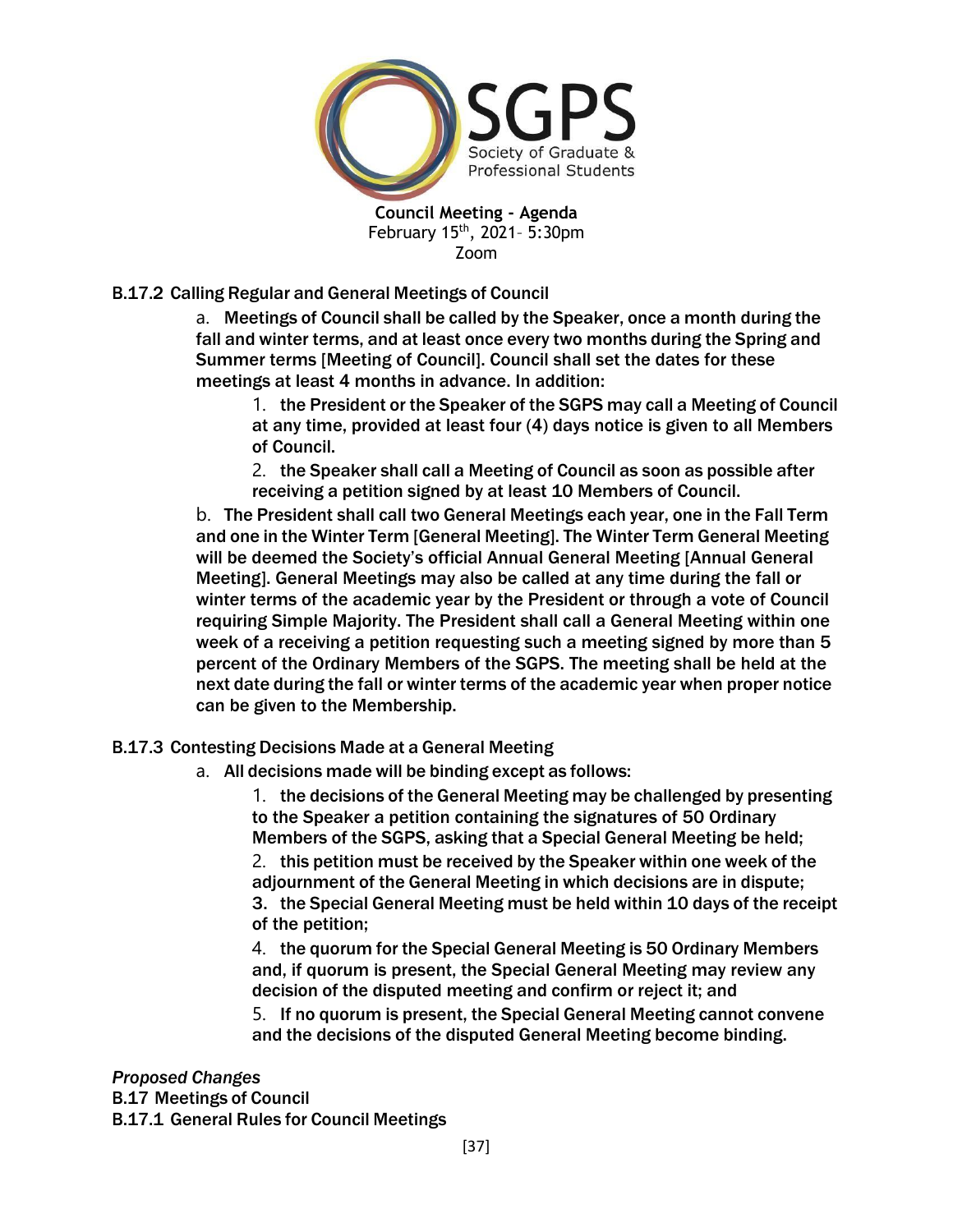

# B.17.2 Calling Regular and General Meetings of Council

a. Meetings of Council shall be called by the Speaker, once a month during the fall and winter terms, and at least once every two months during the Spring and Summer terms [Meeting of Council]. Council shall set the dates for these meetings at least 4 months in advance. In addition:

1. the President or the Speaker of the SGPS may call a Meeting of Council at any time, provided at least four (4) days notice is given to all Members of Council.

2. the Speaker shall call a Meeting of Council as soon as possible after receiving a petition signed by at least 10 Members of Council.

b. The President shall call two General Meetings each year, one in the Fall Term and one in the Winter Term [General Meeting]. The Winter Term General Meeting will be deemed the Society's official Annual General Meeting [Annual General Meeting]. General Meetings may also be called at any time during the fall or winter terms of the academic year by the President or through a vote of Council requiring Simple Majority. The President shall call a General Meeting within one week of a receiving a petition requesting such a meeting signed by more than 5 percent of the Ordinary Members of the SGPS. The meeting shall be held at the next date during the fall or winter terms of the academic year when proper notice can be given to the Membership.

# B.17.3 Contesting Decisions Made at a General Meeting

a. All decisions made will be binding except as follows:

1. the decisions of the General Meeting may be challenged by presenting to the Speaker a petition containing the signatures of 50 Ordinary Members of the SGPS, asking that a Special General Meeting be held;

2. this petition must be received by the Speaker within one week of the adjournment of the General Meeting in which decisions are in dispute; 3. the Special General Meeting must be held within 10 days of the receipt

of the petition;

4. the quorum for the Special General Meeting is 50 Ordinary Members and, if quorum is present, the Special General Meeting may review any decision of the disputed meeting and confirm or reject it; and

5. If no quorum is present, the Special General Meeting cannot convene and the decisions of the disputed General Meeting become binding.

# *Proposed Changes*

B.17 Meetings of Council B.17.1 General Rules for Council Meetings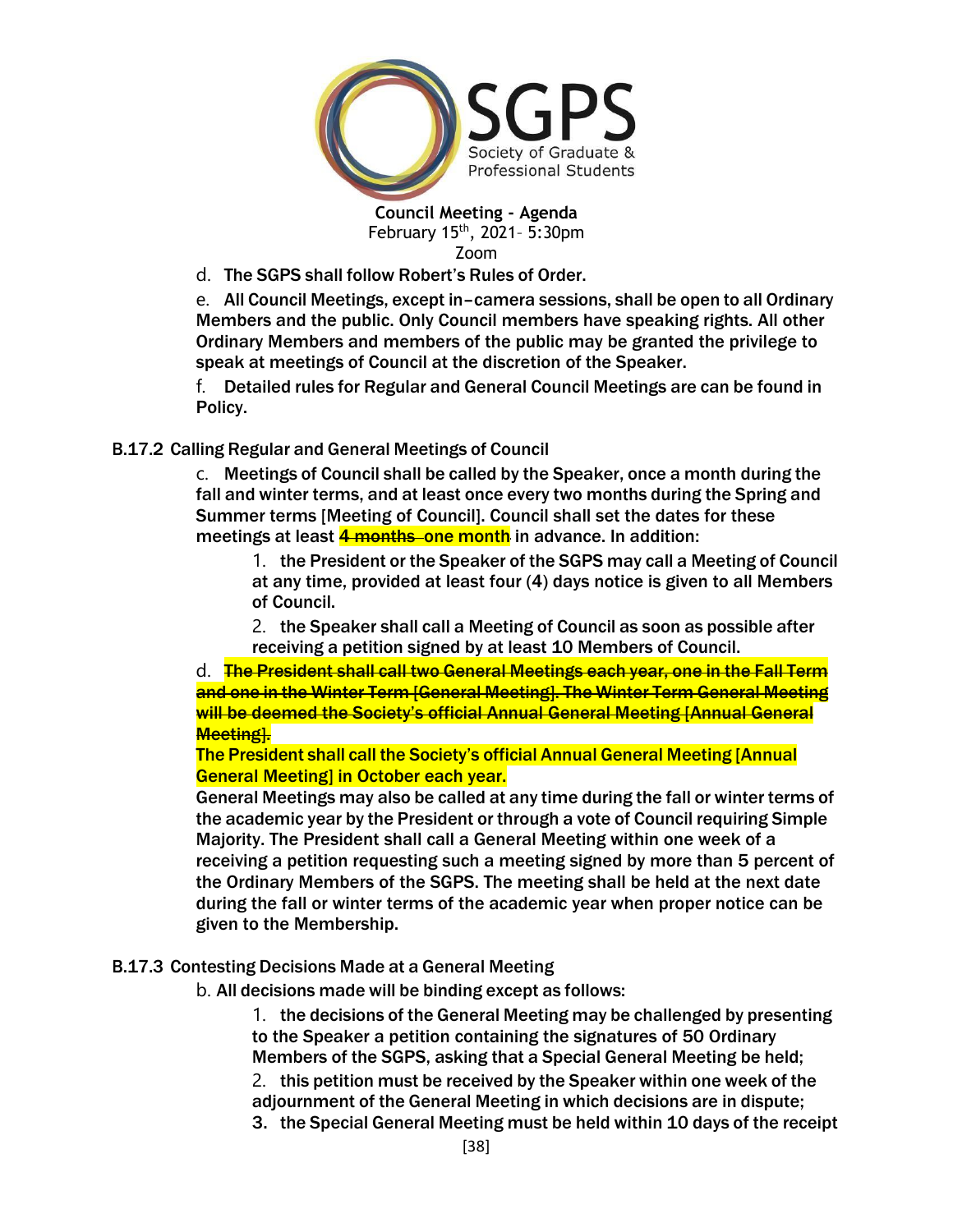

d. The SGPS shall follow Robert's Rules of Order.

e. All Council Meetings, except in–camera sessions, shall be open to all Ordinary Members and the public. Only Council members have speaking rights. All other Ordinary Members and members of the public may be granted the privilege to speak at meetings of Council at the discretion of the Speaker.

f. Detailed rules for Regular and General Council Meetings are can be found in Policy.

# B.17.2 Calling Regular and General Meetings of Council

c. Meetings of Council shall be called by the Speaker, once a month during the fall and winter terms, and at least once every two months during the Spring and Summer terms [Meeting of Council]. Council shall set the dates for these meetings at least 4 months one month in advance. In addition:

1. the President or the Speaker of the SGPS may call a Meeting of Council at any time, provided at least four (4) days notice is given to all Members of Council.

2. the Speaker shall call a Meeting of Council as soon as possible after receiving a petition signed by at least 10 Members of Council.

d. The President shall call two General Meetings each year, one in the Fall Term and one in the Winter Term [General Meeting]. The Winter Term General Meeting will be deemed the Society's official Annual General Meeting [Annual General Meeting].

## The President shall call the Society's official Annual General Meeting [Annual General Meeting] in October each year.

General Meetings may also be called at any time during the fall or winter terms of the academic year by the President or through a vote of Council requiring Simple Majority. The President shall call a General Meeting within one week of a receiving a petition requesting such a meeting signed by more than 5 percent of the Ordinary Members of the SGPS. The meeting shall be held at the next date during the fall or winter terms of the academic year when proper notice can be given to the Membership.

#### B.17.3 Contesting Decisions Made at a General Meeting

b. All decisions made will be binding except as follows:

1. the decisions of the General Meeting may be challenged by presenting to the Speaker a petition containing the signatures of 50 Ordinary Members of the SGPS, asking that a Special General Meeting be held;

2. this petition must be received by the Speaker within one week of the adjournment of the General Meeting in which decisions are in dispute; 3. the Special General Meeting must be held within 10 days of the receipt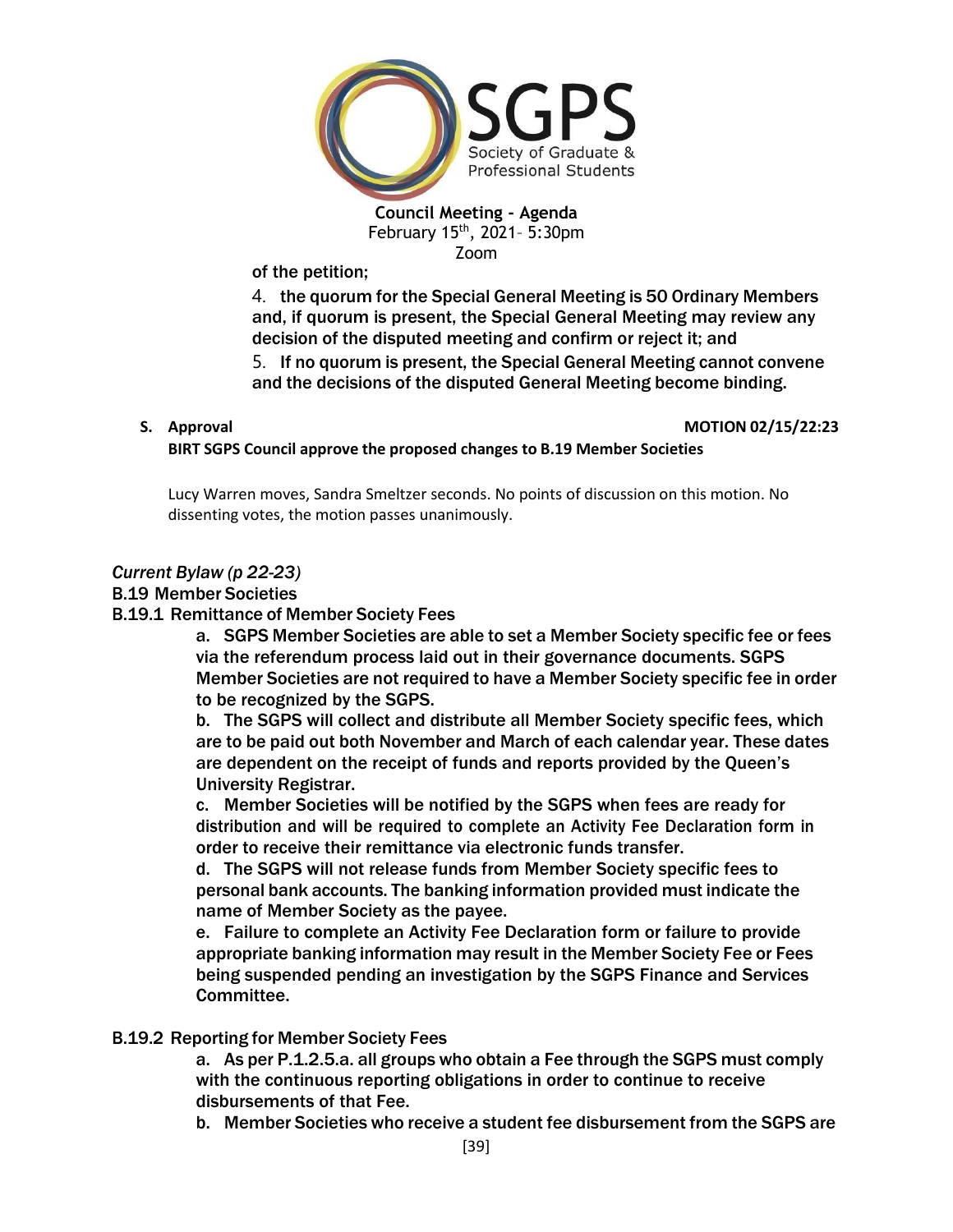

of the petition;

4. the quorum for the Special General Meeting is 50 Ordinary Members and, if quorum is present, the Special General Meeting may review any decision of the disputed meeting and confirm or reject it; and

5. If no quorum is present, the Special General Meeting cannot convene and the decisions of the disputed General Meeting become binding.

**S. Approval MOTION 02/15/22:23**

**BIRT SGPS Council approve the proposed changes to B.19 Member Societies**

Lucy Warren moves, Sandra Smeltzer seconds. No points of discussion on this motion. No dissenting votes, the motion passes unanimously.

*Current Bylaw (p 22-23)*

B.19 Member Societies

#### B.19.1 Remittance of Member Society Fees

a. SGPS Member Societies are able to set a Member Society specific fee or fees via the referendum process laid out in their governance documents. SGPS Member Societies are not required to have a Member Society specific fee in order to be recognized by the SGPS.

b. The SGPS will collect and distribute all Member Society specific fees, which are to be paid out both November and March of each calendar year. These dates are dependent on the receipt of funds and reports provided by the Queen's University Registrar.

c. Member Societies will be notified by the SGPS when fees are ready for distribution and will be required to complete an Activity Fee Declaration form in order to receive their remittance via electronic funds transfer.

d. The SGPS will not release funds from Member Society specific fees to personal bank accounts. The banking information provided must indicate the name of Member Society as the payee.

e. Failure to complete an Activity Fee Declaration form or failure to provide appropriate banking information may result in the Member Society Fee or Fees being suspended pending an investigation by the SGPS Finance and Services Committee.

#### B.19.2 Reporting for Member Society Fees

a. As per P.1.2.5.a. all groups who obtain a Fee through the SGPS must comply with the continuous reporting obligations in order to continue to receive disbursements of that Fee.

b. Member Societies who receive a student fee disbursement from the SGPS are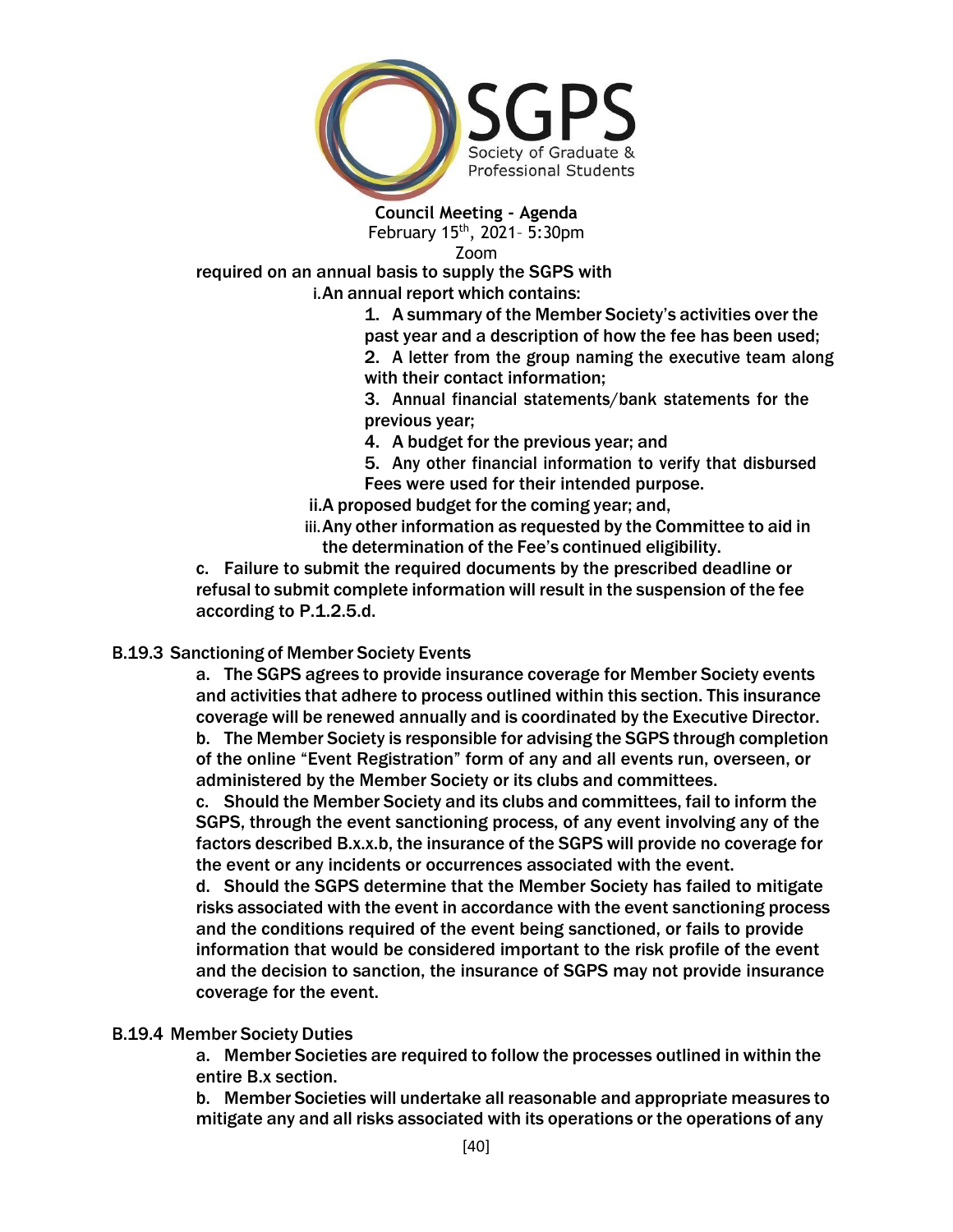

required on an annual basis to supply the SGPS with i.An annual report which contains:

> 1. A summary of the Member Society's activities over the past year and a description of how the fee has been used; 2. A letter from the group naming the executive team along with their contact information;

3. Annual financial statements/bank statements for the previous year;

4. A budget for the previous year; and

5. Any other financial information to verify that disbursed Fees were used for their intended purpose.

ii.A proposed budget for the coming year; and,

iii.Any other information as requested by the Committee to aid in the determination of the Fee's continued eligibility.

c. Failure to submit the required documents by the prescribed deadline or refusal to submit complete information will result in the suspension of the fee according to P.1.2.5.d.

# B.19.3 Sanctioning of Member Society Events

a. The SGPS agrees to provide insurance coverage for Member Society events and activities that adhere to process outlined within this section. This insurance coverage will be renewed annually and is coordinated by the Executive Director. b. The Member Society is responsible for advising the SGPS through completion of the online "Event Registration" form of any and all events run, overseen, or administered by the Member Society or its clubs and committees.

c. Should the Member Society and its clubs and committees, fail to inform the SGPS, through the event sanctioning process, of any event involving any of the factors described B.x.x.b, the insurance of the SGPS will provide no coverage for the event or any incidents or occurrences associated with the event.

d. Should the SGPS determine that the Member Society has failed to mitigate risks associated with the event in accordance with the event sanctioning process and the conditions required of the event being sanctioned, or fails to provide information that would be considered important to the risk profile of the event and the decision to sanction, the insurance of SGPS may not provide insurance coverage for the event.

# B.19.4 Member Society Duties

a. Member Societies are required to follow the processes outlined in within the entire B.x section.

b. Member Societies will undertake all reasonable and appropriate measures to mitigate any and all risks associated with its operations or the operations of any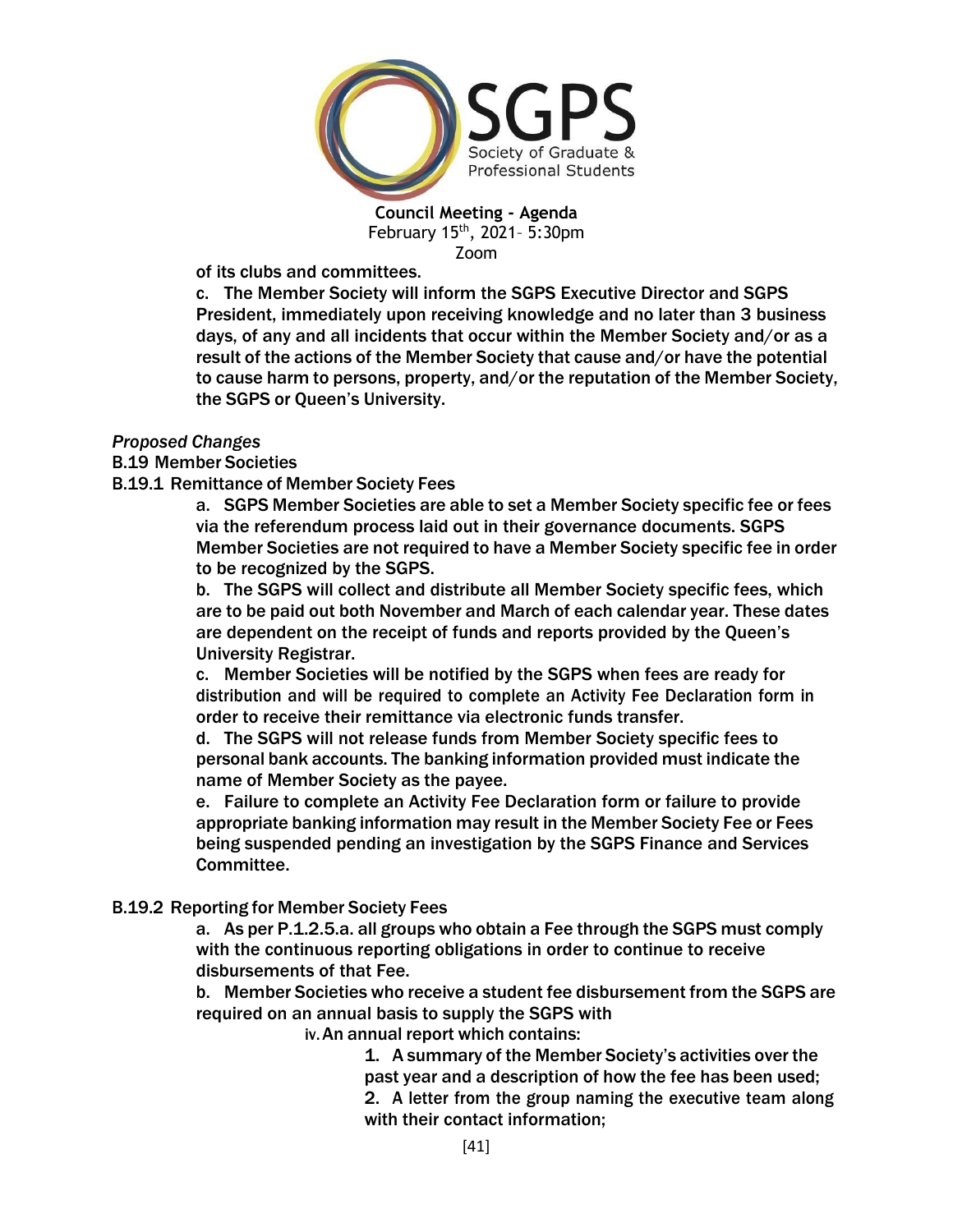

of its clubs and committees.

c. The Member Society will inform the SGPS Executive Director and SGPS President, immediately upon receiving knowledge and no later than 3 business days, of any and all incidents that occur within the Member Society and/or as a result of the actions of the Member Society that cause and/or have the potential to cause harm to persons, property, and/or the reputation of the Member Society, the SGPS or Queen's University.

#### *Proposed Changes*

B.19 Member Societies

B.19.1 Remittance of Member Society Fees

a. SGPS Member Societies are able to set a Member Society specific fee or fees via the referendum process laid out in their governance documents. SGPS Member Societies are not required to have a Member Society specific fee in order to be recognized by the SGPS.

b. The SGPS will collect and distribute all Member Society specific fees, which are to be paid out both November and March of each calendar year. These dates are dependent on the receipt of funds and reports provided by the Queen's University Registrar.

c. Member Societies will be notified by the SGPS when fees are ready for distribution and will be required to complete an Activity Fee Declaration form in order to receive their remittance via electronic funds transfer.

d. The SGPS will not release funds from Member Society specific fees to personal bank accounts. The banking information provided must indicate the name of Member Society as the payee.

e. Failure to complete an Activity Fee Declaration form or failure to provide appropriate banking information may result in the Member Society Fee or Fees being suspended pending an investigation by the SGPS Finance and Services Committee.

#### B.19.2 Reporting for Member Society Fees

a. As per P.1.2.5.a. all groups who obtain a Fee through the SGPS must comply with the continuous reporting obligations in order to continue to receive disbursements of that Fee.

b. Member Societies who receive a student fee disbursement from the SGPS are required on an annual basis to supply the SGPS with

iv.An annual report which contains:

1. A summary of the Member Society's activities over the past year and a description of how the fee has been used; 2. A letter from the group naming the executive team along with their contact information;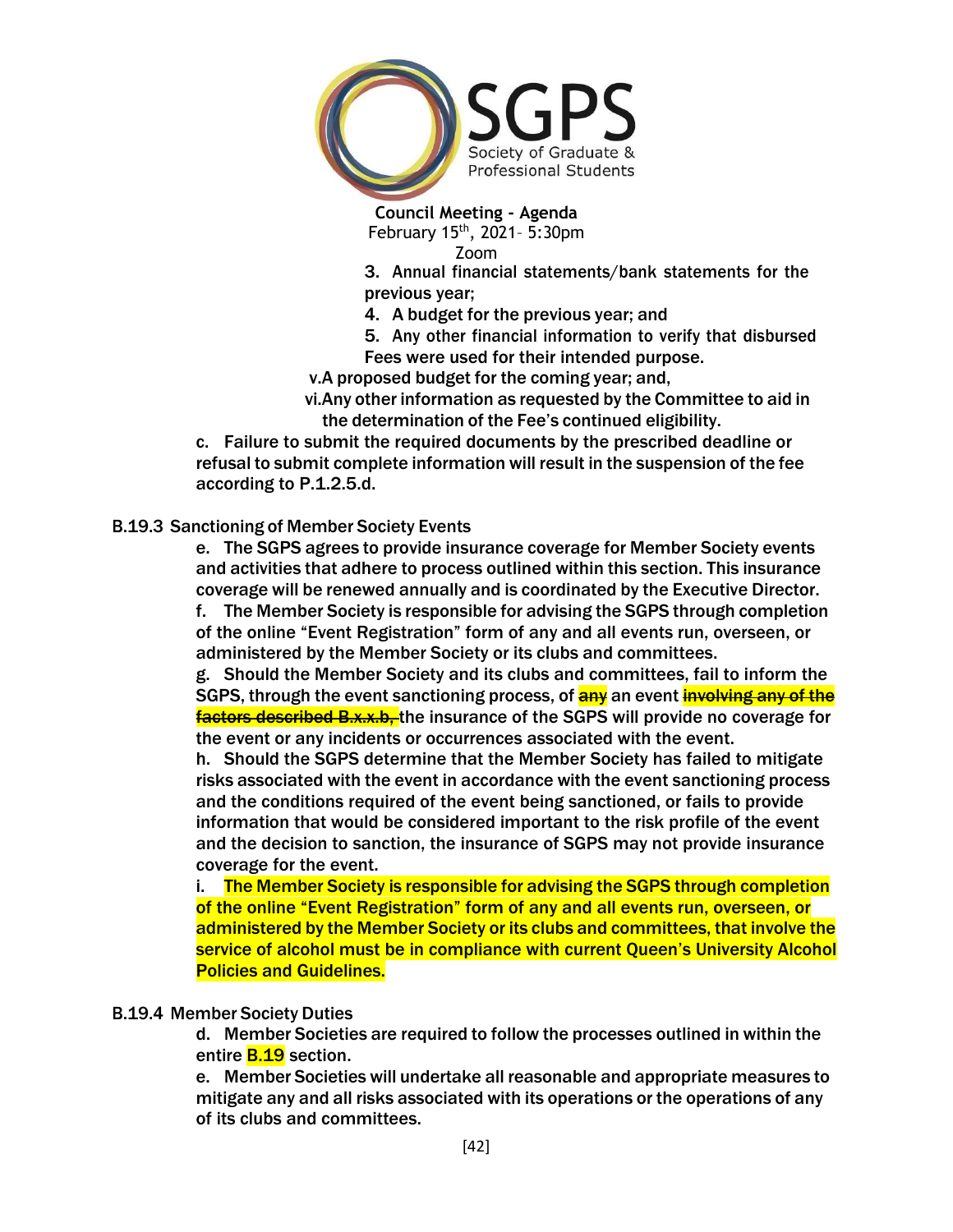

3. Annual financial statements/bank statements for the previous year;

4. A budget for the previous year; and

5. Any other financial information to verify that disbursed Fees were used for their intended purpose.

v.A proposed budget for the coming year; and,

vi.Any other information as requested by the Committee to aid in the determination of the Fee's continued eligibility.

c. Failure to submit the required documents by the prescribed deadline or refusal to submit complete information will result in the suspension of the fee according to P.1.2.5.d.

# B.19.3 Sanctioning of Member Society Events

e. The SGPS agrees to provide insurance coverage for Member Society events and activities that adhere to process outlined within this section. This insurance coverage will be renewed annually and is coordinated by the Executive Director.

f. The Member Society is responsible for advising the SGPS through completion of the online "Event Registration" form of any and all events run, overseen, or administered by the Member Society or its clubs and committees.

g. Should the Member Society and its clubs and committees, fail to inform the SGPS, through the event sanctioning process, of **any** an event **involving any of the factors described B.x.x.b.** the insurance of the SGPS will provide no coverage for the event or any incidents or occurrences associated with the event.

h. Should the SGPS determine that the Member Society has failed to mitigate risks associated with the event in accordance with the event sanctioning process and the conditions required of the event being sanctioned, or fails to provide information that would be considered important to the risk profile of the event and the decision to sanction, the insurance of SGPS may not provide insurance coverage for the event.

i. The Member Society is responsible for advising the SGPS through completion of the online "Event Registration" form of any and all events run, overseen, or administered by the Member Society or its clubs and committees, that involve the service of alcohol must be in compliance with current Queen's University Alcohol Policies and Guidelines.

# B.19.4 Member Society Duties

d. Member Societies are required to follow the processes outlined in within the entire B.19 section.

e. Member Societies will undertake all reasonable and appropriate measures to mitigate any and all risks associated with its operations or the operations of any of its clubs and committees.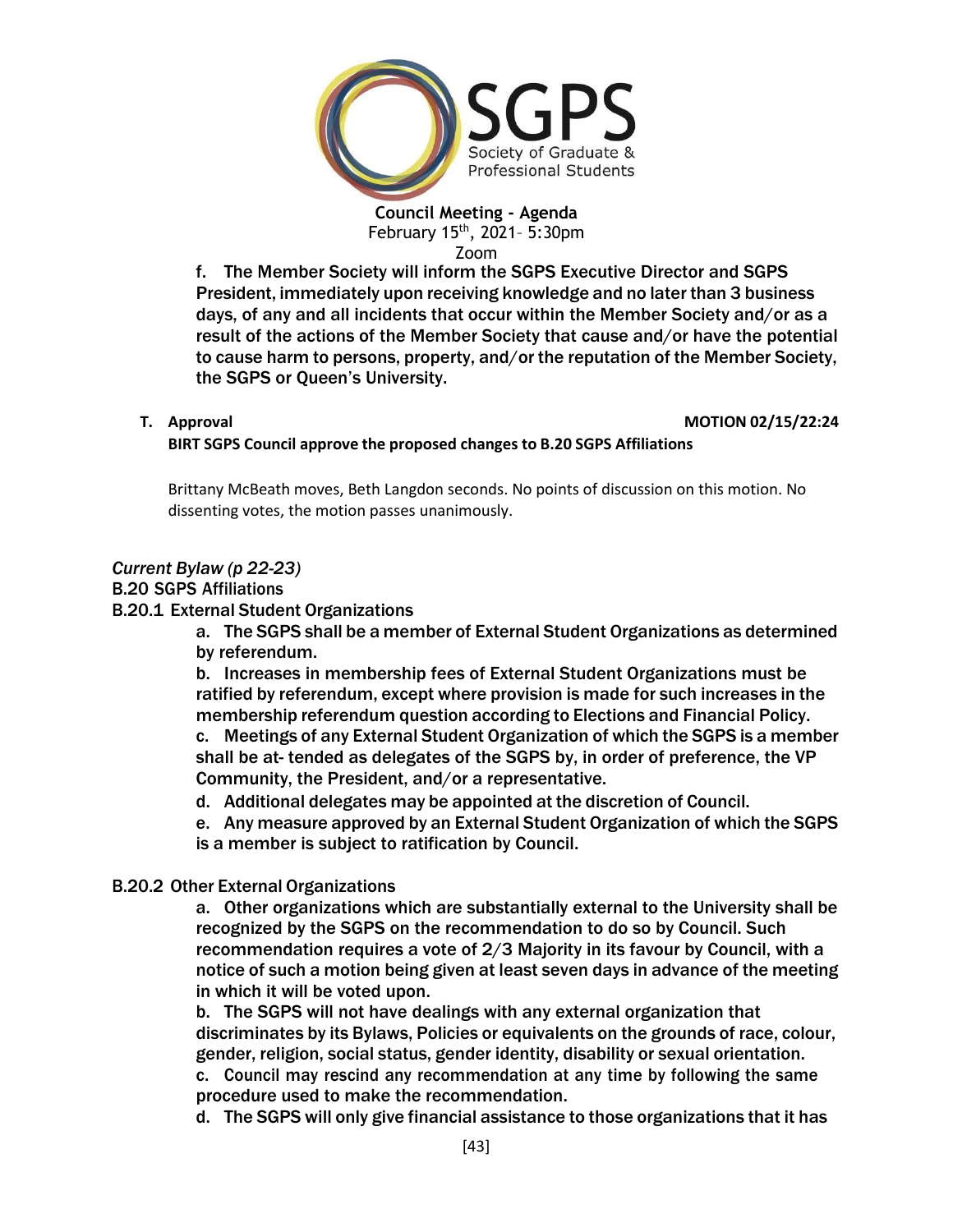

f. The Member Society will inform the SGPS Executive Director and SGPS President, immediately upon receiving knowledge and no later than 3 business days, of any and all incidents that occur within the Member Society and/or as a result of the actions of the Member Society that cause and/or have the potential to cause harm to persons, property, and/or the reputation of the Member Society, the SGPS or Queen's University.

#### **T. Approval MOTION 02/15/22:24**

**BIRT SGPS Council approve the proposed changes to B.20 SGPS Affiliations**

Brittany McBeath moves, Beth Langdon seconds. No points of discussion on this motion. No dissenting votes, the motion passes unanimously.

*Current Bylaw (p 22-23)*

B.20 SGPS Affiliations

B.20.1 External Student Organizations

a. The SGPS shall be a member of External Student Organizations as determined by referendum.

b. Increases in membership fees of External Student Organizations must be ratified by referendum, except where provision is made for such increases in the membership referendum question according to Elections and Financial Policy.

c. Meetings of any External Student Organization of which the SGPS is a member shall be at- tended as delegates of the SGPS by, in order of preference, the VP Community, the President, and/or a representative.

d. Additional delegates may be appointed at the discretion of Council.

e. Any measure approved by an External Student Organization of which the SGPS is a member is subject to ratification by Council.

#### B.20.2 Other External Organizations

a. Other organizations which are substantially external to the University shall be recognized by the SGPS on the recommendation to do so by Council. Such recommendation requires a vote of 2/3 Majority in its favour by Council, with a notice of such a motion being given at least seven days in advance of the meeting in which it will be voted upon.

b. The SGPS will not have dealings with any external organization that discriminates by its Bylaws, Policies or equivalents on the grounds of race, colour, gender, religion, social status, gender identity, disability or sexual orientation. c. Council may rescind any recommendation at any time by following the same procedure used to make the recommendation.

d. The SGPS will only give financial assistance to those organizations that it has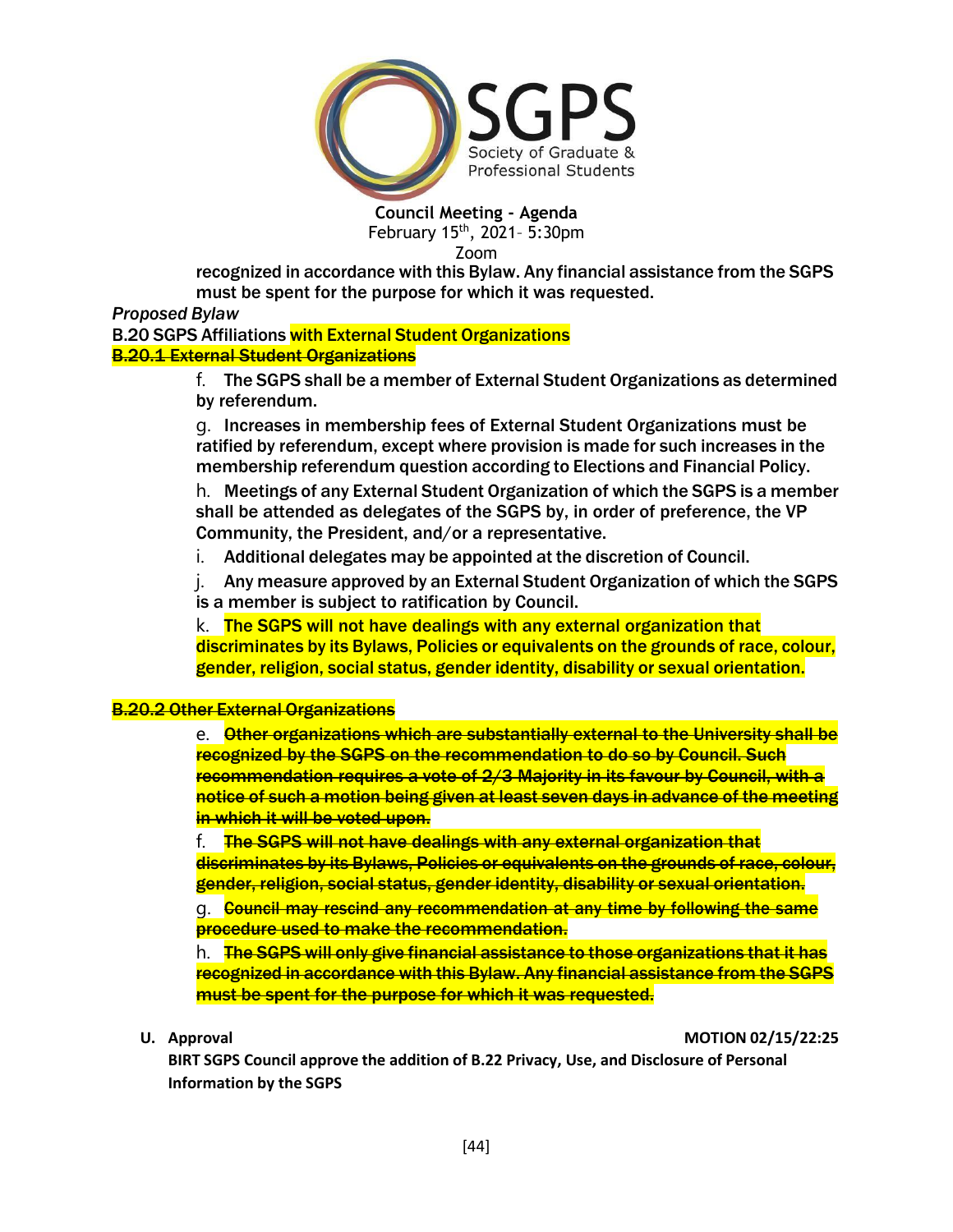

recognized in accordance with this Bylaw. Any financial assistance from the SGPS must be spent for the purpose for which it was requested.

*Proposed Bylaw*

B.20 SGPS Affiliations with External Student Organizations **B.20.1 External Student Organizations** 

> f. The SGPS shall be a member of External Student Organizations as determined by referendum.

g. Increases in membership fees of External Student Organizations must be ratified by referendum, except where provision is made for such increases in the membership referendum question according to Elections and Financial Policy.

h. Meetings of any External Student Organization of which the SGPS is a member shall be attended as delegates of the SGPS by, in order of preference, the VP Community, the President, and/or a representative.

i. Additional delegates may be appointed at the discretion of Council.

j. Any measure approved by an External Student Organization of which the SGPS is a member is subject to ratification by Council.

k. The SGPS will not have dealings with any external organization that discriminates by its Bylaws, Policies or equivalents on the grounds of race, colour, gender, religion, social status, gender identity, disability or sexual orientation.

# **B.20.2 Other External Organizations**

e. **Other organizations which are substantially external to the University shall be** recognized by the SGPS on the recommendation to do so by Council. Such recommendation requires a vote of 2/3 Majority in its favour by Council, with a notice of such a motion being given at least seven days in advance of the meeting in which it will be voted upon.

f. The SGPS will not have dealings with any external organization that discriminates by its Bylaws, Policies or equivalents on the grounds of race, colour, gender, religion, social status, gender identity, disability or sexual orientation.

g. Council may rescind any recommendation at any time by following the same **procedure used to make the recommendation.** 

h. The SGPS will only give financial assistance to those organizations that it has recognized in accordance with this Bylaw. Any financial assistance from the SGPS must be spent for the purpose for which it was requested.

**U. Approval MOTION 02/15/22:25**

**BIRT SGPS Council approve the addition of B.22 Privacy, Use, and Disclosure of Personal Information by the SGPS**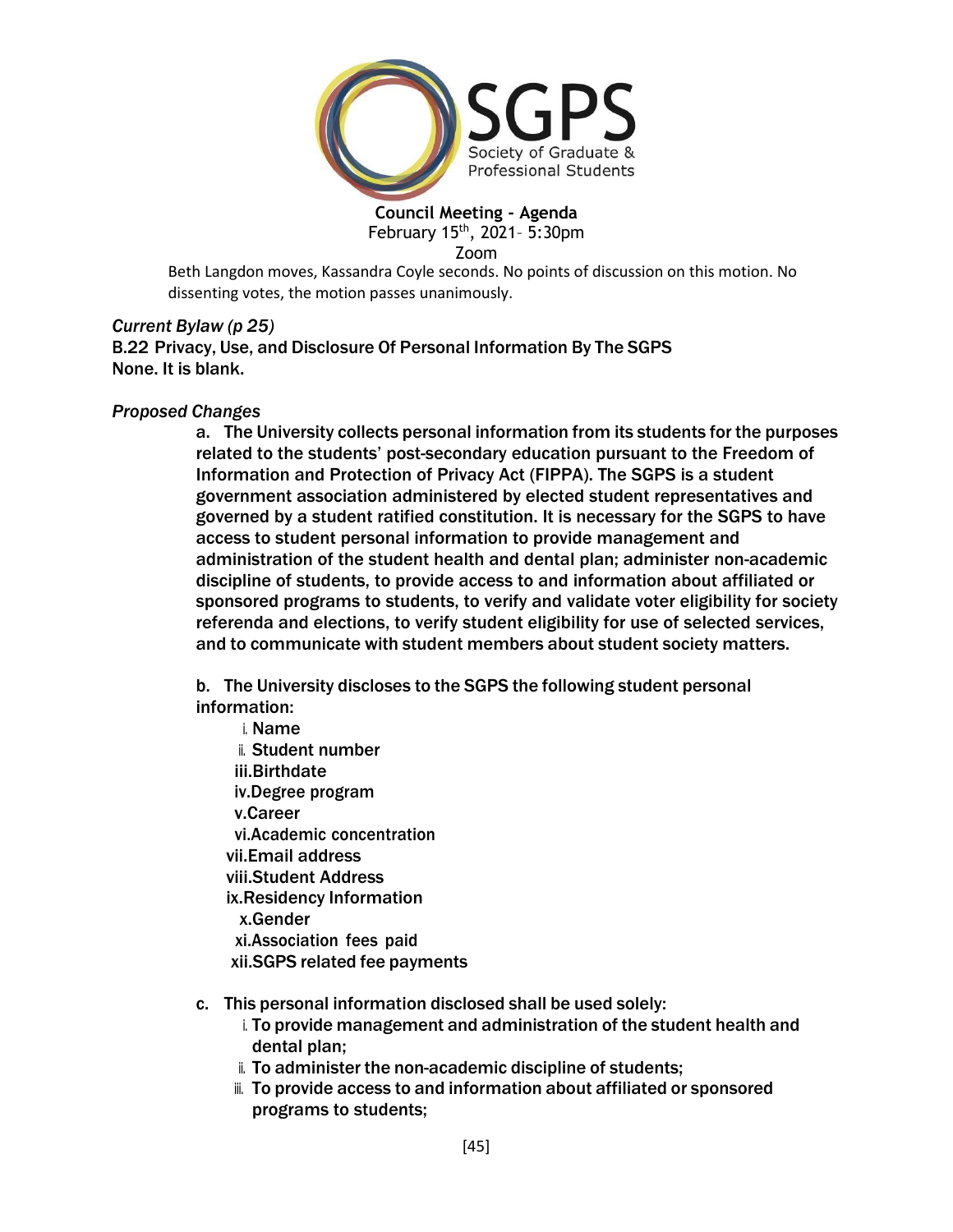

Beth Langdon moves, Kassandra Coyle seconds. No points of discussion on this motion. No dissenting votes, the motion passes unanimously.

# *Current Bylaw (p 25)*

B.22 Privacy, Use, and Disclosure Of Personal Information By The SGPS None. It is blank.

#### *Proposed Changes*

a. The University collects personal information from its students for the purposes related to the students' post-secondary education pursuant to the Freedom of Information and Protection of Privacy Act (FIPPA). The SGPS is a student government association administered by elected student representatives and governed by a student ratified constitution. It is necessary for the SGPS to have access to student personal information to provide management and administration of the student health and dental plan; administer non-academic discipline of students, to provide access to and information about affiliated or sponsored programs to students, to verify and validate voter eligibility for society referenda and elections, to verify student eligibility for use of selected services, and to communicate with student members about student society matters.

b. The University discloses to the SGPS the following student personal information:

- i. Name ii. Student number iii.Birthdate iv.Degree program v.Career vi.Academic concentration vii.Email address viii.Student Address ix.Residency Information x.Gender xi.Association fees paid xii.SGPS related fee payments
- c. This personal information disclosed shall be used solely:
	- i. To provide management and administration of the student health and dental plan;
	- ii. To administer the non-academic discipline of students;
	- iii. To provide access to and information about affiliated or sponsored programs to students;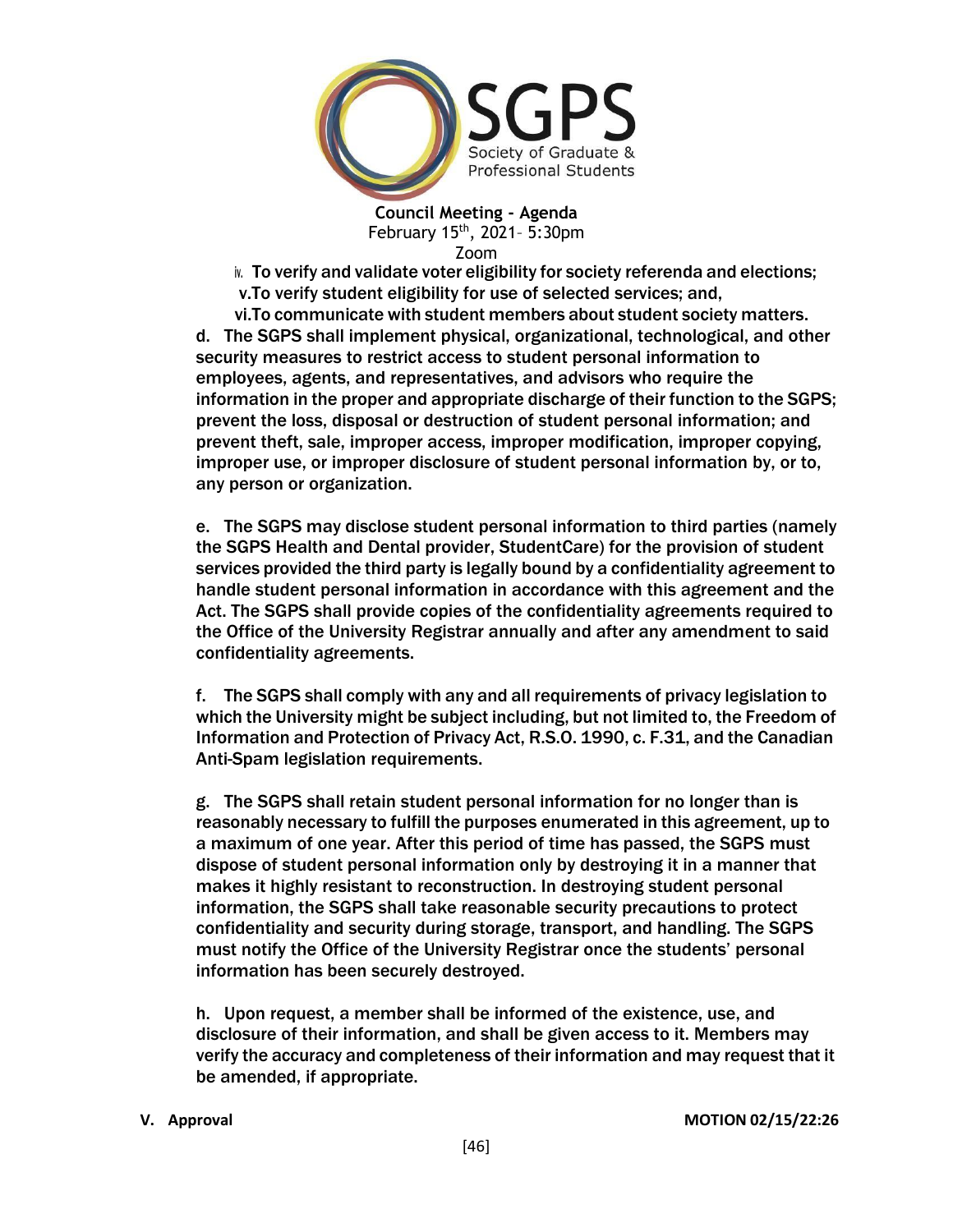

iv. To verify and validate voter eligibility for society referenda and elections; v.To verify student eligibility for use of selected services; and,

vi.To communicate with student members about student society matters. d. The SGPS shall implement physical, organizational, technological, and other security measures to restrict access to student personal information to employees, agents, and representatives, and advisors who require the information in the proper and appropriate discharge of their function to the SGPS; prevent the loss, disposal or destruction of student personal information; and prevent theft, sale, improper access, improper modification, improper copying, improper use, or improper disclosure of student personal information by, or to, any person or organization.

e. The SGPS may disclose student personal information to third parties (namely the SGPS Health and Dental provider, StudentCare) for the provision of student services provided the third party is legally bound by a confidentiality agreement to handle student personal information in accordance with this agreement and the Act. The SGPS shall provide copies of the confidentiality agreements required to the Office of the University Registrar annually and after any amendment to said confidentiality agreements.

f. The SGPS shall comply with any and all requirements of privacy legislation to which the University might be subject including, but not limited to, the Freedom of Information and Protection of Privacy Act, R.S.O. 1990, c. F.31, and the Canadian Anti-Spam legislation requirements.

g. The SGPS shall retain student personal information for no longer than is reasonably necessary to fulfill the purposes enumerated in this agreement, up to a maximum of one year. After this period of time has passed, the SGPS must dispose of student personal information only by destroying it in a manner that makes it highly resistant to reconstruction. In destroying student personal information, the SGPS shall take reasonable security precautions to protect confidentiality and security during storage, transport, and handling. The SGPS must notify the Office of the University Registrar once the students' personal information has been securely destroyed.

h. Upon request, a member shall be informed of the existence, use, and disclosure of their information, and shall be given access to it. Members may verify the accuracy and completeness of their information and may request that it be amended, if appropriate.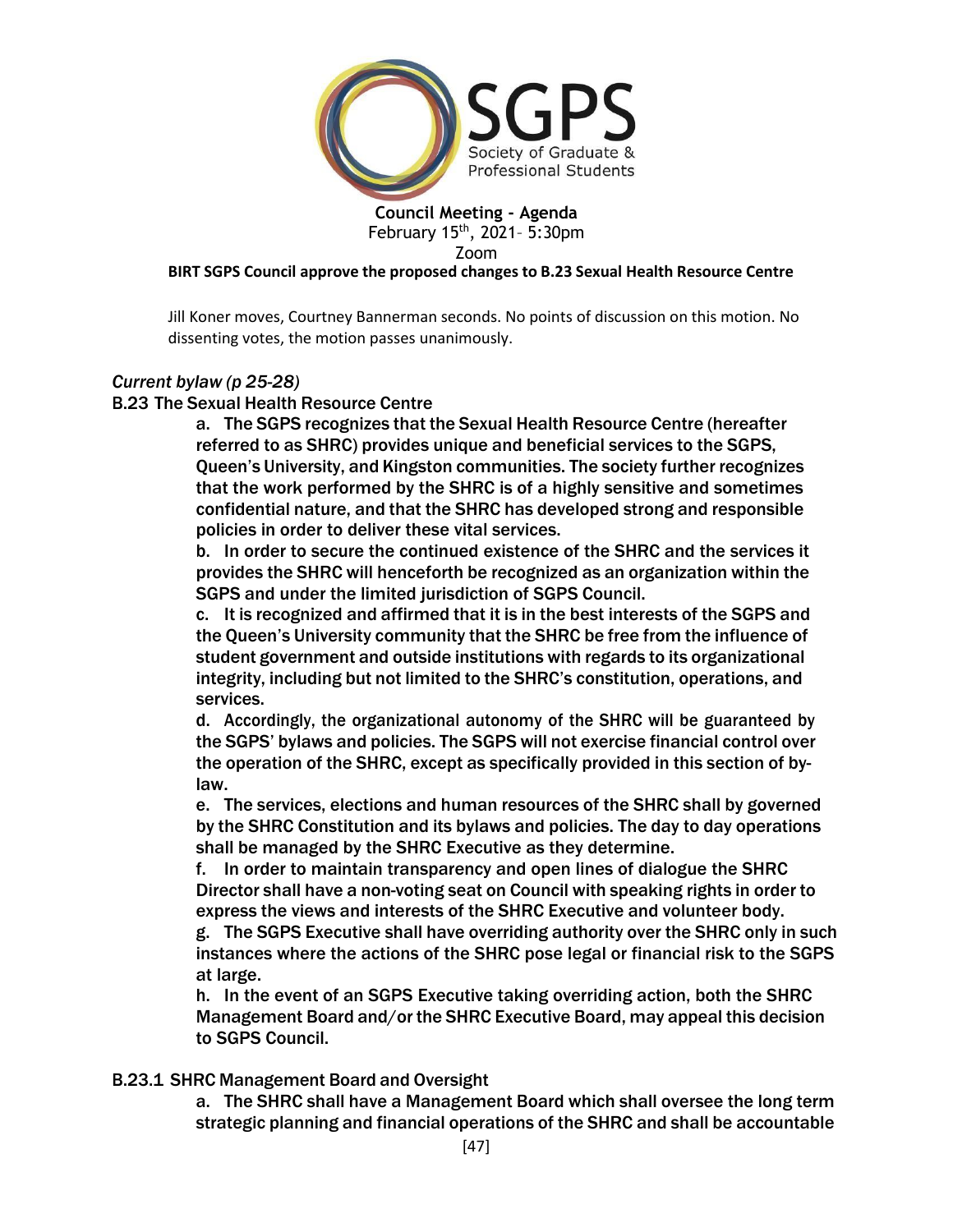

#### **BIRT SGPS Council approve the proposed changes to B.23 Sexual Health Resource Centre**

Jill Koner moves, Courtney Bannerman seconds. No points of discussion on this motion. No dissenting votes, the motion passes unanimously.

## *Current bylaw (p 25-28)*

#### B.23 The Sexual Health Resource Centre

a. The SGPS recognizes that the Sexual Health Resource Centre (hereafter referred to as SHRC) provides unique and beneficial services to the SGPS, Queen's University, and Kingston communities. The society further recognizes that the work performed by the SHRC is of a highly sensitive and sometimes confidential nature, and that the SHRC has developed strong and responsible policies in order to deliver these vital services.

b. In order to secure the continued existence of the SHRC and the services it provides the SHRC will henceforth be recognized as an organization within the SGPS and under the limited jurisdiction of SGPS Council.

c. It is recognized and affirmed that it is in the best interests of the SGPS and the Queen's University community that the SHRC be free from the influence of student government and outside institutions with regards to its organizational integrity, including but not limited to the SHRC's constitution, operations, and services.

d. Accordingly, the organizational autonomy of the SHRC will be guaranteed by the SGPS' bylaws and policies. The SGPS will not exercise financial control over the operation of the SHRC, except as specifically provided in this section of bylaw.

e. The services, elections and human resources of the SHRC shall by governed by the SHRC Constitution and its bylaws and policies. The day to day operations shall be managed by the SHRC Executive as they determine.

f. In order to maintain transparency and open lines of dialogue the SHRC Director shall have a non-voting seat on Council with speaking rights in order to express the views and interests of the SHRC Executive and volunteer body.

g. The SGPS Executive shall have overriding authority over the SHRC only in such instances where the actions of the SHRC pose legal or financial risk to the SGPS at large.

h. In the event of an SGPS Executive taking overriding action, both the SHRC Management Board and/or the SHRC Executive Board, may appeal this decision to SGPS Council.

#### B.23.1 SHRC Management Board and Oversight

a. The SHRC shall have a Management Board which shall oversee the long term strategic planning and financial operations of the SHRC and shall be accountable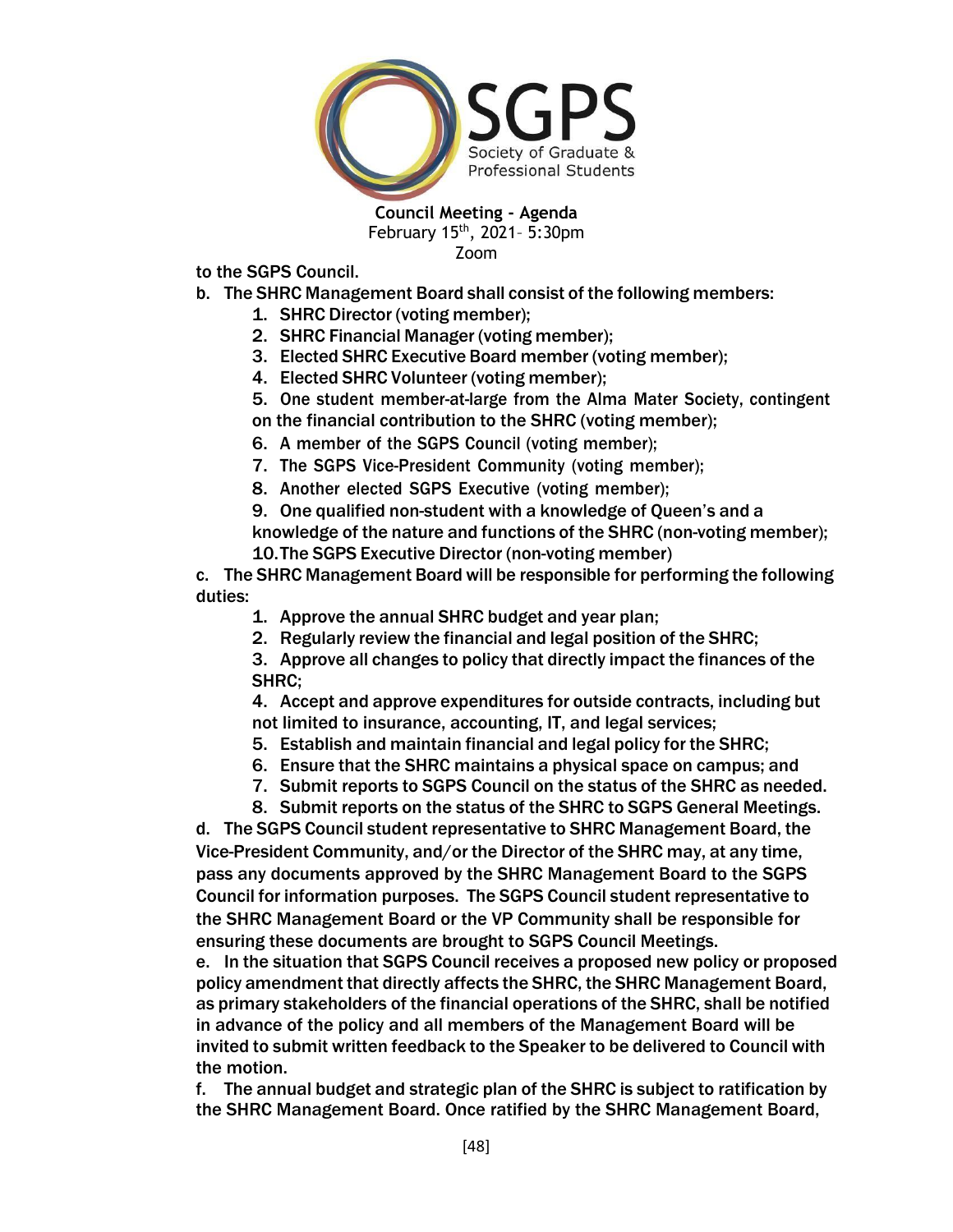

to the SGPS Council.

- b. The SHRC Management Board shall consist of the following members:
	- 1. SHRC Director (voting member);
	- 2. SHRC Financial Manager (voting member);
	- 3. Elected SHRC Executive Board member (voting member);
	- 4. Elected SHRC Volunteer (voting member);
	- 5. One student member-at-large from the Alma Mater Society, contingent
	- on the financial contribution to the SHRC (voting member);
	- 6. A member of the SGPS Council (voting member);
	- 7. The SGPS Vice-President Community (voting member);
	- 8. Another elected SGPS Executive (voting member);
	- 9. One qualified non-student with a knowledge of Queen's and a

knowledge of the nature and functions of the SHRC (non-voting member); 10.The SGPS Executive Director (non-voting member)

c. The SHRC Management Board will be responsible for performing the following duties:

- 1. Approve the annual SHRC budget and year plan;
- 2. Regularly review the financial and legal position of the SHRC;

3. Approve all changes to policy that directly impact the finances of the SHRC;

4. Accept and approve expenditures for outside contracts, including but not limited to insurance, accounting, IT, and legal services;

- 5. Establish and maintain financial and legal policy for the SHRC;
- 6. Ensure that the SHRC maintains a physical space on campus; and
- 7. Submit reports to SGPS Council on the status of the SHRC as needed.
- 8. Submit reports on the status of the SHRC to SGPS General Meetings.

d. The SGPS Council student representative to SHRC Management Board, the Vice-President Community, and/or the Director of the SHRC may, at any time, pass any documents approved by the SHRC Management Board to the SGPS Council for information purposes. The SGPS Council student representative to the SHRC Management Board or the VP Community shall be responsible for ensuring these documents are brought to SGPS Council Meetings.

e. In the situation that SGPS Council receives a proposed new policy or proposed policy amendment that directly affects the SHRC, the SHRC Management Board, as primary stakeholders of the financial operations of the SHRC, shall be notified in advance of the policy and all members of the Management Board will be invited to submit written feedback to the Speaker to be delivered to Council with the motion.

f. The annual budget and strategic plan of the SHRC is subject to ratification by the SHRC Management Board. Once ratified by the SHRC Management Board,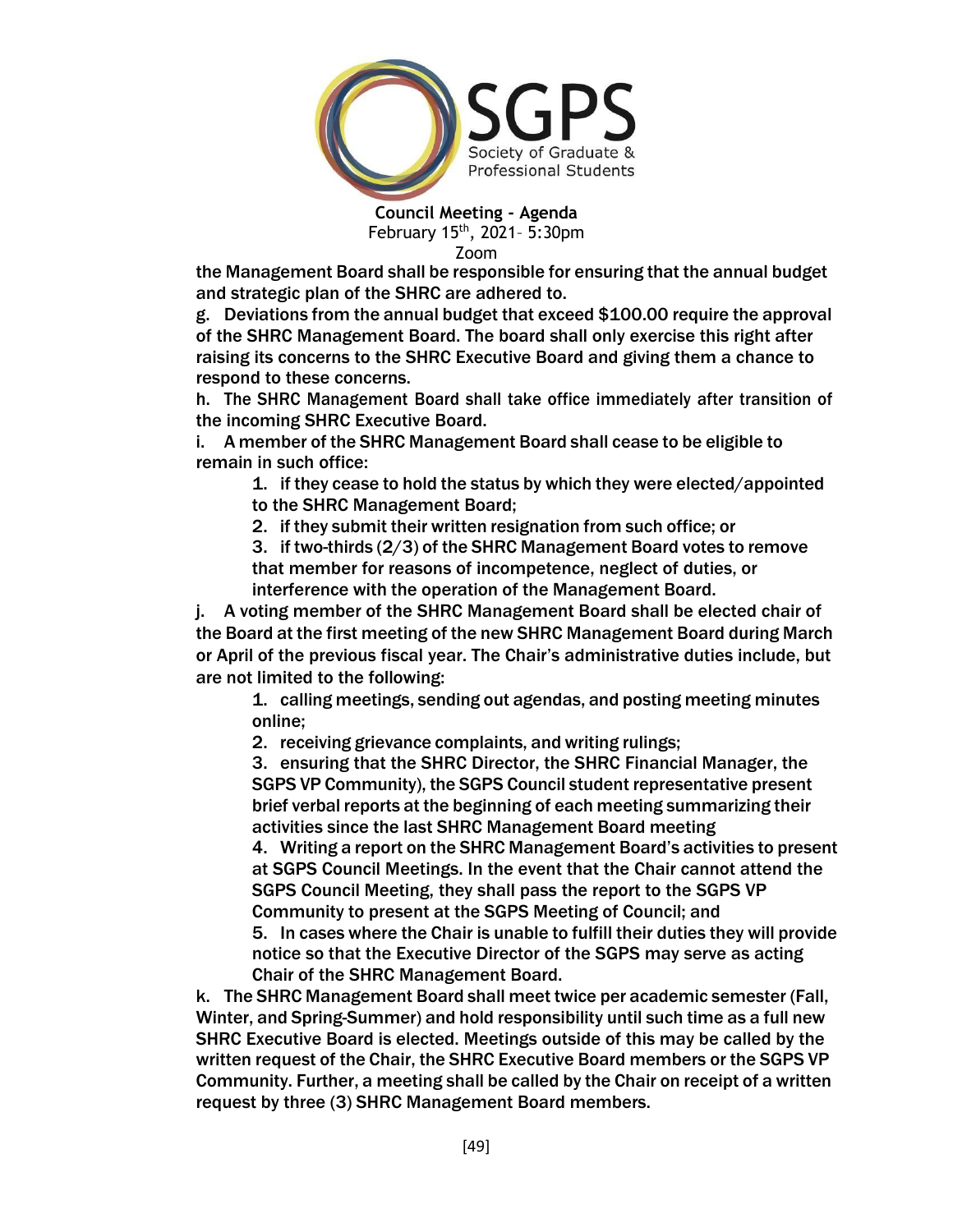

the Management Board shall be responsible for ensuring that the annual budget and strategic plan of the SHRC are adhered to.

g. Deviations from the annual budget that exceed \$100.00 require the approval of the SHRC Management Board. The board shall only exercise this right after raising its concerns to the SHRC Executive Board and giving them a chance to respond to these concerns.

h. The SHRC Management Board shall take office immediately after transition of the incoming SHRC Executive Board.

i. A member of the SHRC Management Board shall cease to be eligible to remain in such office:

1. if they cease to hold the status by which they were elected/appointed to the SHRC Management Board;

2. if they submit their written resignation from such office; or

3. if two-thirds (2/3) of the SHRC Management Board votes to remove that member for reasons of incompetence, neglect of duties, or interference with the operation of the Management Board.

j. A voting member of the SHRC Management Board shall be elected chair of the Board at the first meeting of the new SHRC Management Board during March or April of the previous fiscal year. The Chair's administrative duties include, but are not limited to the following:

1. calling meetings, sending out agendas, and posting meeting minutes online;

2. receiving grievance complaints, and writing rulings;

3. ensuring that the SHRC Director, the SHRC Financial Manager, the SGPS VP Community), the SGPS Council student representative present brief verbal reports at the beginning of each meeting summarizing their activities since the last SHRC Management Board meeting

4. Writing a report on the SHRC Management Board's activities to present at SGPS Council Meetings. In the event that the Chair cannot attend the SGPS Council Meeting, they shall pass the report to the SGPS VP Community to present at the SGPS Meeting of Council; and

5. In cases where the Chair is unable to fulfill their duties they will provide notice so that the Executive Director of the SGPS may serve as acting Chair of the SHRC Management Board.

k. The SHRC Management Board shall meet twice per academic semester (Fall, Winter, and Spring-Summer) and hold responsibility until such time as a full new SHRC Executive Board is elected. Meetings outside of this may be called by the written request of the Chair, the SHRC Executive Board members or the SGPS VP Community. Further, a meeting shall be called by the Chair on receipt of a written request by three (3) SHRC Management Board members.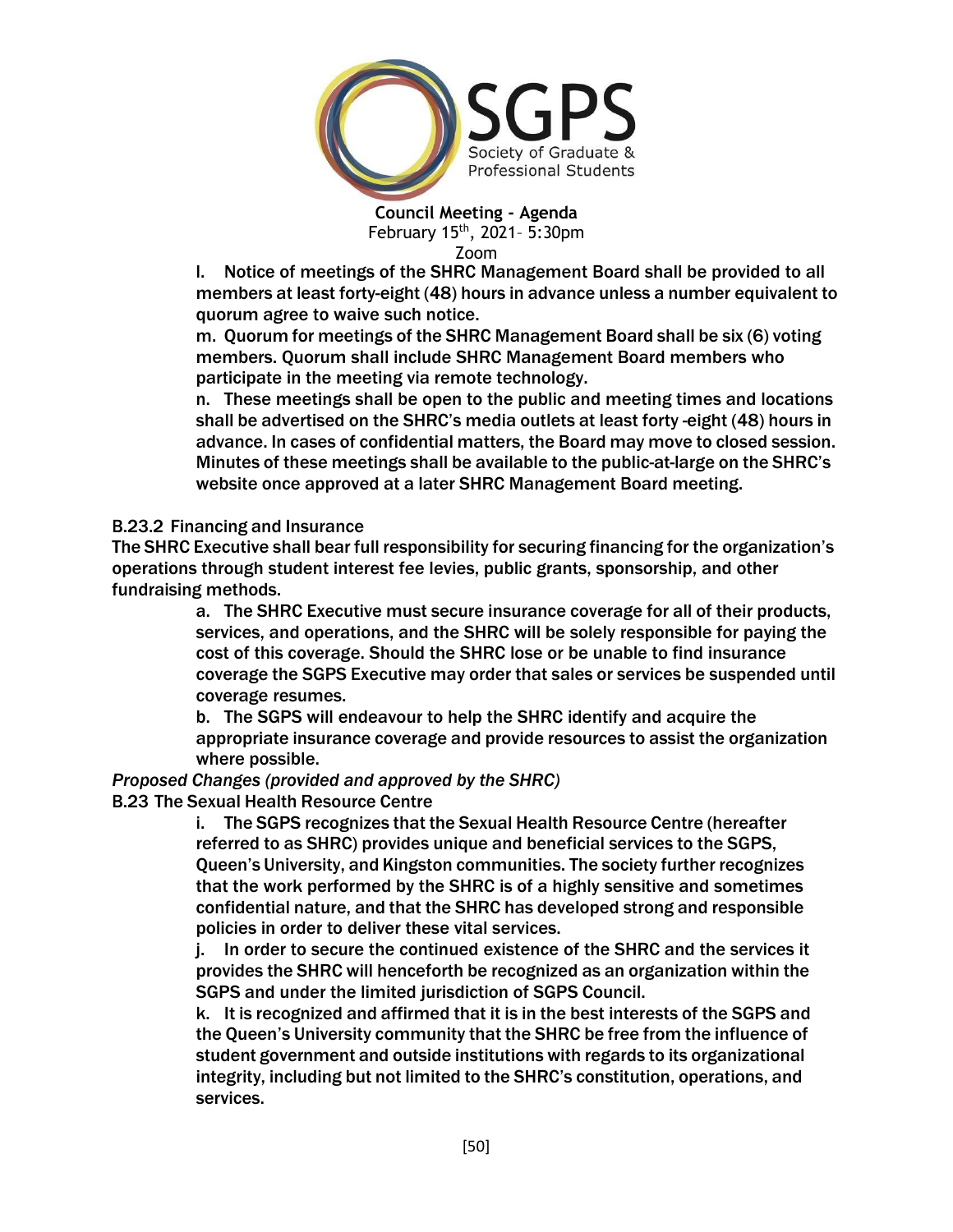

l. Notice of meetings of the SHRC Management Board shall be provided to all members at least forty-eight (48) hours in advance unless a number equivalent to quorum agree to waive such notice.

m. Quorum for meetings of the SHRC Management Board shall be six (6) voting members. Quorum shall include SHRC Management Board members who participate in the meeting via remote technology.

n. These meetings shall be open to the public and meeting times and locations shall be advertised on the SHRC's media outlets at least forty -eight (48) hours in advance. In cases of confidential matters, the Board may move to closed session. Minutes of these meetings shall be available to the public-at-large on the SHRC's website once approved at a later SHRC Management Board meeting.

## B.23.2 Financing and Insurance

The SHRC Executive shall bear full responsibility for securing financing for the organization's operations through student interest fee levies, public grants, sponsorship, and other fundraising methods.

> a. The SHRC Executive must secure insurance coverage for all of their products, services, and operations, and the SHRC will be solely responsible for paying the cost of this coverage. Should the SHRC lose or be unable to find insurance coverage the SGPS Executive may order that sales or services be suspended until coverage resumes.

b. The SGPS will endeavour to help the SHRC identify and acquire the appropriate insurance coverage and provide resources to assist the organization where possible.

#### *Proposed Changes (provided and approved by the SHRC)*

B.23 The Sexual Health Resource Centre

i. The SGPS recognizes that the Sexual Health Resource Centre (hereafter referred to as SHRC) provides unique and beneficial services to the SGPS, Queen's University, and Kingston communities. The society further recognizes that the work performed by the SHRC is of a highly sensitive and sometimes confidential nature, and that the SHRC has developed strong and responsible policies in order to deliver these vital services.

j. In order to secure the continued existence of the SHRC and the services it provides the SHRC will henceforth be recognized as an organization within the SGPS and under the limited jurisdiction of SGPS Council.

k. It is recognized and affirmed that it is in the best interests of the SGPS and the Queen's University community that the SHRC be free from the influence of student government and outside institutions with regards to its organizational integrity, including but not limited to the SHRC's constitution, operations, and services.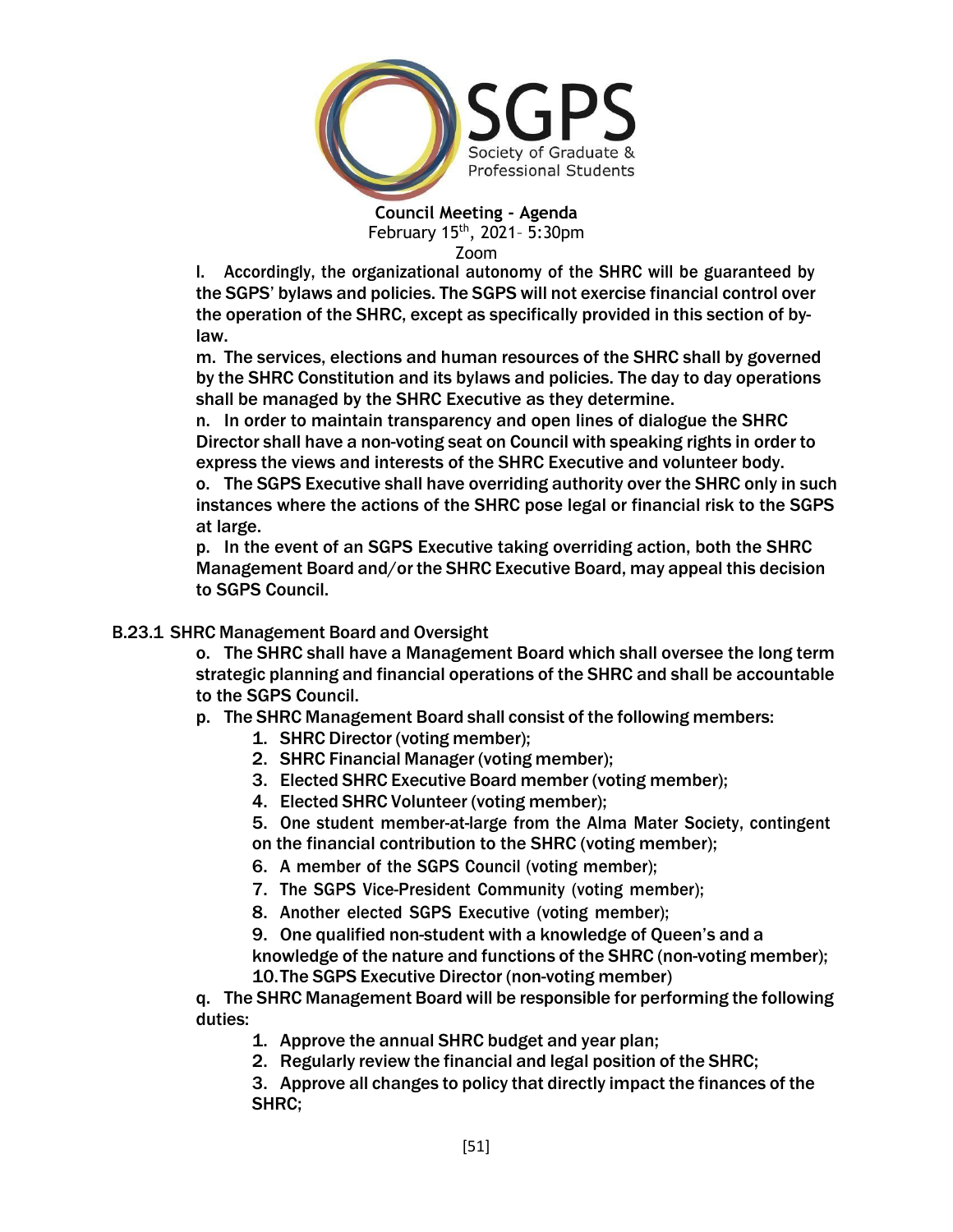

l. Accordingly, the organizational autonomy of the SHRC will be guaranteed by the SGPS' bylaws and policies. The SGPS will not exercise financial control over the operation of the SHRC, except as specifically provided in this section of bylaw.

m. The services, elections and human resources of the SHRC shall by governed by the SHRC Constitution and its bylaws and policies. The day to day operations shall be managed by the SHRC Executive as they determine.

n. In order to maintain transparency and open lines of dialogue the SHRC Director shall have a non-voting seat on Council with speaking rights in order to express the views and interests of the SHRC Executive and volunteer body.

o. The SGPS Executive shall have overriding authority over the SHRC only in such instances where the actions of the SHRC pose legal or financial risk to the SGPS at large.

p. In the event of an SGPS Executive taking overriding action, both the SHRC Management Board and/or the SHRC Executive Board, may appeal this decision to SGPS Council.

# B.23.1 SHRC Management Board and Oversight

o. The SHRC shall have a Management Board which shall oversee the long term strategic planning and financial operations of the SHRC and shall be accountable to the SGPS Council.

- p. The SHRC Management Board shall consist of the following members:
	- 1. SHRC Director (voting member);
	- 2. SHRC Financial Manager (voting member);
	- 3. Elected SHRC Executive Board member (voting member);
	- 4. Elected SHRC Volunteer (voting member);
	- 5. One student member-at-large from the Alma Mater Society, contingent
	- on the financial contribution to the SHRC (voting member);
	- 6. A member of the SGPS Council (voting member);
	- 7. The SGPS Vice-President Community (voting member);
	- 8. Another elected SGPS Executive (voting member);
	- 9. One qualified non-student with a knowledge of Queen's and a knowledge of the nature and functions of the SHRC (non-voting member); 10.The SGPS Executive Director (non-voting member)

q. The SHRC Management Board will be responsible for performing the following duties:

- 1. Approve the annual SHRC budget and year plan;
- 2. Regularly review the financial and legal position of the SHRC;

3. Approve all changes to policy that directly impact the finances of the SHRC;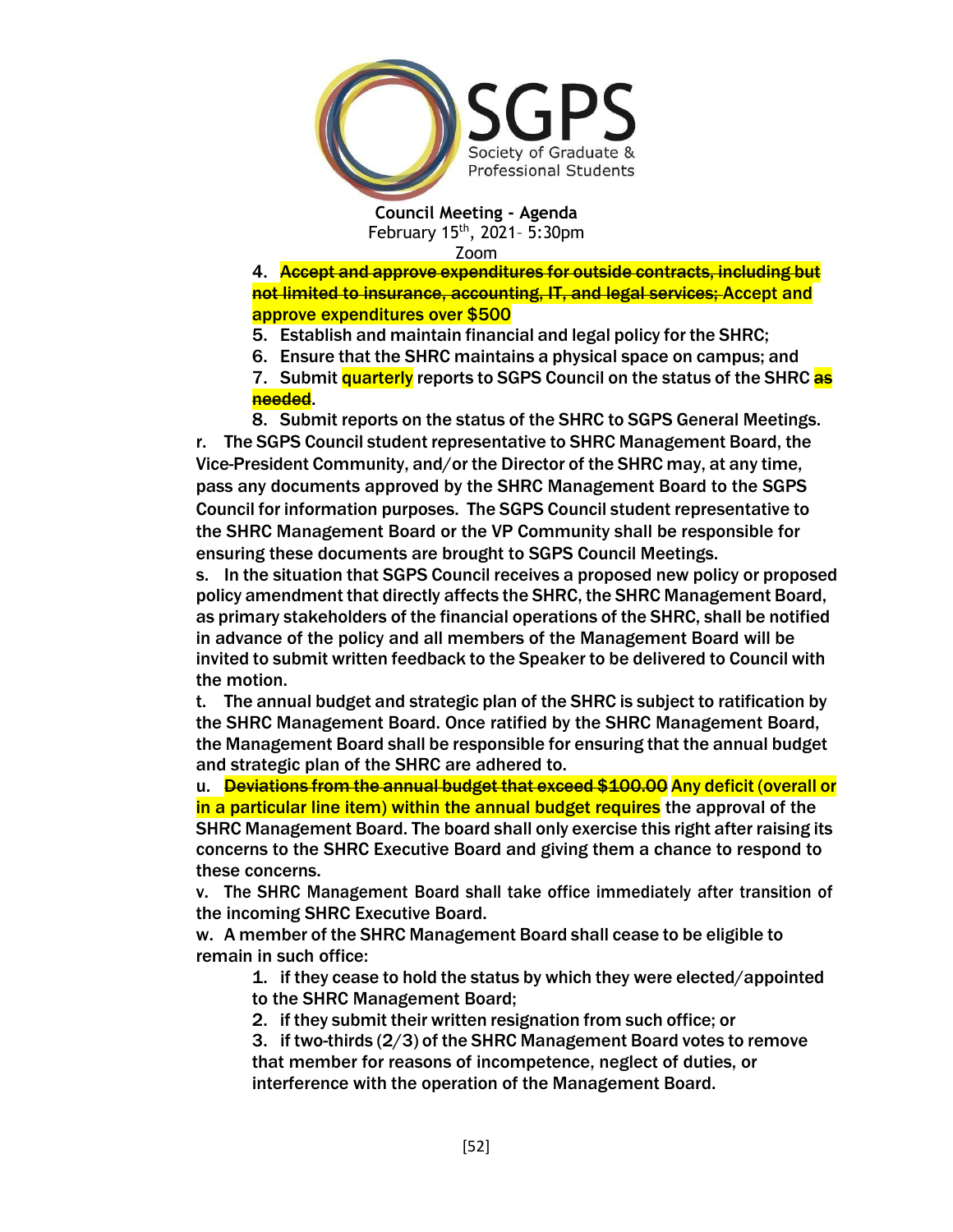

4. Accept and approve expenditures for outside contracts, including but not limited to insurance, accounting, IT, and legal services; Accept and approve expenditures over \$500

- 5. Establish and maintain financial and legal policy for the SHRC;
- 6. Ensure that the SHRC maintains a physical space on campus; and

7. Submit *quarterly* reports to SGPS Council on the status of the SHRC as needed.

8. Submit reports on the status of the SHRC to SGPS General Meetings. r. The SGPS Council student representative to SHRC Management Board, the Vice-President Community, and/or the Director of the SHRC may, at any time, pass any documents approved by the SHRC Management Board to the SGPS Council for information purposes. The SGPS Council student representative to the SHRC Management Board or the VP Community shall be responsible for ensuring these documents are brought to SGPS Council Meetings.

s. In the situation that SGPS Council receives a proposed new policy or proposed policy amendment that directly affects the SHRC, the SHRC Management Board, as primary stakeholders of the financial operations of the SHRC, shall be notified in advance of the policy and all members of the Management Board will be invited to submit written feedback to the Speaker to be delivered to Council with the motion.

t. The annual budget and strategic plan of the SHRC is subject to ratification by the SHRC Management Board. Once ratified by the SHRC Management Board, the Management Board shall be responsible for ensuring that the annual budget and strategic plan of the SHRC are adhered to.

u. Deviations from the annual budget that exceed \$100.00 Any deficit (overall or in a particular line item) within the annual budget requires the approval of the SHRC Management Board. The board shall only exercise this right after raising its concerns to the SHRC Executive Board and giving them a chance to respond to these concerns.

v. The SHRC Management Board shall take office immediately after transition of the incoming SHRC Executive Board.

w. A member of the SHRC Management Board shall cease to be eligible to remain in such office:

1. if they cease to hold the status by which they were elected/appointed to the SHRC Management Board;

- 2. if they submit their written resignation from such office; or
- 3. if two-thirds (2/3) of the SHRC Management Board votes to remove that member for reasons of incompetence, neglect of duties, or interference with the operation of the Management Board.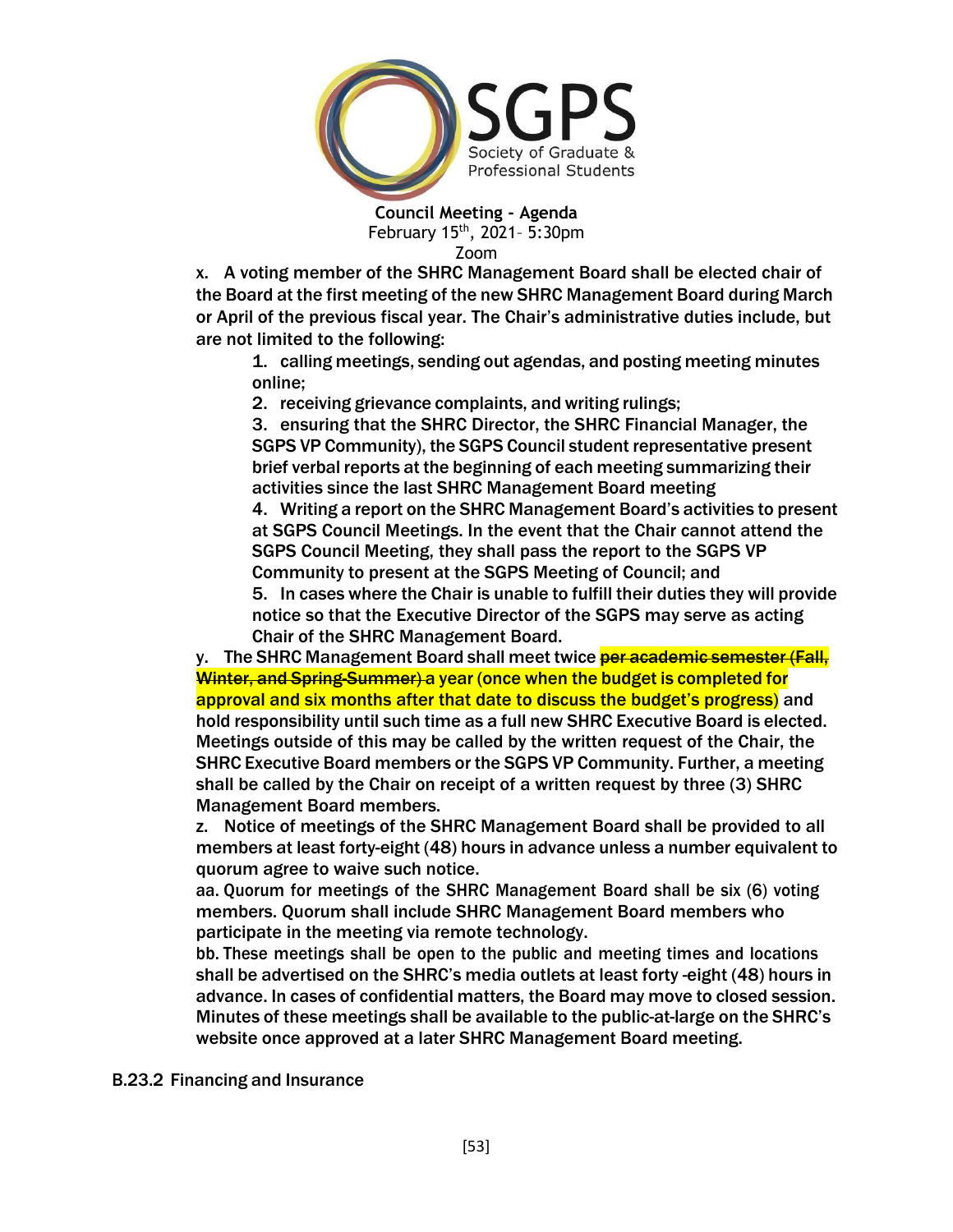

x. A voting member of the SHRC Management Board shall be elected chair of the Board at the first meeting of the new SHRC Management Board during March or April of the previous fiscal year. The Chair's administrative duties include, but are not limited to the following:

1. calling meetings, sending out agendas, and posting meeting minutes online;

2. receiving grievance complaints, and writing rulings;

3. ensuring that the SHRC Director, the SHRC Financial Manager, the SGPS VP Community), the SGPS Council student representative present brief verbal reports at the beginning of each meeting summarizing their activities since the last SHRC Management Board meeting

4. Writing a report on the SHRC Management Board's activities to present at SGPS Council Meetings. In the event that the Chair cannot attend the SGPS Council Meeting, they shall pass the report to the SGPS VP Community to present at the SGPS Meeting of Council; and

5. In cases where the Chair is unable to fulfill their duties they will provide notice so that the Executive Director of the SGPS may serve as acting Chair of the SHRC Management Board.

y. The SHRC Management Board shall meet twice **per academic semester (Fall,** Winter, and Spring-Summer) a year (once when the budget is completed for approval and six months after that date to discuss the budget's progress) and hold responsibility until such time as a full new SHRC Executive Board is elected. Meetings outside of this may be called by the written request of the Chair, the SHRC Executive Board members or the SGPS VP Community. Further, a meeting shall be called by the Chair on receipt of a written request by three (3) SHRC Management Board members.

z. Notice of meetings of the SHRC Management Board shall be provided to all members at least forty-eight (48) hours in advance unless a number equivalent to quorum agree to waive such notice.

aa. Quorum for meetings of the SHRC Management Board shall be six (6) voting members. Quorum shall include SHRC Management Board members who participate in the meeting via remote technology.

bb. These meetings shall be open to the public and meeting times and locations shall be advertised on the SHRC's media outlets at least forty -eight (48) hours in advance. In cases of confidential matters, the Board may move to closed session. Minutes of these meetings shall be available to the public-at-large on the SHRC's website once approved at a later SHRC Management Board meeting.

B.23.2 Financing and Insurance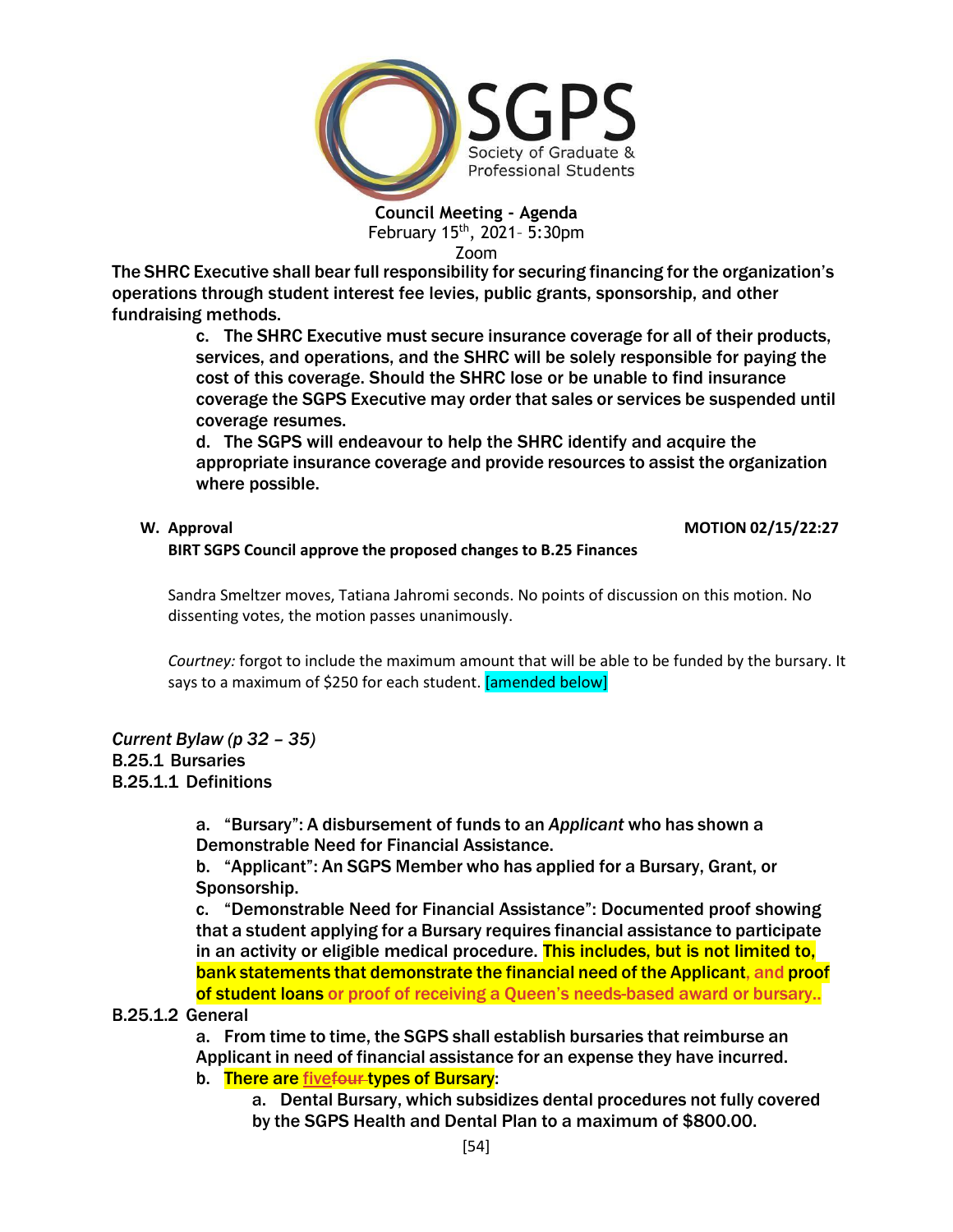

The SHRC Executive shall bear full responsibility for securing financing for the organization's operations through student interest fee levies, public grants, sponsorship, and other fundraising methods.

> c. The SHRC Executive must secure insurance coverage for all of their products, services, and operations, and the SHRC will be solely responsible for paying the cost of this coverage. Should the SHRC lose or be unable to find insurance coverage the SGPS Executive may order that sales or services be suspended until coverage resumes.

d. The SGPS will endeavour to help the SHRC identify and acquire the appropriate insurance coverage and provide resources to assist the organization where possible.

#### **W. Approval MOTION 02/15/22:27**

**BIRT SGPS Council approve the proposed changes to B.25 Finances**

Sandra Smeltzer moves, Tatiana Jahromi seconds. No points of discussion on this motion. No dissenting votes, the motion passes unanimously.

*Courtney:* forgot to include the maximum amount that will be able to be funded by the bursary. It says to a maximum of \$250 for each student. **[amended below]** 

*Current Bylaw (p 32 – 35)* B.25.1 Bursaries B.25.1.1 Definitions

> a. "Bursary": A disbursement of funds to an *Applicant* who has shown a Demonstrable Need for Financial Assistance.

b. "Applicant": An SGPS Member who has applied for a Bursary, Grant, or Sponsorship.

c. "Demonstrable Need for Financial Assistance": Documented proof showing that a student applying for a Bursary requires financial assistance to participate in an activity or eligible medical procedure. This includes, but is not limited to, bank statements that demonstrate the financial need of the Applicant, and proof of student loans or proof of receiving a Queen's needs-based award or bursary..

#### B.25.1.2 General

a. From time to time, the SGPS shall establish bursaries that reimburse an Applicant in need of financial assistance for an expense they have incurred.

b. There are fivefour types of Bursary:

a. Dental Bursary, which subsidizes dental procedures not fully covered by the SGPS Health and Dental Plan to a maximum of \$800.00.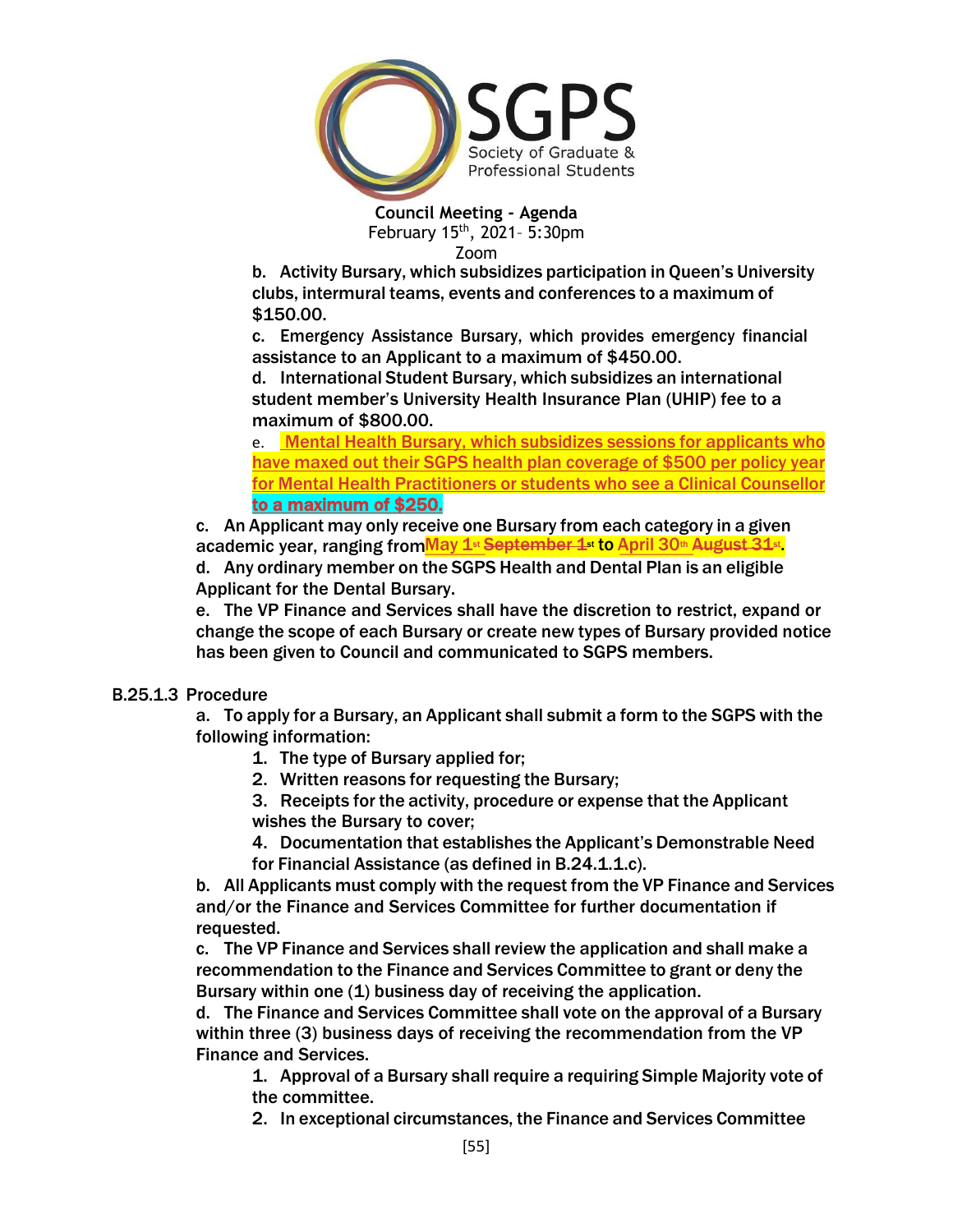

b. Activity Bursary, which subsidizes participation in Queen's University clubs, intermural teams, events and conferences to a maximum of \$150.00.

c. Emergency Assistance Bursary, which provides emergency financial assistance to an Applicant to a maximum of \$450.00.

d. International Student Bursary, which subsidizes an international student member's University Health Insurance Plan (UHIP) fee to a maximum of \$800.00.

e. Mental Health Bursary, which subsidizes sessions for applicants who have maxed out their SGPS health plan coverage of \$500 per policy year for Mental Health Practitioners or students who see a Clinical Counsellor to a maximum of \$250.

academic year, ranging from<mark>May 1st <del>September 1s</del>t to April 30th August 31st.</mark> c. An Applicant may only receive one Bursary from each category in a given

d. Any ordinary member on the SGPS Health and Dental Plan is an eligible Applicant for the Dental Bursary.

e. The VP Finance and Services shall have the discretion to restrict, expand or change the scope of each Bursary or create new types of Bursary provided notice has been given to Council and communicated to SGPS members.

# B.25.1.3 Procedure

a. To apply for a Bursary, an Applicant shall submit a form to the SGPS with the following information:

- 1. The type of Bursary applied for;
- 2. Written reasons for requesting the Bursary;
- 3. Receipts for the activity, procedure or expense that the Applicant wishes the Bursary to cover;
- 4. Documentation that establishes the Applicant's Demonstrable Need for Financial Assistance (as defined in B.24.1.1.c).

b. All Applicants must comply with the request from the VP Finance and Services and/or the Finance and Services Committee for further documentation if requested.

c. The VP Finance and Services shall review the application and shall make a recommendation to the Finance and Services Committee to grant or deny the Bursary within one (1) business day of receiving the application.

d. The Finance and Services Committee shall vote on the approval of a Bursary within three (3) business days of receiving the recommendation from the VP Finance and Services.

1. Approval of a Bursary shall require a requiring Simple Majority vote of the committee.

2. In exceptional circumstances, the Finance and Services Committee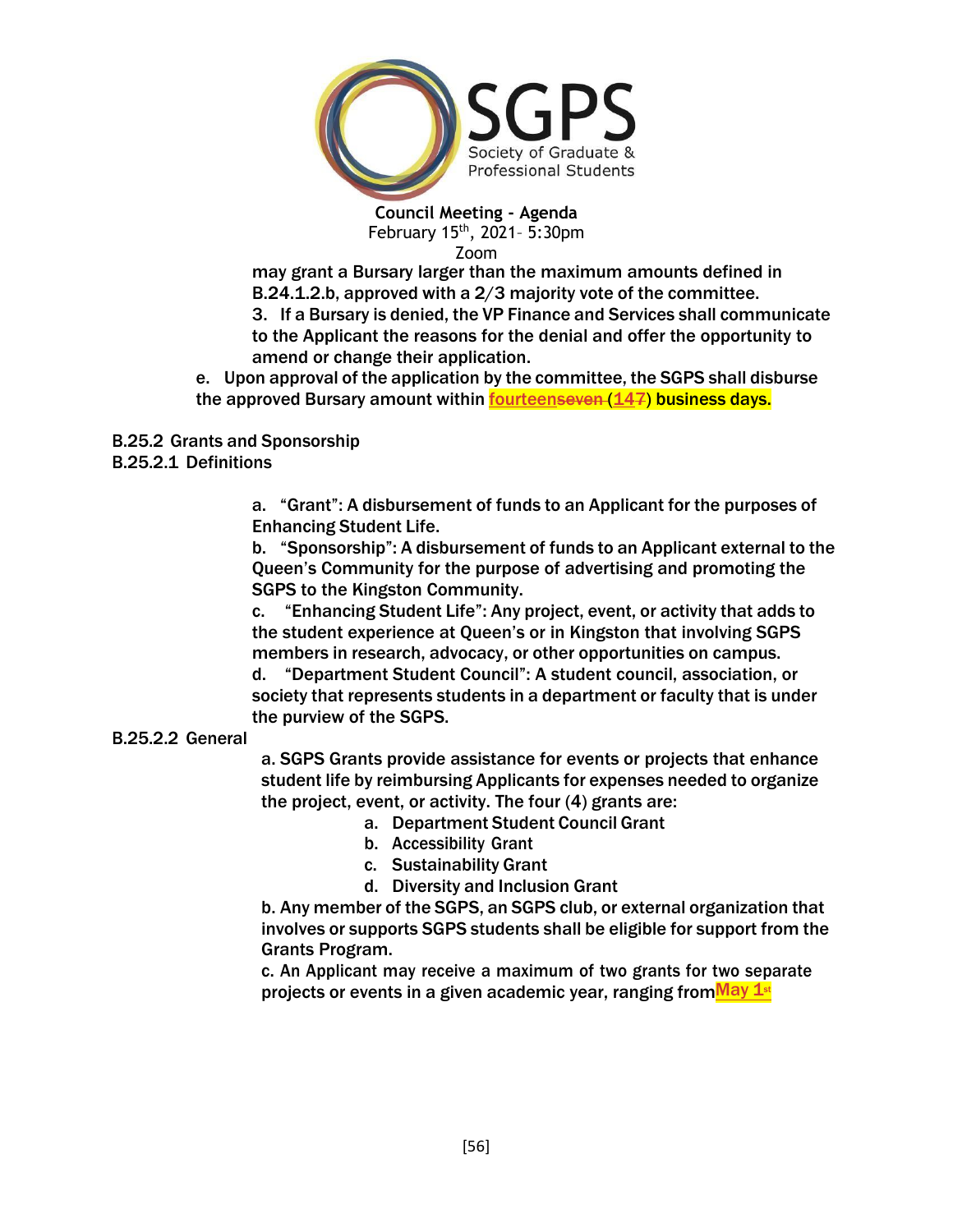

may grant a Bursary larger than the maximum amounts defined in B.24.1.2.b, approved with a 2/3 majority vote of the committee. 3. If a Bursary is denied, the VP Finance and Services shall communicate to the Applicant the reasons for the denial and offer the opportunity to amend or change their application.

e. Upon approval of the application by the committee, the SGPS shall disburse the approved Bursary amount within **fourteenseven (147)** business days.

B.25.2 Grants and Sponsorship

B.25.2.1 Definitions

a. "Grant": A disbursement of funds to an Applicant for the purposes of Enhancing Student Life.

b. "Sponsorship": A disbursement of funds to an Applicant external to the Queen's Community for the purpose of advertising and promoting the SGPS to the Kingston Community.

c. "Enhancing Student Life": Any project, event, or activity that adds to the student experience at Queen's or in Kingston that involving SGPS members in research, advocacy, or other opportunities on campus.

d. "Department Student Council": A student council, association, or society that represents students in a department or faculty that is under the purview of the SGPS.

# B.25.2.2 General

a. SGPS Grants provide assistance for events or projects that enhance student life by reimbursing Applicants for expenses needed to organize the project, event, or activity. The four (4) grants are:

- a. Department Student Council Grant
- b. Accessibility Grant
- c. Sustainability Grant
- d. Diversity and Inclusion Grant

b. Any member of the SGPS, an SGPS club, or external organization that involves or supports SGPS students shall be eligible for support from the Grants Program.

projects or events in a given academic year, ranging from<mark>May 1st</mark> c. An Applicant may receive a maximum of two grants for two separate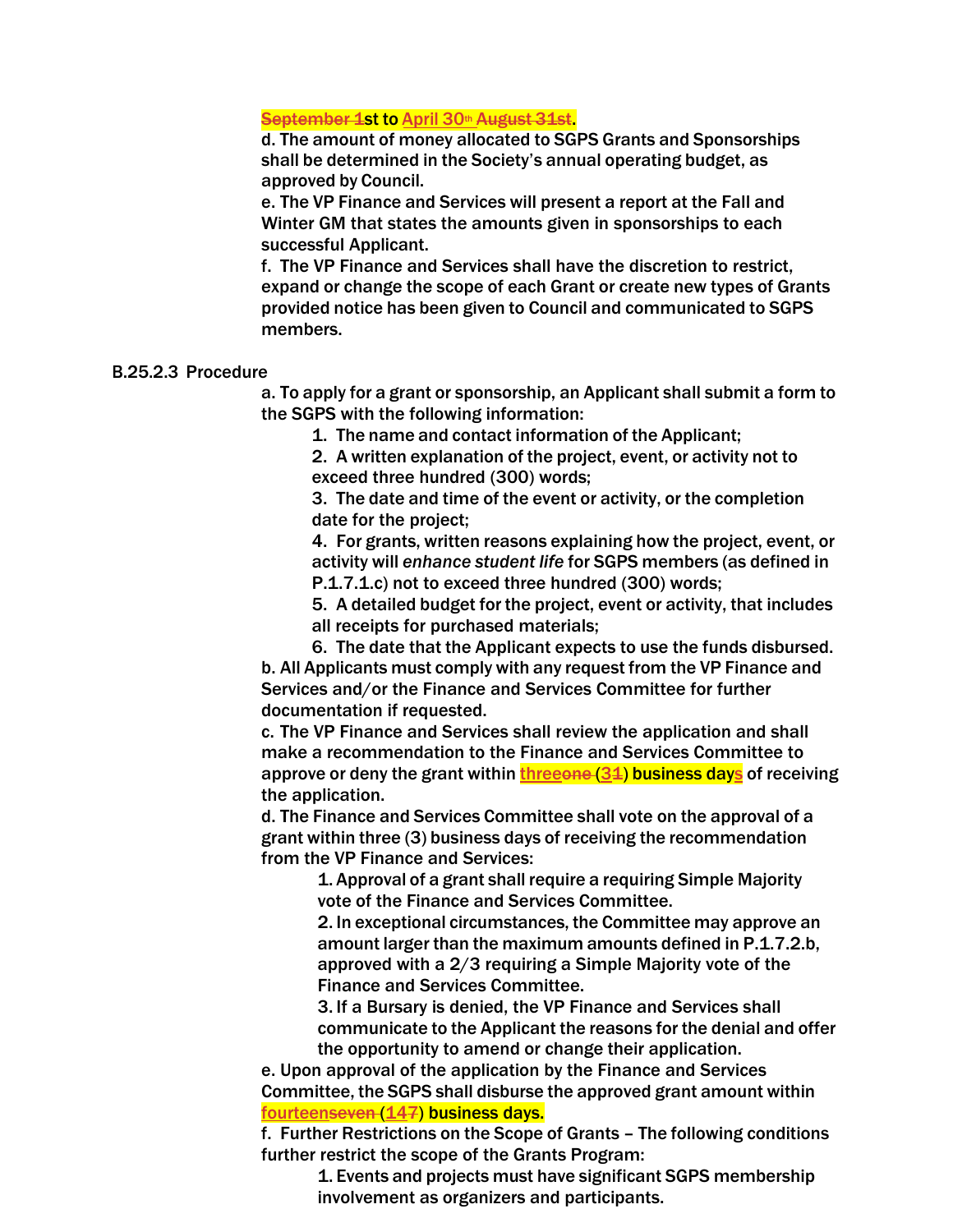#### September 1st to April 30th August 31st.

d. The amount of money allocated to SGPS Grants and Sponsorships shall be determined in the Society's annual operating budget, as approved by Council.

e. The VP Finance and Services will present a report at the Fall and Winter GM that states the amounts given in sponsorships to each successful Applicant.

f. The VP Finance and Services shall have the discretion to restrict, expand or change the scope of each Grant or create new types of Grants provided notice has been given to Council and communicated to SGPS members.

#### B.25.2.3 Procedure

a. To apply for a grant or sponsorship, an Applicant shall submit a form to the SGPS with the following information:

1. The name and contact information of the Applicant;

2. A written explanation of the project, event, or activity not to exceed three hundred (300) words;

3. The date and time of the event or activity, or the completion date for the project;

4. For grants, written reasons explaining how the project, event, or activity will *enhance student life* for SGPS members (as defined in P.1.7.1.c) not to exceed three hundred (300) words;

5. A detailed budget for the project, event or activity, that includes all receipts for purchased materials;

6. The date that the Applicant expects to use the funds disbursed. b. All Applicants must comply with any request from the VP Finance and Services and/or the Finance and Services Committee for further documentation if requested.

c. The VP Finance and Services shall review the application and shall make a recommendation to the Finance and Services Committee to approve or deny the grant within  $threeene(34)$  business days</u> of receiving the application.

d. The Finance and Services Committee shall vote on the approval of a grant within three (3) business days of receiving the recommendation from the VP Finance and Services:

> 1. Approval of a grant shall require a requiring Simple Majority vote of the Finance and Services Committee.

2. In exceptional circumstances, the Committee may approve an amount larger than the maximum amounts defined in P.1.7.2.b, approved with a 2/3 requiring a Simple Majority vote of the Finance and Services Committee.

3. If a Bursary is denied, the VP Finance and Services shall communicate to the Applicant the reasons for the denial and offer the opportunity to amend or change their application.

e. Upon approval of the application by the Finance and Services Committee, the SGPS shall disburse the approved grant amount within fourteenseven (147) business days.

f. Further Restrictions on the Scope of Grants – The following conditions further restrict the scope of the Grants Program:

1. Events and projects must have significant SGPS membership involvement as organizers and participants.